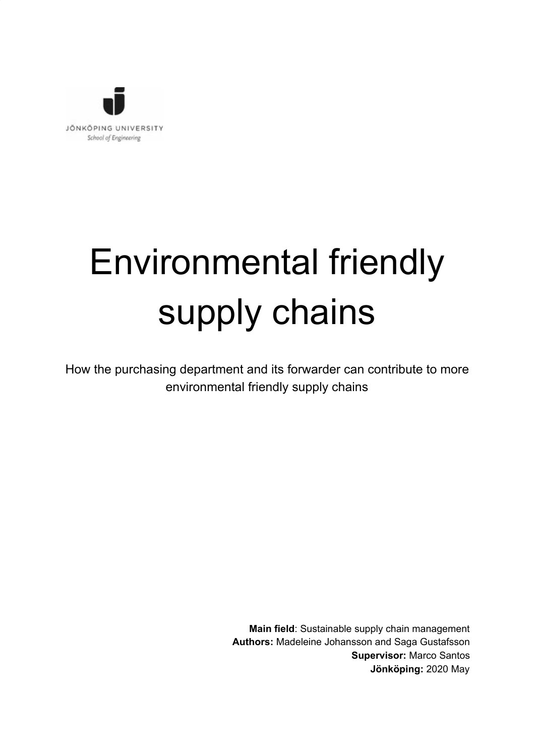

# Environmental friendly supply chains

How the purchasing department and its forwarder can contribute to more environmental friendly supply chains

> **Main field**: Sustainable supply chain management **Authors:** Madeleine Johansson and Saga Gustafsson **Supervisor:** Marco Santos **Jönköping:** 2020 May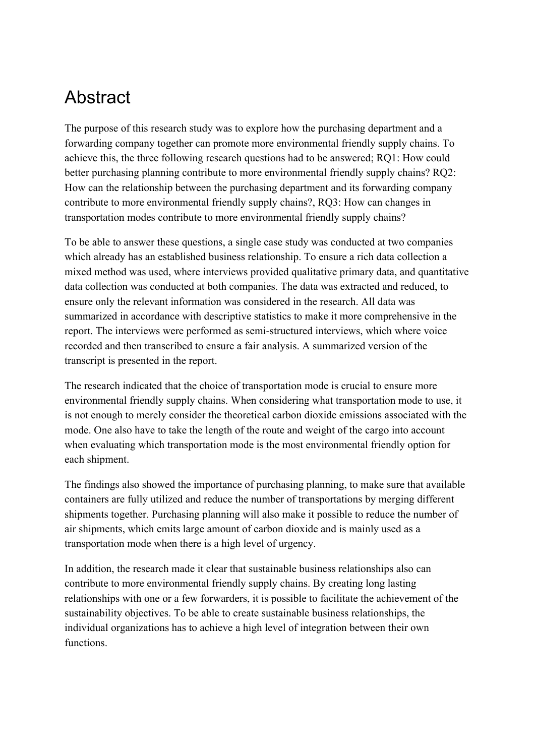# <span id="page-1-0"></span>Abstract

The purpose of this research study was to explore how the purchasing department and a forwarding company together can promote more environmental friendly supply chains. To achieve this, the three following research questions had to be answered; RQ1: How could better purchasing planning contribute to more environmental friendly supply chains? RQ2: How can the relationship between the purchasing department and its forwarding company contribute to more environmental friendly supply chains?, RQ3: How can changes in transportation modes contribute to more environmental friendly supply chains?

To be able to answer these questions, a single case study was conducted at two companies which already has an established business relationship. To ensure a rich data collection a mixed method was used, where interviews provided qualitative primary data, and quantitative data collection was conducted at both companies. The data was extracted and reduced, to ensure only the relevant information was considered in the research. All data was summarized in accordance with descriptive statistics to make it more comprehensive in the report. The interviews were performed as semi-structured interviews, which where voice recorded and then transcribed to ensure a fair analysis. A summarized version of the transcript is presented in the report.

The research indicated that the choice of transportation mode is crucial to ensure more environmental friendly supply chains. When considering what transportation mode to use, it is not enough to merely consider the theoretical carbon dioxide emissions associated with the mode. One also have to take the length of the route and weight of the cargo into account when evaluating which transportation mode is the most environmental friendly option for each shipment.

The findings also showed the importance of purchasing planning, to make sure that available containers are fully utilized and reduce the number of transportations by merging different shipments together. Purchasing planning will also make it possible to reduce the number of air shipments, which emits large amount of carbon dioxide and is mainly used as a transportation mode when there is a high level of urgency.

In addition, the research made it clear that sustainable business relationships also can contribute to more environmental friendly supply chains. By creating long lasting relationships with one or a few forwarders, it is possible to facilitate the achievement of the sustainability objectives. To be able to create sustainable business relationships, the individual organizations has to achieve a high level of integration between their own functions.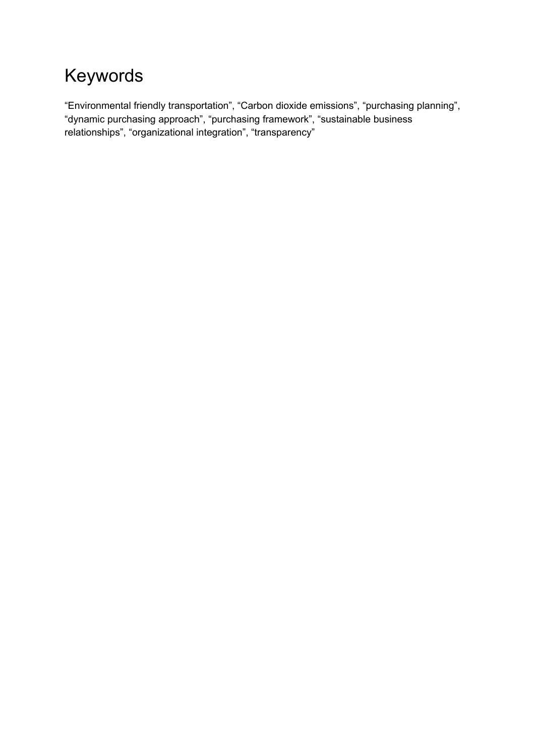# <span id="page-2-0"></span>Keywords

"Environmental friendly transportation", "Carbon dioxide emissions", "purchasing planning", "dynamic purchasing approach", "purchasing framework", "sustainable business relationships", "organizational integration", "transparency"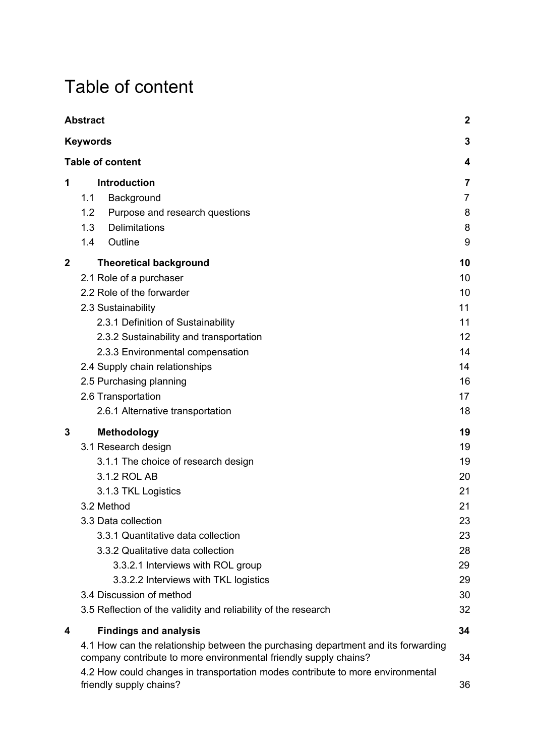# <span id="page-3-0"></span>Table of content

|              | <b>Abstract</b>                                                                                                                                                                                                                                                                                                                                                                                                     | $\mathbf 2$                                                                |
|--------------|---------------------------------------------------------------------------------------------------------------------------------------------------------------------------------------------------------------------------------------------------------------------------------------------------------------------------------------------------------------------------------------------------------------------|----------------------------------------------------------------------------|
|              | <b>Keywords</b>                                                                                                                                                                                                                                                                                                                                                                                                     | 3                                                                          |
|              | <b>Table of content</b>                                                                                                                                                                                                                                                                                                                                                                                             | 4                                                                          |
| 1            | <b>Introduction</b><br>1.1<br>Background<br>1.2<br>Purpose and research questions<br>1.3<br>Delimitations                                                                                                                                                                                                                                                                                                           | 7<br>7<br>8<br>8                                                           |
|              | 1.4<br>Outline                                                                                                                                                                                                                                                                                                                                                                                                      | 9                                                                          |
| $\mathbf{2}$ | <b>Theoretical background</b><br>2.1 Role of a purchaser<br>2.2 Role of the forwarder<br>2.3 Sustainability<br>2.3.1 Definition of Sustainability<br>2.3.2 Sustainability and transportation<br>2.3.3 Environmental compensation<br>2.4 Supply chain relationships<br>2.5 Purchasing planning<br>2.6 Transportation<br>2.6.1 Alternative transportation                                                             | 10<br>10<br>10<br>11<br>11<br>12<br>14<br>14<br>16<br>17<br>18             |
| 3            | <b>Methodology</b><br>3.1 Research design<br>3.1.1 The choice of research design<br>3.1.2 ROL AB<br>3.1.3 TKL Logistics<br>3.2 Method<br>3.3 Data collection<br>3.3.1 Quantitative data collection<br>3.3.2 Qualitative data collection<br>3.3.2.1 Interviews with ROL group<br>3.3.2.2 Interviews with TKL logistics<br>3.4 Discussion of method<br>3.5 Reflection of the validity and reliability of the research | 19<br>19<br>19<br>20<br>21<br>21<br>23<br>23<br>28<br>29<br>29<br>30<br>32 |
| 4            | <b>Findings and analysis</b>                                                                                                                                                                                                                                                                                                                                                                                        | 34                                                                         |
|              | 4.1 How can the relationship between the purchasing department and its forwarding<br>company contribute to more environmental friendly supply chains?<br>4.2 How could changes in transportation modes contribute to more environmental<br>friendly supply chains?                                                                                                                                                  | 34<br>36                                                                   |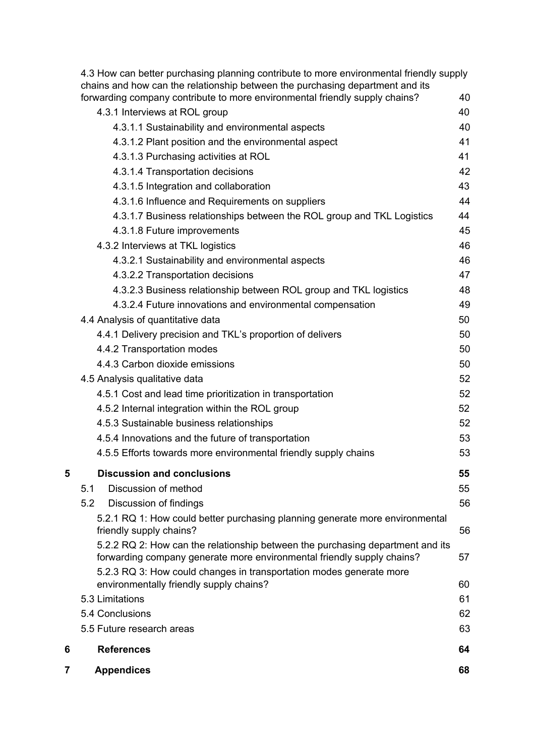| forwarding company contribute to more environmental friendly supply chains?<br>40<br>40 |
|-----------------------------------------------------------------------------------------|
|                                                                                         |
|                                                                                         |
| 40                                                                                      |
| 41                                                                                      |
| 41                                                                                      |
| 42                                                                                      |
| 43                                                                                      |
| 44                                                                                      |
| 4.3.1.7 Business relationships between the ROL group and TKL Logistics<br>44            |
| 45                                                                                      |
| 46                                                                                      |
| 46                                                                                      |
| 47                                                                                      |
| 48<br>4.3.2.3 Business relationship between ROL group and TKL logistics                 |
| 49                                                                                      |
| 50                                                                                      |
| 50                                                                                      |
| 50                                                                                      |
| 50                                                                                      |
|                                                                                         |
| 52                                                                                      |
| 52                                                                                      |
| 52                                                                                      |
| 52                                                                                      |
| 53                                                                                      |
| 53                                                                                      |
| 55                                                                                      |
| 55                                                                                      |
| 56                                                                                      |
| 5.2.1 RQ 1: How could better purchasing planning generate more environmental            |
| 56                                                                                      |
| 5.2.2 RQ 2: How can the relationship between the purchasing department and its<br>57    |
| forwarding company generate more environmental friendly supply chains?                  |
| 5.2.3 RQ 3: How could changes in transportation modes generate more<br>60               |
| 61                                                                                      |
| 62                                                                                      |
| 63                                                                                      |
| 64                                                                                      |
|                                                                                         |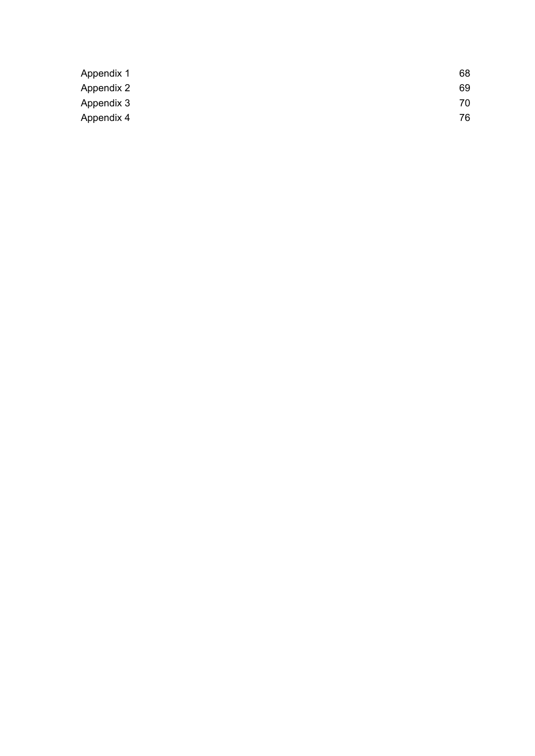| Appendix 1 | 68 |
|------------|----|
| Appendix 2 | 69 |
| Appendix 3 | 70 |
| Appendix 4 | 76 |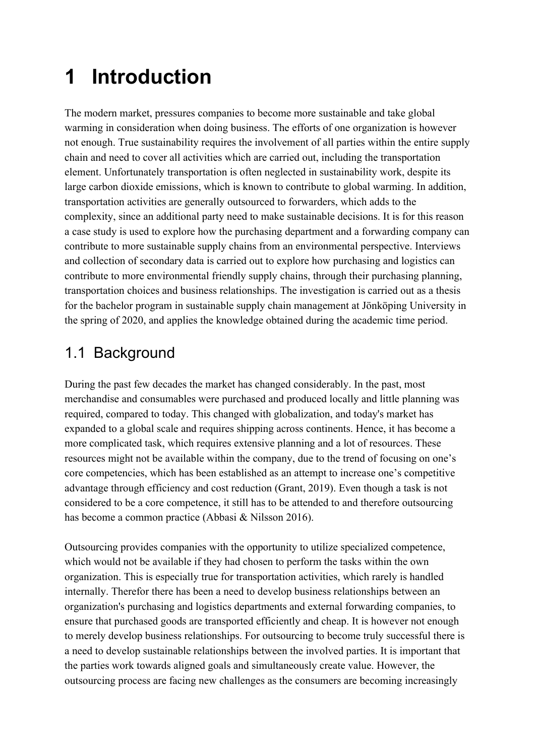# <span id="page-6-0"></span>**1 Introduction**

The modern market, pressures companies to become more sustainable and take global warming in consideration when doing business. The efforts of one organization is however not enough. True sustainability requires the involvement of all parties within the entire supply chain and need to cover all activities which are carried out, including the transportation element. Unfortunately transportation is often neglected in sustainability work, despite its large carbon dioxide emissions, which is known to contribute to global warming. In addition, transportation activities are generally outsourced to forwarders, which adds to the complexity, since an additional party need to make sustainable decisions. It is for this reason a case study is used to explore how the purchasing department and a forwarding company can contribute to more sustainable supply chains from an environmental perspective. Interviews and collection of secondary data is carried out to explore how purchasing and logistics can contribute to more environmental friendly supply chains, through their purchasing planning, transportation choices and business relationships. The investigation is carried out as a thesis for the bachelor program in sustainable supply chain management at Jönköping University in the spring of 2020, and applies the knowledge obtained during the academic time period.

# <span id="page-6-1"></span>1.1 Background

During the past few decades the market has changed considerably. In the past, most merchandise and consumables were purchased and produced locally and little planning was required, compared to today. This changed with globalization, and today's market has expanded to a global scale and requires shipping across continents. Hence, it has become a more complicated task, which requires extensive planning and a lot of resources. These resources might not be available within the company, due to the trend of focusing on one's core competencies, which has been established as an attempt to increase one's competitive advantage through efficiency and cost reduction (Grant, 2019). Even though a task is not considered to be a core competence, it still has to be attended to and therefore outsourcing has become a common practice (Abbasi & Nilsson 2016).

Outsourcing provides companies with the opportunity to utilize specialized competence, which would not be available if they had chosen to perform the tasks within the own organization. This is especially true for transportation activities, which rarely is handled internally. Therefor there has been a need to develop business relationships between an organization's purchasing and logistics departments and external forwarding companies, to ensure that purchased goods are transported efficiently and cheap. It is however not enough to merely develop business relationships. For outsourcing to become truly successful there is a need to develop sustainable relationships between the involved parties. It is important that the parties work towards aligned goals and simultaneously create value. However, the outsourcing process are facing new challenges as the consumers are becoming increasingly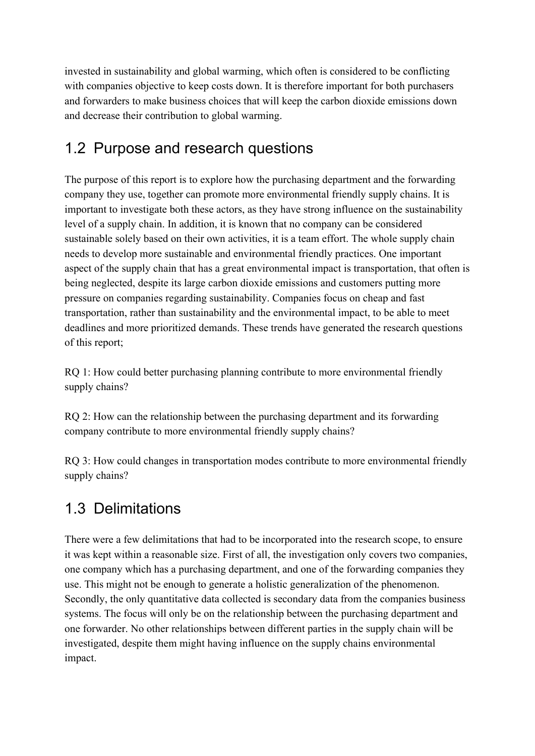invested in sustainability and global warming, which often is considered to be conflicting with companies objective to keep costs down. It is therefore important for both purchasers and forwarders to make business choices that will keep the carbon dioxide emissions down and decrease their contribution to global warming.

# <span id="page-7-0"></span>1.2 Purpose and research questions

The purpose of this report is to explore how the purchasing department and the forwarding company they use, together can promote more environmental friendly supply chains. It is important to investigate both these actors, as they have strong influence on the sustainability level of a supply chain. In addition, it is known that no company can be considered sustainable solely based on their own activities, it is a team effort. The whole supply chain needs to develop more sustainable and environmental friendly practices. One important aspect of the supply chain that has a great environmental impact is transportation, that often is being neglected, despite its large carbon dioxide emissions and customers putting more pressure on companies regarding sustainability. Companies focus on cheap and fast transportation, rather than sustainability and the environmental impact, to be able to meet deadlines and more prioritized demands. These trends have generated the research questions of this report;

RQ 1: How could better purchasing planning contribute to more environmental friendly supply chains?

RQ 2: How can the relationship between the purchasing department and its forwarding company contribute to more environmental friendly supply chains?

RQ 3: How could changes in transportation modes contribute to more environmental friendly supply chains?

# <span id="page-7-1"></span>1.3 Delimitations

There were a few delimitations that had to be incorporated into the research scope, to ensure it was kept within a reasonable size. First of all, the investigation only covers two companies, one company which has a purchasing department, and one of the forwarding companies they use. This might not be enough to generate a holistic generalization of the phenomenon. Secondly, the only quantitative data collected is secondary data from the companies business systems. The focus will only be on the relationship between the purchasing department and one forwarder. No other relationships between different parties in the supply chain will be investigated, despite them might having influence on the supply chains environmental impact.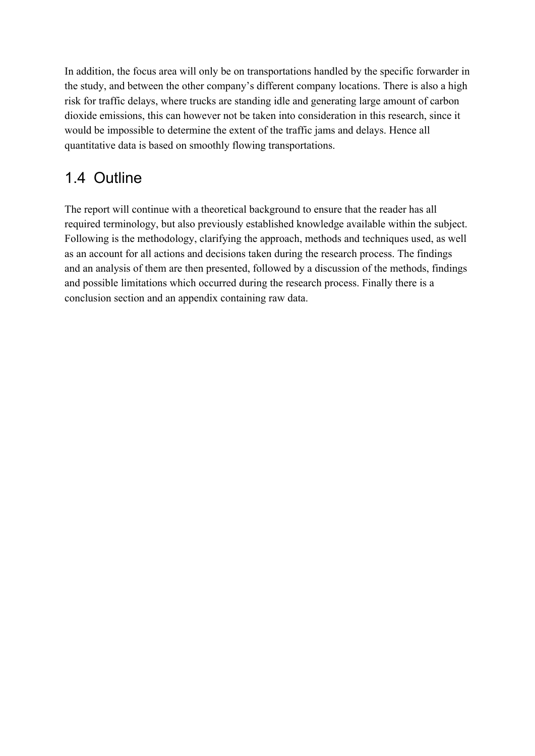In addition, the focus area will only be on transportations handled by the specific forwarder in the study, and between the other company's different company locations. There is also a high risk for traffic delays, where trucks are standing idle and generating large amount of carbon dioxide emissions, this can however not be taken into consideration in this research, since it would be impossible to determine the extent of the traffic jams and delays. Hence all quantitative data is based on smoothly flowing transportations.

# <span id="page-8-0"></span>1.4 Outline

The report will continue with a theoretical background to ensure that the reader has all required terminology, but also previously established knowledge available within the subject. Following is the methodology, clarifying the approach, methods and techniques used, as well as an account for all actions and decisions taken during the research process. The findings and an analysis of them are then presented, followed by a discussion of the methods, findings and possible limitations which occurred during the research process. Finally there is a conclusion section and an appendix containing raw data.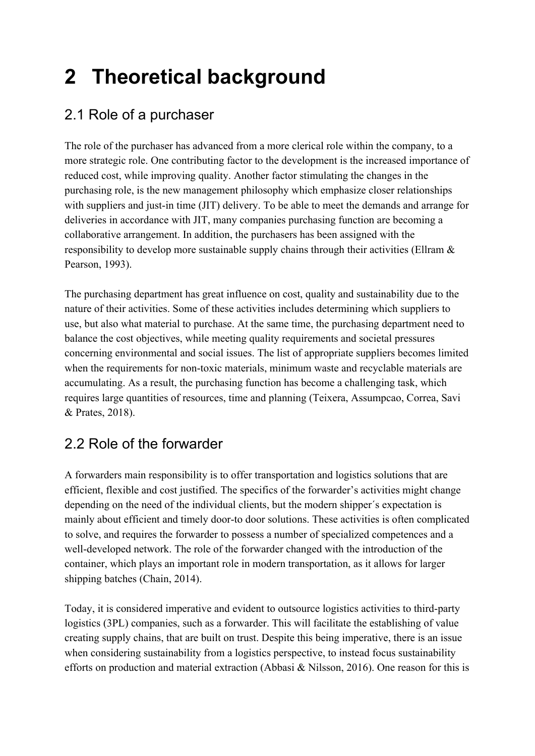# <span id="page-9-0"></span>**2 Theoretical background**

# <span id="page-9-1"></span>2.1 Role of a purchaser

The role of the purchaser has advanced from a more clerical role within the company, to a more strategic role. One contributing factor to the development is the increased importance of reduced cost, while improving quality. Another factor stimulating the changes in the purchasing role, is the new management philosophy which emphasize closer relationships with suppliers and just-in time (JIT) delivery. To be able to meet the demands and arrange for deliveries in accordance with JIT, many companies purchasing function are becoming a collaborative arrangement. In addition, the purchasers has been assigned with the responsibility to develop more sustainable supply chains through their activities (Ellram & Pearson, 1993).

The purchasing department has great influence on cost, quality and sustainability due to the nature of their activities. Some of these activities includes determining which suppliers to use, but also what material to purchase. At the same time, the purchasing department need to balance the cost objectives, while meeting quality requirements and societal pressures concerning environmental and social issues. The list of appropriate suppliers becomes limited when the requirements for non-toxic materials, minimum waste and recyclable materials are accumulating. As a result, the purchasing function has become a challenging task, which requires large quantities of resources, time and planning (Teixera, Assumpcao, Correa, Savi & Prates, 2018).

# <span id="page-9-2"></span>2.2 Role of the forwarder

A forwarders main responsibility is to offer transportation and logistics solutions that are efficient, flexible and cost justified. The specifics of the forwarder's activities might change depending on the need of the individual clients, but the modern shipper´s expectation is mainly about efficient and timely door-to door solutions. These activities is often complicated to solve, and requires the forwarder to possess a number of specialized competences and a well-developed network. The role of the forwarder changed with the introduction of the container, which plays an important role in modern transportation, as it allows for larger shipping batches (Chain, 2014).

Today, it is considered imperative and evident to outsource logistics activities to third-party logistics (3PL) companies, such as a forwarder. This will facilitate the establishing of value creating supply chains, that are built on trust. Despite this being imperative, there is an issue when considering sustainability from a logistics perspective, to instead focus sustainability efforts on production and material extraction (Abbasi & Nilsson, 2016). One reason for this is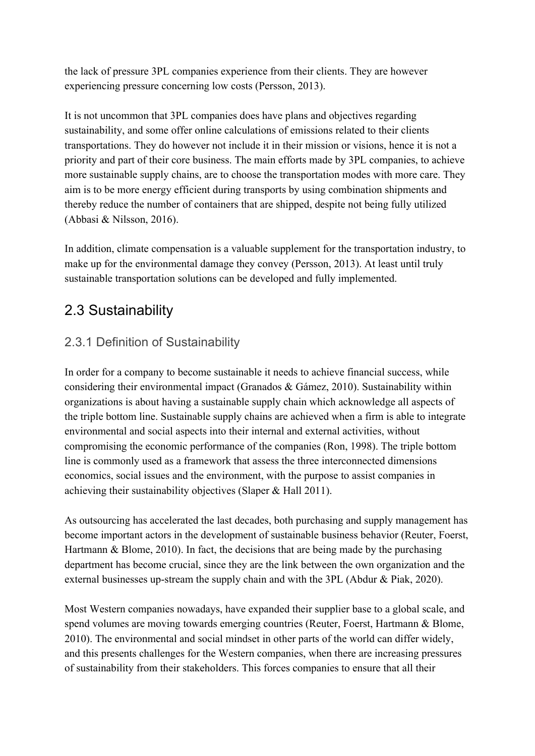the lack of pressure 3PL companies experience from their clients. They are however experiencing pressure concerning low costs (Persson, 2013).

It is not uncommon that 3PL companies does have plans and objectives regarding sustainability, and some offer online calculations of emissions related to their clients transportations. They do however not include it in their mission or visions, hence it is not a priority and part of their core business. The main efforts made by 3PL companies, to achieve more sustainable supply chains, are to choose the transportation modes with more care. They aim is to be more energy efficient during transports by using combination shipments and thereby reduce the number of containers that are shipped, despite not being fully utilized (Abbasi & Nilsson, 2016).

In addition, climate compensation is a valuable supplement for the transportation industry, to make up for the environmental damage they convey (Persson, 2013). At least until truly sustainable transportation solutions can be developed and fully implemented.

### <span id="page-10-0"></span>2.3 Sustainability

#### <span id="page-10-1"></span>2.3.1 Definition of Sustainability

In order for a company to become sustainable it needs to achieve financial success, while considering their environmental impact (Granados & Gámez, 2010). Sustainability within organizations is about having a sustainable supply chain which acknowledge all aspects of the triple bottom line. Sustainable supply chains are achieved when a firm is able to integrate environmental and social aspects into their internal and external activities, without compromising the economic performance of the companies (Ron, 1998). The triple bottom line is commonly used as a framework that assess the three interconnected dimensions economics, social issues and the environment, with the purpose to assist companies in achieving their sustainability objectives (Slaper & Hall 2011).

As outsourcing has accelerated the last decades, both purchasing and supply management has become important actors in the development of sustainable business behavior (Reuter, Foerst, Hartmann & Blome, 2010). In fact, the decisions that are being made by the purchasing department has become crucial, since they are the link between the own organization and the external businesses up-stream the supply chain and with the 3PL (Abdur & Piak, 2020).

Most Western companies nowadays, have expanded their supplier base to a global scale, and spend volumes are moving towards emerging countries (Reuter, Foerst, Hartmann & Blome, 2010). The environmental and social mindset in other parts of the world can differ widely, and this presents challenges for the Western companies, when there are increasing pressures of sustainability from their stakeholders. This forces companies to ensure that all their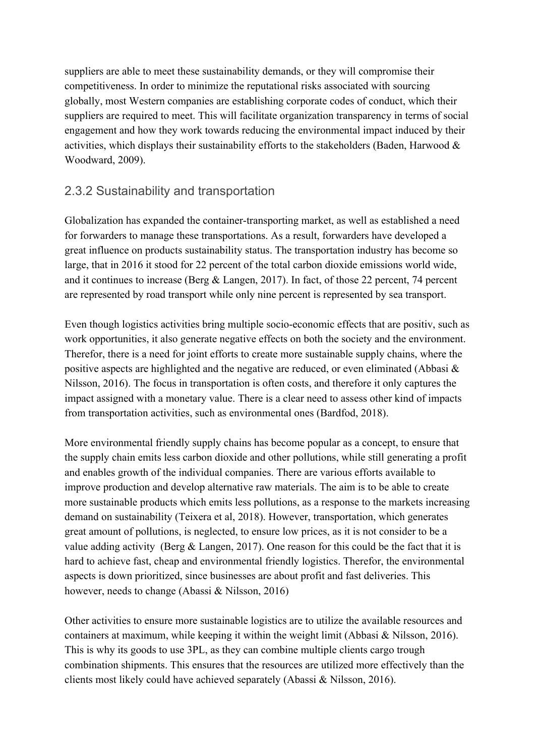suppliers are able to meet these sustainability demands, or they will compromise their competitiveness. In order to minimize the reputational risks associated with sourcing globally, most Western companies are establishing corporate codes of conduct, which their suppliers are required to meet. This will facilitate organization transparency in terms of social engagement and how they work towards reducing the environmental impact induced by their activities, which displays their sustainability efforts to the stakeholders (Baden, Harwood  $\&$ Woodward, 2009).

#### <span id="page-11-0"></span>2.3.2 Sustainability and transportation

Globalization has expanded the container-transporting market, as well as established a need for forwarders to manage these transportations. As a result, forwarders have developed a great influence on products sustainability status. The transportation industry has become so large, that in 2016 it stood for 22 percent of the total carbon dioxide emissions world wide, and it continues to increase (Berg & Langen, 2017). In fact, of those 22 percent, 74 percent are represented by road transport while only nine percent is represented by sea transport.

Even though logistics activities bring multiple socio-economic effects that are positiv, such as work opportunities, it also generate negative effects on both the society and the environment. Therefor, there is a need for joint efforts to create more sustainable supply chains, where the positive aspects are highlighted and the negative are reduced, or even eliminated (Abbasi & Nilsson, 2016). The focus in transportation is often costs, and therefore it only captures the impact assigned with a monetary value. There is a clear need to assess other kind of impacts from transportation activities, such as environmental ones (Bardfod, 2018).

More environmental friendly supply chains has become popular as a concept, to ensure that the supply chain emits less carbon dioxide and other pollutions, while still generating a profit and enables growth of the individual companies. There are various efforts available to improve production and develop alternative raw materials. The aim is to be able to create more sustainable products which emits less pollutions, as a response to the markets increasing demand on sustainability (Teixera et al, 2018). However, transportation, which generates great amount of pollutions, is neglected, to ensure low prices, as it is not consider to be a value adding activity (Berg & Langen, 2017). One reason for this could be the fact that it is hard to achieve fast, cheap and environmental friendly logistics. Therefor, the environmental aspects is down prioritized, since businesses are about profit and fast deliveries. This however, needs to change (Abassi & Nilsson, 2016)

Other activities to ensure more sustainable logistics are to utilize the available resources and containers at maximum, while keeping it within the weight limit (Abbasi  $\&$  Nilsson, 2016). This is why its goods to use 3PL, as they can combine multiple clients cargo trough combination shipments. This ensures that the resources are utilized more effectively than the clients most likely could have achieved separately (Abassi & Nilsson, 2016).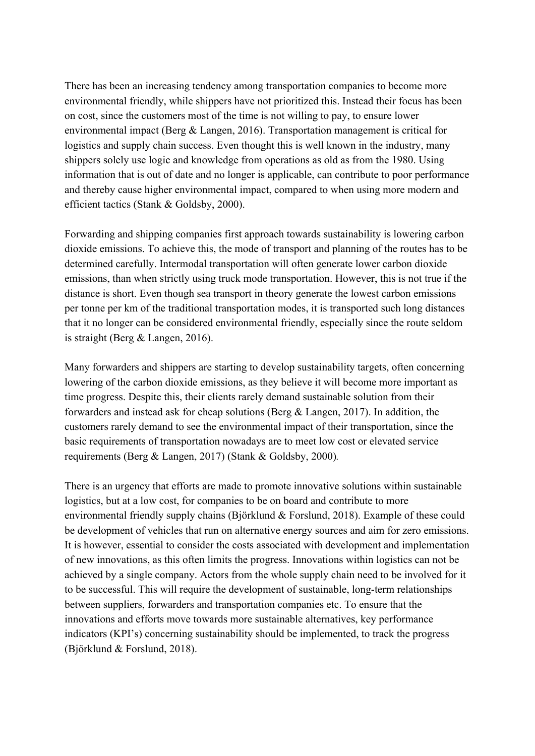There has been an increasing tendency among transportation companies to become more environmental friendly, while shippers have not prioritized this. Instead their focus has been on cost, since the customers most of the time is not willing to pay, to ensure lower environmental impact (Berg & Langen, 2016). Transportation management is critical for logistics and supply chain success. Even thought this is well known in the industry, many shippers solely use logic and knowledge from operations as old as from the 1980. Using information that is out of date and no longer is applicable, can contribute to poor performance and thereby cause higher environmental impact, compared to when using more modern and efficient tactics (Stank & Goldsby, 2000).

Forwarding and shipping companies first approach towards sustainability is lowering carbon dioxide emissions. To achieve this, the mode of transport and planning of the routes has to be determined carefully. Intermodal transportation will often generate lower carbon dioxide emissions, than when strictly using truck mode transportation. However, this is not true if the distance is short. Even though sea transport in theory generate the lowest carbon emissions per tonne per km of the traditional transportation modes, it is transported such long distances that it no longer can be considered environmental friendly, especially since the route seldom is straight (Berg & Langen, 2016).

Many forwarders and shippers are starting to develop sustainability targets, often concerning lowering of the carbon dioxide emissions, as they believe it will become more important as time progress. Despite this, their clients rarely demand sustainable solution from their forwarders and instead ask for cheap solutions (Berg & Langen, 2017). In addition, the customers rarely demand to see the environmental impact of their transportation, since the basic requirements of transportation nowadays are to meet low cost or elevated service requirements (Berg & Langen, 2017) (Stank & Goldsby, 2000)*.*

There is an urgency that efforts are made to promote innovative solutions within sustainable logistics, but at a low cost, for companies to be on board and contribute to more environmental friendly supply chains (Björklund & Forslund, 2018). Example of these could be development of vehicles that run on alternative energy sources and aim for zero emissions. It is however, essential to consider the costs associated with development and implementation of new innovations, as this often limits the progress. Innovations within logistics can not be achieved by a single company. Actors from the whole supply chain need to be involved for it to be successful. This will require the development of sustainable, long-term relationships between suppliers, forwarders and transportation companies etc. To ensure that the innovations and efforts move towards more sustainable alternatives, key performance indicators (KPI's) concerning sustainability should be implemented, to track the progress (Björklund & Forslund, 2018).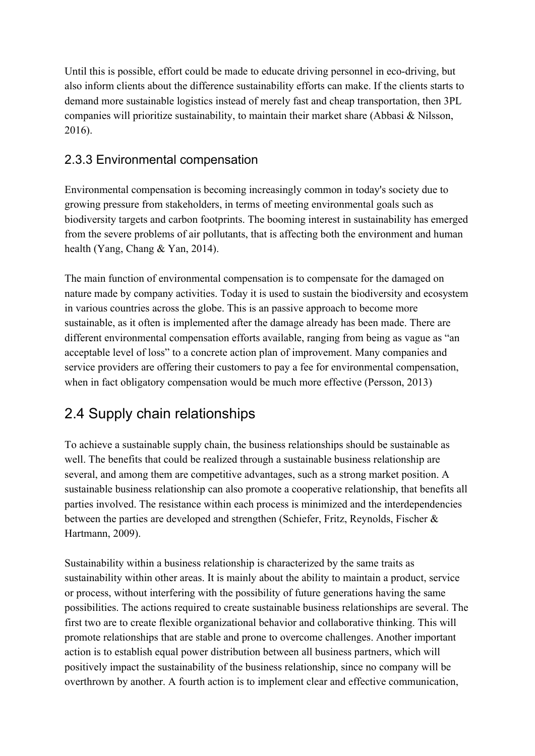Until this is possible, effort could be made to educate driving personnel in eco-driving, but also inform clients about the difference sustainability efforts can make. If the clients starts to demand more sustainable logistics instead of merely fast and cheap transportation, then 3PL companies will prioritize sustainability, to maintain their market share (Abbasi & Nilsson, 2016).

#### <span id="page-13-0"></span>2.3.3 Environmental compensation

Environmental compensation is becoming increasingly common in today's society due to growing pressure from stakeholders, in terms of meeting environmental goals such as biodiversity targets and carbon footprints. The booming interest in sustainability has emerged from the severe problems of air pollutants, that is affecting both the environment and human health (Yang, Chang & Yan, 2014).

The main function of environmental compensation is to compensate for the damaged on nature made by company activities. Today it is used to sustain the biodiversity and ecosystem in various countries across the globe. This is an passive approach to become more sustainable, as it often is implemented after the damage already has been made. There are different environmental compensation efforts available, ranging from being as vague as "an acceptable level of loss" to a concrete action plan of improvement. Many companies and service providers are offering their customers to pay a fee for environmental compensation, when in fact obligatory compensation would be much more effective (Persson, 2013)

# <span id="page-13-1"></span>2.4 Supply chain relationships

To achieve a sustainable supply chain, the business relationships should be sustainable as well. The benefits that could be realized through a sustainable business relationship are several, and among them are competitive advantages, such as a strong market position. A sustainable business relationship can also promote a cooperative relationship, that benefits all parties involved. The resistance within each process is minimized and the interdependencies between the parties are developed and strengthen (Schiefer, Fritz, Reynolds, Fischer & Hartmann, 2009).

Sustainability within a business relationship is characterized by the same traits as sustainability within other areas. It is mainly about the ability to maintain a product, service or process, without interfering with the possibility of future generations having the same possibilities. The actions required to create sustainable business relationships are several. The first two are to create flexible organizational behavior and collaborative thinking. This will promote relationships that are stable and prone to overcome challenges. Another important action is to establish equal power distribution between all business partners, which will positively impact the sustainability of the business relationship, since no company will be overthrown by another. A fourth action is to implement clear and effective communication,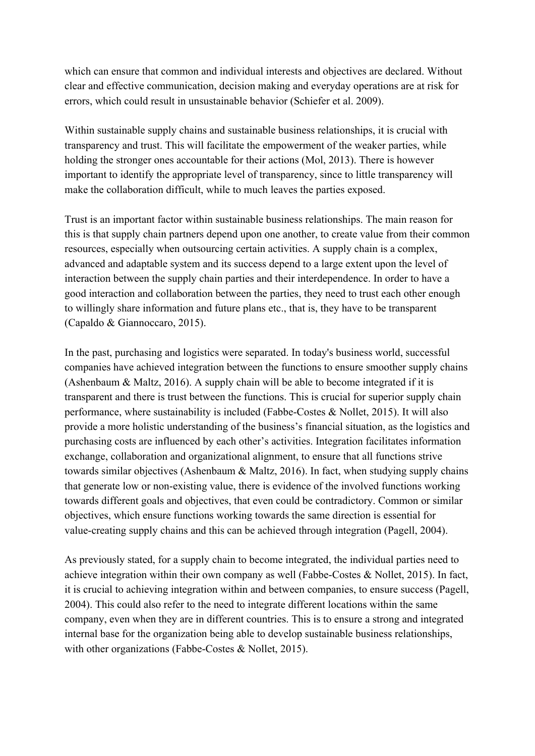which can ensure that common and individual interests and objectives are declared. Without clear and effective communication, decision making and everyday operations are at risk for errors, which could result in unsustainable behavior (Schiefer et al. 2009).

Within sustainable supply chains and sustainable business relationships, it is crucial with transparency and trust. This will facilitate the empowerment of the weaker parties, while holding the stronger ones accountable for their actions (Mol, 2013). There is however important to identify the appropriate level of transparency, since to little transparency will make the collaboration difficult, while to much leaves the parties exposed.

Trust is an important factor within sustainable business relationships. The main reason for this is that supply chain partners depend upon one another, to create value from their common resources, especially when outsourcing certain activities. A supply chain is a complex, advanced and adaptable system and its success depend to a large extent upon the level of interaction between the supply chain parties and their interdependence. In order to have a good interaction and collaboration between the parties, they need to trust each other enough to willingly share information and future plans etc., that is, they have to be transparent (Capaldo & Giannoccaro, 2015).

In the past, purchasing and logistics were separated. In today's business world, successful companies have achieved integration between the functions to ensure smoother supply chains (Ashenbaum & Maltz, 2016). A supply chain will be able to become integrated if it is transparent and there is trust between the functions. This is crucial for superior supply chain performance, where sustainability is included (Fabbe-Costes & Nollet, 2015). It will also provide a more holistic understanding of the business's financial situation, as the logistics and purchasing costs are influenced by each other's activities. Integration facilitates information exchange, collaboration and organizational alignment, to ensure that all functions strive towards similar objectives (Ashenbaum & Maltz, 2016). In fact, when studying supply chains that generate low or non-existing value, there is evidence of the involved functions working towards different goals and objectives, that even could be contradictory. Common or similar objectives, which ensure functions working towards the same direction is essential for value-creating supply chains and this can be achieved through integration (Pagell, 2004).

As previously stated, for a supply chain to become integrated, the individual parties need to achieve integration within their own company as well (Fabbe-Costes & Nollet, 2015). In fact, it is crucial to achieving integration within and between companies, to ensure success (Pagell, 2004). This could also refer to the need to integrate different locations within the same company, even when they are in different countries. This is to ensure a strong and integrated internal base for the organization being able to develop sustainable business relationships, with other organizations (Fabbe-Costes & Nollet, 2015).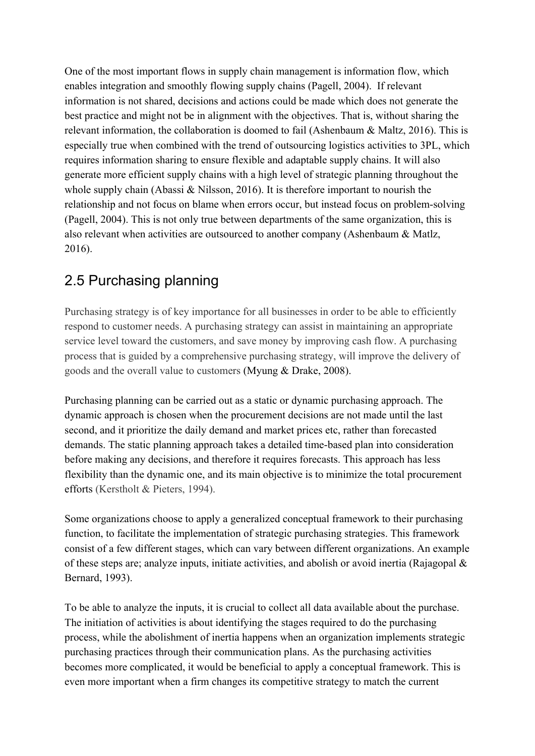One of the most important flows in supply chain management is information flow, which enables integration and smoothly flowing supply chains (Pagell, 2004). If relevant information is not shared, decisions and actions could be made which does not generate the best practice and might not be in alignment with the objectives. That is, without sharing the relevant information, the collaboration is doomed to fail (Ashenbaum & Maltz, 2016). This is especially true when combined with the trend of outsourcing logistics activities to 3PL, which requires information sharing to ensure flexible and adaptable supply chains. It will also generate more efficient supply chains with a high level of strategic planning throughout the whole supply chain (Abassi & Nilsson, 2016). It is therefore important to nourish the relationship and not focus on blame when errors occur, but instead focus on problem-solving (Pagell, 2004). This is not only true between departments of the same organization, this is also relevant when activities are outsourced to another company (Ashenbaum & Matlz, 2016).

# <span id="page-15-0"></span>2.5 Purchasing planning

Purchasing strategy is of key importance for all businesses in order to be able to efficiently respond to customer needs. A purchasing strategy can assist in maintaining an appropriate service level toward the customers, and save money by improving cash flow. A purchasing process that is guided by a comprehensive purchasing strategy, will improve the delivery of goods and the overall value to customers (Myung & Drake, 2008).

Purchasing planning can be carried out as a static or dynamic purchasing approach. The dynamic approach is chosen when the procurement decisions are not made until the last second, and it prioritize the daily demand and market prices etc, rather than forecasted demands. The static planning approach takes a detailed time-based plan into consideration before making any decisions, and therefore it requires forecasts. This approach has less flexibility than the dynamic one, and its main objective is to minimize the total procurement efforts (Kerstholt & Pieters, 1994).

Some organizations choose to apply a generalized conceptual framework to their purchasing function, to facilitate the implementation of strategic purchasing strategies. This framework consist of a few different stages, which can vary between different organizations. An example of these steps are; analyze inputs, initiate activities, and abolish or avoid inertia (Rajagopal & Bernard, 1993).

To be able to analyze the inputs, it is crucial to collect all data available about the purchase. The initiation of activities is about identifying the stages required to do the purchasing process, while the abolishment of inertia happens when an organization implements strategic purchasing practices through their communication plans. As the purchasing activities becomes more complicated, it would be beneficial to apply a conceptual framework. This is even more important when a firm changes its competitive strategy to match the current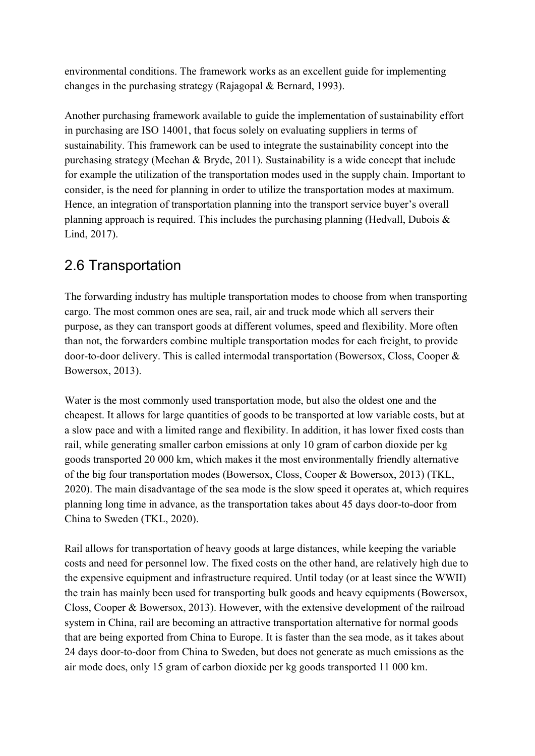environmental conditions. The framework works as an excellent guide for implementing changes in the purchasing strategy (Rajagopal & Bernard, 1993).

Another purchasing framework available to guide the implementation of sustainability effort in purchasing are ISO 14001, that focus solely on evaluating suppliers in terms of sustainability. This framework can be used to integrate the sustainability concept into the purchasing strategy (Meehan & Bryde, 2011). Sustainability is a wide concept that include for example the utilization of the transportation modes used in the supply chain. Important to consider, is the need for planning in order to utilize the transportation modes at maximum. Hence, an integration of transportation planning into the transport service buyer's overall planning approach is required. This includes the purchasing planning (Hedvall, Dubois  $\&$ Lind, 2017).

#### <span id="page-16-0"></span>2.6 Transportation

The forwarding industry has multiple transportation modes to choose from when transporting cargo. The most common ones are sea, rail, air and truck mode which all servers their purpose, as they can transport goods at different volumes, speed and flexibility. More often than not, the forwarders combine multiple transportation modes for each freight, to provide door-to-door delivery. This is called intermodal transportation (Bowersox, Closs, Cooper & Bowersox, 2013).

Water is the most commonly used transportation mode, but also the oldest one and the cheapest. It allows for large quantities of goods to be transported at low variable costs, but at a slow pace and with a limited range and flexibility. In addition, it has lower fixed costs than rail, while generating smaller carbon emissions at only 10 gram of carbon dioxide per kg goods transported 20 000 km, which makes it the most environmentally friendly alternative of the big four transportation modes (Bowersox, Closs, Cooper & Bowersox, 2013) (TKL, 2020). The main disadvantage of the sea mode is the slow speed it operates at, which requires planning long time in advance, as the transportation takes about 45 days door-to-door from China to Sweden (TKL, 2020).

Rail allows for transportation of heavy goods at large distances, while keeping the variable costs and need for personnel low. The fixed costs on the other hand, are relatively high due to the expensive equipment and infrastructure required. Until today (or at least since the WWII) the train has mainly been used for transporting bulk goods and heavy equipments (Bowersox, Closs, Cooper & Bowersox, 2013). However, with the extensive development of the railroad system in China, rail are becoming an attractive transportation alternative for normal goods that are being exported from China to Europe. It is faster than the sea mode, as it takes about 24 days door-to-door from China to Sweden, but does not generate as much emissions as the air mode does, only 15 gram of carbon dioxide per kg goods transported 11 000 km.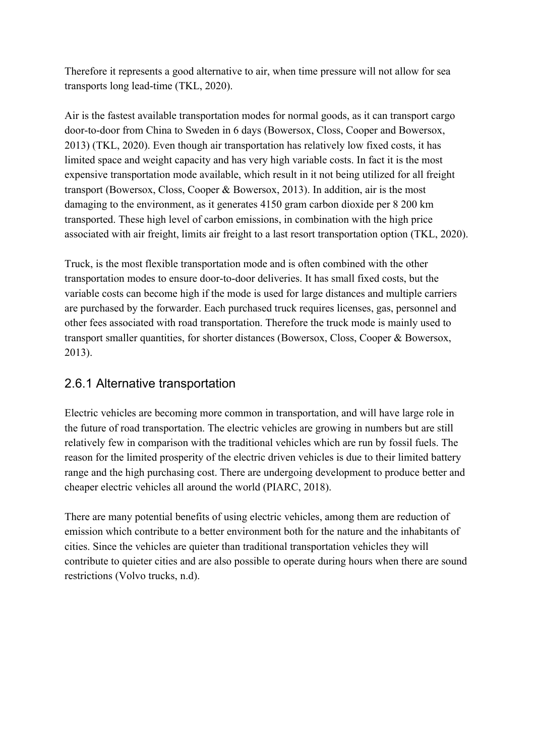Therefore it represents a good alternative to air, when time pressure will not allow for sea transports long lead-time (TKL, 2020).

Air is the fastest available transportation modes for normal goods, as it can transport cargo door-to-door from China to Sweden in 6 days (Bowersox, Closs, Cooper and Bowersox, 2013) (TKL, 2020). Even though air transportation has relatively low fixed costs, it has limited space and weight capacity and has very high variable costs. In fact it is the most expensive transportation mode available, which result in it not being utilized for all freight transport (Bowersox, Closs, Cooper & Bowersox, 2013). In addition, air is the most damaging to the environment, as it generates 4150 gram carbon dioxide per 8 200 km transported. These high level of carbon emissions, in combination with the high price associated with air freight, limits air freight to a last resort transportation option (TKL, 2020).

Truck, is the most flexible transportation mode and is often combined with the other transportation modes to ensure door-to-door deliveries. It has small fixed costs, but the variable costs can become high if the mode is used for large distances and multiple carriers are purchased by the forwarder. Each purchased truck requires licenses, gas, personnel and other fees associated with road transportation. Therefore the truck mode is mainly used to transport smaller quantities, for shorter distances (Bowersox, Closs, Cooper & Bowersox, 2013).

#### <span id="page-17-0"></span>2.6.1 Alternative transportation

Electric vehicles are becoming more common in transportation, and will have large role in the future of road transportation. The electric vehicles are growing in numbers but are still relatively few in comparison with the traditional vehicles which are run by fossil fuels. The reason for the limited prosperity of the electric driven vehicles is due to their limited battery range and the high purchasing cost. There are undergoing development to produce better and cheaper electric vehicles all around the world (PIARC, 2018).

There are many potential benefits of using electric vehicles, among them are reduction of emission which contribute to a better environment both for the nature and the inhabitants of cities. Since the vehicles are quieter than traditional transportation vehicles they will contribute to quieter cities and are also possible to operate during hours when there are sound restrictions (Volvo trucks, n.d).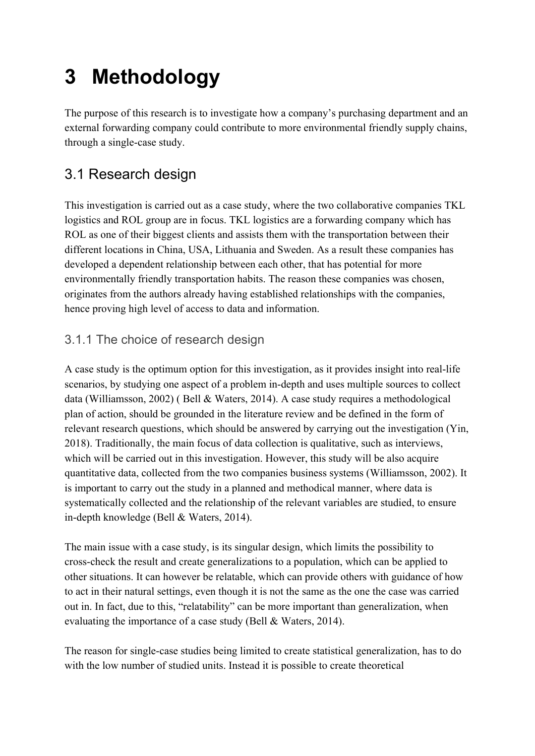# <span id="page-18-0"></span>**3 Methodology**

The purpose of this research is to investigate how a company's purchasing department and an external forwarding company could contribute to more environmental friendly supply chains, through a single-case study.

# <span id="page-18-1"></span>3.1 Research design

This investigation is carried out as a case study, where the two collaborative companies TKL logistics and ROL group are in focus. TKL logistics are a forwarding company which has ROL as one of their biggest clients and assists them with the transportation between their different locations in China, USA, Lithuania and Sweden. As a result these companies has developed a dependent relationship between each other, that has potential for more environmentally friendly transportation habits. The reason these companies was chosen, originates from the authors already having established relationships with the companies, hence proving high level of access to data and information.

#### <span id="page-18-2"></span>3.1.1 The choice of research design

A case study is the optimum option for this investigation, as it provides insight into real-life scenarios, by studying one aspect of a problem in-depth and uses multiple sources to collect data (Williamsson, 2002) ( Bell & Waters, 2014). A case study requires a methodological plan of action, should be grounded in the literature review and be defined in the form of relevant research questions, which should be answered by carrying out the investigation (Yin, 2018). Traditionally, the main focus of data collection is qualitative, such as interviews, which will be carried out in this investigation. However, this study will be also acquire quantitative data, collected from the two companies business systems (Williamsson, 2002). It is important to carry out the study in a planned and methodical manner, where data is systematically collected and the relationship of the relevant variables are studied, to ensure in-depth knowledge (Bell & Waters, 2014).

The main issue with a case study, is its singular design, which limits the possibility to cross-check the result and create generalizations to a population, which can be applied to other situations. It can however be relatable, which can provide others with guidance of how to act in their natural settings, even though it is not the same as the one the case was carried out in. In fact, due to this, "relatability" can be more important than generalization, when evaluating the importance of a case study (Bell & Waters, 2014).

The reason for single-case studies being limited to create statistical generalization, has to do with the low number of studied units. Instead it is possible to create theoretical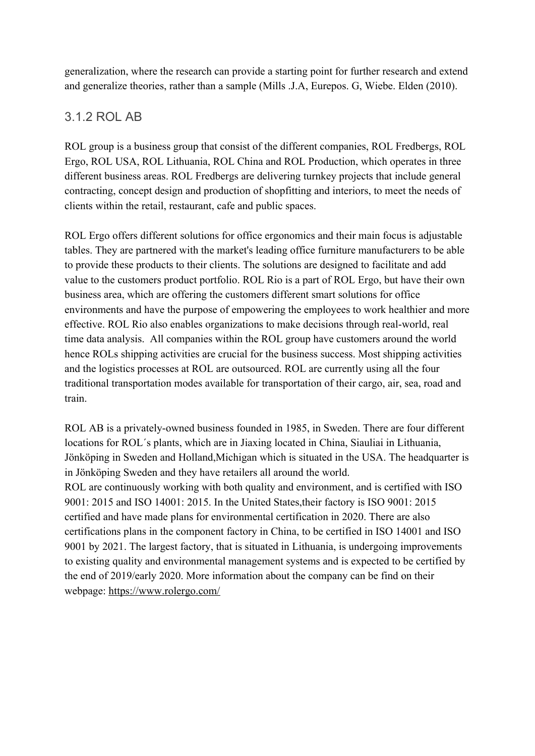generalization, where the research can provide a starting point for further research and extend and generalize theories, rather than a sample (Mills .J.A, Eurepos. G, Wiebe. Elden (2010).

#### <span id="page-19-0"></span>3.1.2 ROL AB

ROL group is a business group that consist of the different companies, ROL Fredbergs, ROL Ergo, ROL USA, ROL Lithuania, ROL China and ROL Production, which operates in three different business areas. ROL Fredbergs are delivering turnkey projects that include general contracting, concept design and production of shopfitting and interiors, to meet the needs of clients within the retail, restaurant, cafe and public spaces.

ROL Ergo offers different solutions for office ergonomics and their main focus is adjustable tables. They are partnered with the market's leading office furniture manufacturers to be able to provide these products to their clients. The solutions are designed to facilitate and add value to the customers product portfolio. ROL Rio is a part of ROL Ergo, but have their own business area, which are offering the customers different smart solutions for office environments and have the purpose of empowering the employees to work healthier and more effective. ROL Rio also enables organizations to make decisions through real-world, real time data analysis. All companies within the ROL group have customers around the world hence ROLs shipping activities are crucial for the business success. Most shipping activities and the logistics processes at ROL are outsourced. ROL are currently using all the four traditional transportation modes available for transportation of their cargo, air, sea, road and train.

ROL AB is a privately-owned business founded in 1985, in Sweden. There are four different locations for ROL´s plants, which are in Jiaxing located in China, Siauliai in Lithuania, Jönköping in Sweden and Holland,Michigan which is situated in the USA. The headquarter is in Jönköping Sweden and they have retailers all around the world. ROL are continuously working with both quality and environment, and is certified with ISO 9001: 2015 and ISO 14001: 2015. In the United States,their factory is ISO 9001: 2015 certified and have made plans for environmental certification in 2020. There are also certifications plans in the component factory in China, to be certified in ISO 14001 and ISO 9001 by 2021. The largest factory, that is situated in Lithuania, is undergoing improvements to existing quality and environmental management systems and is expected to be certified by the end of 2019/early 2020. More information about the company can be find on their webpage:<https://www.rolergo.com/>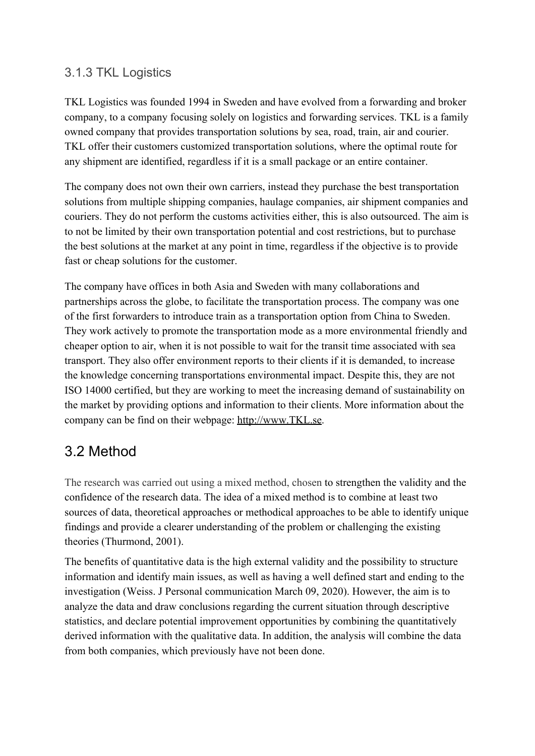#### <span id="page-20-0"></span>3.1.3 TKL Logistics

TKL Logistics was founded 1994 in Sweden and have evolved from a forwarding and broker company, to a company focusing solely on logistics and forwarding services. TKL is a family owned company that provides transportation solutions by sea, road, train, air and courier. TKL offer their customers customized transportation solutions, where the optimal route for any shipment are identified, regardless if it is a small package or an entire container.

The company does not own their own carriers, instead they purchase the best transportation solutions from multiple shipping companies, haulage companies, air shipment companies and couriers. They do not perform the customs activities either, this is also outsourced. The aim is to not be limited by their own transportation potential and cost restrictions, but to purchase the best solutions at the market at any point in time, regardless if the objective is to provide fast or cheap solutions for the customer.

The company have offices in both Asia and Sweden with many collaborations and partnerships across the globe, to facilitate the transportation process. The company was one of the first forwarders to introduce train as a transportation option from China to Sweden. They work actively to promote the transportation mode as a more environmental friendly and cheaper option to air, when it is not possible to wait for the transit time associated with sea transport. They also offer environment reports to their clients if it is demanded, to increase the knowledge concerning transportations environmental impact. Despite this, they are not ISO 14000 certified, but they are working to meet the increasing demand of sustainability on the market by providing options and information to their clients. More information about the company can be find on their webpage: [http://www.TKL.se.](http://www.tkl.se/)

#### <span id="page-20-1"></span>3.2 Method

The research was carried out using a mixed method, chosen to strengthen the validity and the confidence of the research data. The idea of a mixed method is to combine at least two sources of data, theoretical approaches or methodical approaches to be able to identify unique findings and provide a clearer understanding of the problem or challenging the existing theories (Thurmond, 2001).

The benefits of quantitative data is the high external validity and the possibility to structure information and identify main issues, as well as having a well defined start and ending to the investigation (Weiss. J Personal communication March 09, 2020). However, the aim is to analyze the data and draw conclusions regarding the current situation through descriptive statistics, and declare potential improvement opportunities by combining the quantitatively derived information with the qualitative data. In addition, the analysis will combine the data from both companies, which previously have not been done.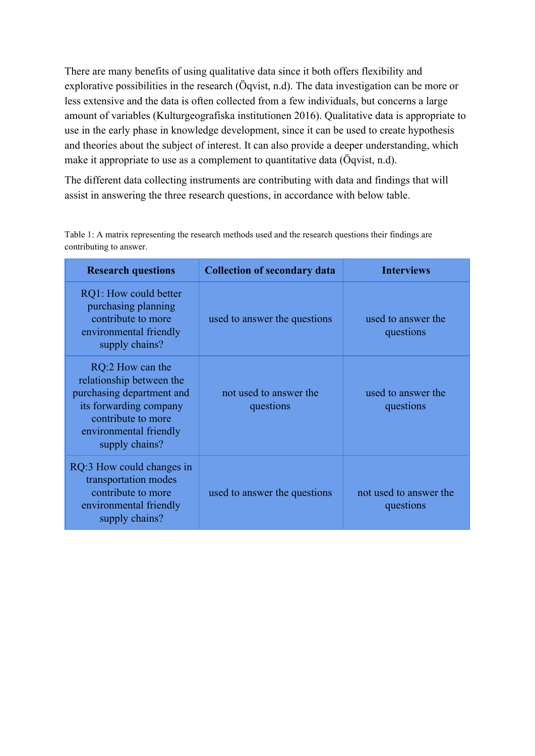There are many benefits of using qualitative data since it both offers flexibility and explorative possibilities in the research (Öqvist, n.d). The data investigation can be more or less extensive and the data is often collected from a few individuals, but concerns a large amount of variables (Kulturgeografiska institutionen 2016). Qualitative data is appropriate to use in the early phase in knowledge development, since it can be used to create hypothesis and theories about the subject of interest. It can also provide a deeper understanding, which make it appropriate to use as a complement to quantitative data (Öqvist, n.d).

The different data collecting instruments are contributing with data and findings that will assist in answering the three research questions, in accordance with below table.

| <b>Research questions</b>                                                                                                                                             | <b>Collection of secondary data</b> | <b>Interviews</b>               |
|-----------------------------------------------------------------------------------------------------------------------------------------------------------------------|-------------------------------------|---------------------------------|
| RQ1: How could better<br>purchasing planning<br>contribute to more<br>environmental friendly<br>supply chains?                                                        | used to answer the questions        | used to answer the<br>questions |
| RQ:2 How can the<br>relationship between the<br>purchasing department and<br>its forwarding company<br>contribute to more<br>environmental friendly<br>supply chains? | not used to answer the<br>questions | used to answer the<br>questions |
| RQ:3 How could changes in<br>transportation modes<br>contribute to more                                                                                               | used to answer the questions        | not used to answer the          |

questions

environmental friendly supply chains?

Table 1: A matrix representing the research methods used and the research questions their findings are contributing to answer.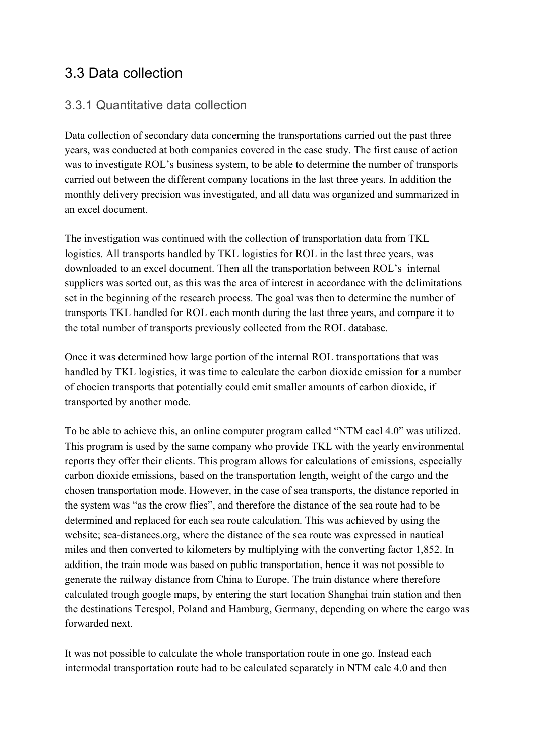#### <span id="page-22-0"></span>3.3 Data collection

#### <span id="page-22-1"></span>3.3.1 Quantitative data collection

Data collection of secondary data concerning the transportations carried out the past three years, was conducted at both companies covered in the case study. The first cause of action was to investigate ROL's business system, to be able to determine the number of transports carried out between the different company locations in the last three years. In addition the monthly delivery precision was investigated, and all data was organized and summarized in an excel document.

The investigation was continued with the collection of transportation data from TKL logistics. All transports handled by TKL logistics for ROL in the last three years, was downloaded to an excel document. Then all the transportation between ROL's internal suppliers was sorted out, as this was the area of interest in accordance with the delimitations set in the beginning of the research process. The goal was then to determine the number of transports TKL handled for ROL each month during the last three years, and compare it to the total number of transports previously collected from the ROL database.

Once it was determined how large portion of the internal ROL transportations that was handled by TKL logistics, it was time to calculate the carbon dioxide emission for a number of chocien transports that potentially could emit smaller amounts of carbon dioxide, if transported by another mode.

To be able to achieve this, an online computer program called "NTM cacl 4.0" was utilized. This program is used by the same company who provide TKL with the yearly environmental reports they offer their clients. This program allows for calculations of emissions, especially carbon dioxide emissions, based on the transportation length, weight of the cargo and the chosen transportation mode. However, in the case of sea transports, the distance reported in the system was "as the crow flies", and therefore the distance of the sea route had to be determined and replaced for each sea route calculation. This was achieved by using the website; sea-distances.org, where the distance of the sea route was expressed in nautical miles and then converted to kilometers by multiplying with the converting factor 1,852. In addition, the train mode was based on public transportation, hence it was not possible to generate the railway distance from China to Europe. The train distance where therefore calculated trough google maps, by entering the start location Shanghai train station and then the destinations Terespol, Poland and Hamburg, Germany, depending on where the cargo was forwarded next.

It was not possible to calculate the whole transportation route in one go. Instead each intermodal transportation route had to be calculated separately in NTM calc 4.0 and then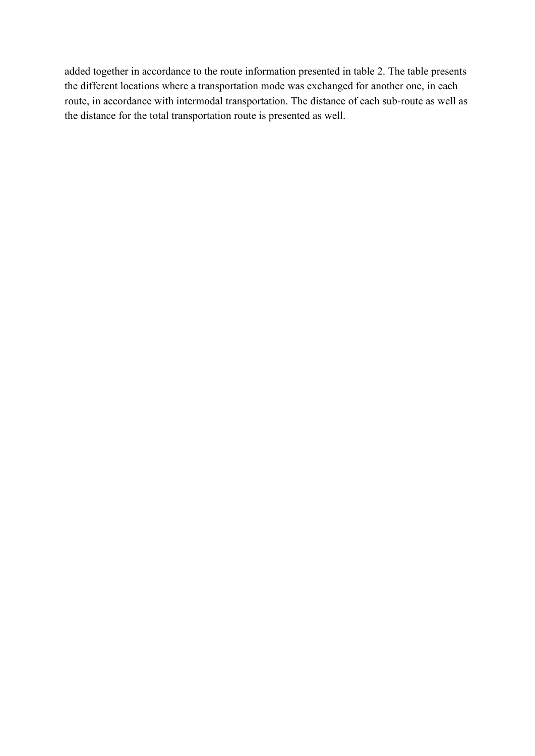added together in accordance to the route information presented in table 2. The table presents the different locations where a transportation mode was exchanged for another one, in each route, in accordance with intermodal transportation. The distance of each sub-route as well as the distance for the total transportation route is presented as well.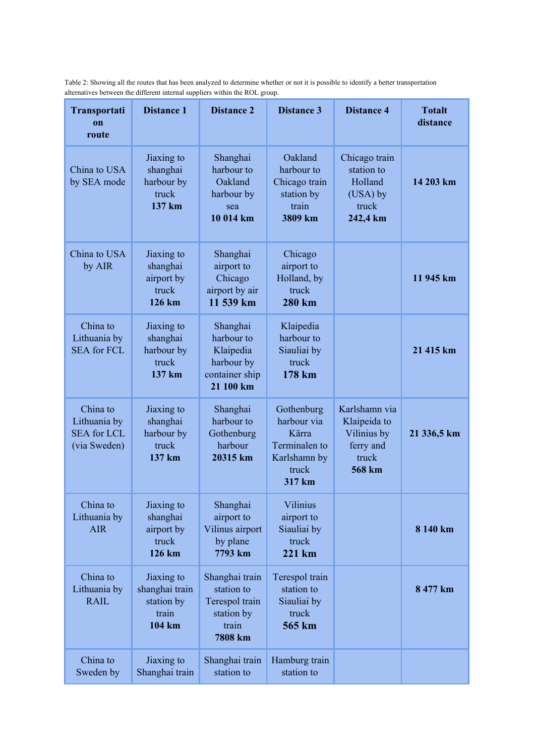Table 2: Showing all the routes that has been analyzed to determine whether or not it is possible to identify a better transportation alternatives between the different internal suppliers within the ROL group.

| Transportati<br>$\mathbf{on}$<br>route                         | <b>Distance 1</b>                                             | <b>Distance 2</b>                                                                | <b>Distance 3</b>                                                                      | <b>Distance 4</b>                                                            | <b>Totalt</b><br>distance |
|----------------------------------------------------------------|---------------------------------------------------------------|----------------------------------------------------------------------------------|----------------------------------------------------------------------------------------|------------------------------------------------------------------------------|---------------------------|
| China to USA<br>by SEA mode                                    | Jiaxing to<br>shanghai<br>harbour by<br>truck<br>137 km       | Shanghai<br>harbour to<br>Oakland<br>harbour by<br>sea<br>10 014 km              | Oakland<br>harbour to<br>Chicago train<br>station by<br>train<br>3809 km               | Chicago train<br>station to<br>Holland<br>(USA) by<br>truck<br>242,4 km      | 14 203 km                 |
| China to USA<br>by AIR                                         | Jiaxing to<br>shanghai<br>airport by<br>truck<br>126 km       | Shanghai<br>airport to<br>Chicago<br>airport by air<br>11 539 km                 | Chicago<br>airport to<br>Holland, by<br>truck<br><b>280 km</b>                         |                                                                              | 11 945 km                 |
| China to<br>Lithuania by<br><b>SEA for FCL</b>                 | Jiaxing to<br>shanghai<br>harbour by<br>truck<br>137 km       | Shanghai<br>harbour to<br>Klaipedia<br>harbour by<br>container ship<br>21 100 km | Klaipedia<br>harbour to<br>Siauliai by<br>truck<br>178 km                              |                                                                              | 21 415 km                 |
| China to<br>Lithuania by<br><b>SEA</b> for LCL<br>(via Sweden) | Jiaxing to<br>shanghai<br>harbour by<br>truck<br>137 km       | Shanghai<br>harbour to<br>Gothenburg<br>harbour<br>20315 km                      | Gothenburg<br>harbour via<br>Kärra<br>Terminalen to<br>Karlshamn by<br>truck<br>317 km | Karlshamn via<br>Klaipeida to<br>Vilinius by<br>ferry and<br>truck<br>568 km | 21 336,5 km               |
| China to<br>Lithuania by<br><b>AIR</b>                         | Jiaxing to<br>shanghai<br>airport by<br>truck<br>126 km       | Shanghai<br>airport to<br>Vilinus airport<br>by plane<br>7793 km                 | Vilinius<br>airport to<br>Siauliai by<br>truck<br>$221$ km                             |                                                                              | 8 140 km                  |
| China to<br>Lithuania by<br><b>RAIL</b>                        | Jiaxing to<br>shanghai train<br>station by<br>train<br>104 km | Shanghai train<br>station to<br>Terespol train<br>station by<br>train<br>7808 km | Terespol train<br>station to<br>Siauliai by<br>truck<br>565 km                         |                                                                              | 8 477 km                  |
| China to<br>Sweden by                                          | Jiaxing to<br>Shanghai train                                  | Shanghai train<br>station to                                                     | Hamburg train<br>station to                                                            |                                                                              |                           |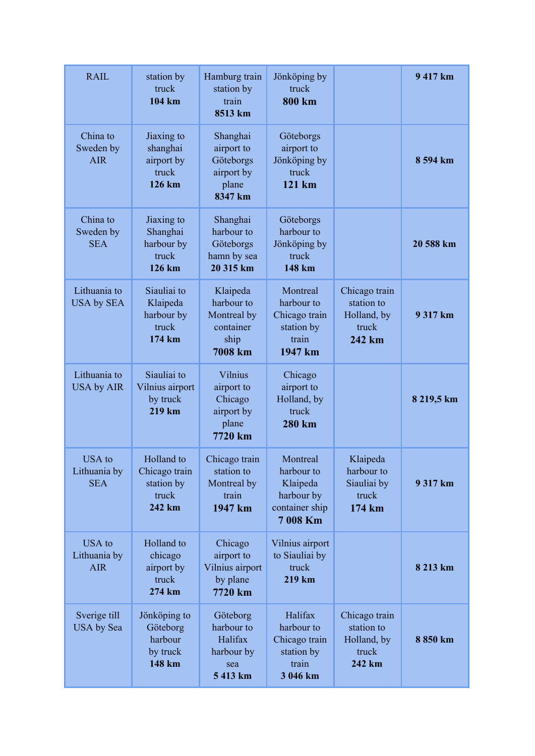| <b>RAIL</b>                                 | station by<br>truck<br>104 km                                | Hamburg train<br>station by<br>train<br>8513 km                              | Jönköping by<br>truck<br>800 km                                                |                                                               | 9 417 km   |
|---------------------------------------------|--------------------------------------------------------------|------------------------------------------------------------------------------|--------------------------------------------------------------------------------|---------------------------------------------------------------|------------|
| China to<br>Sweden by<br><b>AIR</b>         | Jiaxing to<br>shanghai<br>airport by<br>truck<br>126 km      | Shanghai<br>airport to<br>Göteborgs<br>airport by<br>plane<br>8347 km        | Göteborgs<br>airport to<br>Jönköping by<br>truck<br>121 km                     |                                                               | 8 594 km   |
| China to<br>Sweden by<br><b>SEA</b>         | Jiaxing to<br>Shanghai<br>harbour by<br>truck<br>126 km      | Shanghai<br>harbour to<br>Göteborgs<br>hamn by sea<br>20 315 km              | Göteborgs<br>harbour to<br>Jönköping by<br>truck<br>148 km                     |                                                               | 20 588 km  |
| Lithuania to<br><b>USA by SEA</b>           | Siauliai to<br>Klaipeda<br>harbour by<br>truck<br>174 km     | Klaipeda<br>harbour to<br>Montreal by<br>container<br>ship<br><b>7008 km</b> | Montreal<br>harbour to<br>Chicago train<br>station by<br>train<br>1947 km      | Chicago train<br>station to<br>Holland, by<br>truck<br>242 km | 9 317 km   |
| Lithuania to<br><b>USA by AIR</b>           | Siauliai to<br>Vilnius airport<br>by truck<br>219 km         | <b>Vilnius</b><br>airport to<br>Chicago<br>airport by<br>plane<br>7720 km    | Chicago<br>airport to<br>Holland, by<br>truck<br>280 km                        |                                                               | 8 219,5 km |
| <b>USA</b> to<br>Lithuania by<br><b>SEA</b> | Holland to<br>Chicago train<br>station by<br>truck<br>242 km | Chicago train<br>station to<br>Montreal by<br>train<br>1947 km               | Montreal<br>harbour to<br>Klaipeda<br>harbour by<br>container ship<br>7 008 Km | Klaipeda<br>harbour to<br>Siauliai by<br>truck<br>174 km      | 9 317 km   |
| USA to<br>Lithuania by<br><b>AIR</b>        | Holland to<br>chicago<br>airport by<br>truck<br>274 km       | Chicago<br>airport to<br>Vilnius airport<br>by plane<br>7720 km              | Vilnius airport<br>to Siauliai by<br>truck<br>219 km                           |                                                               | 8 213 km   |
| Sverige till<br>USA by Sea                  | Jönköping to<br>Göteborg<br>harbour<br>by truck<br>148 km    | Göteborg<br>harbour to<br>Halifax<br>harbour by<br>sea<br>5 413 km           | Halifax<br>harbour to<br>Chicago train<br>station by<br>train<br>3 046 km      | Chicago train<br>station to<br>Holland, by<br>truck<br>242 km | 8 850 km   |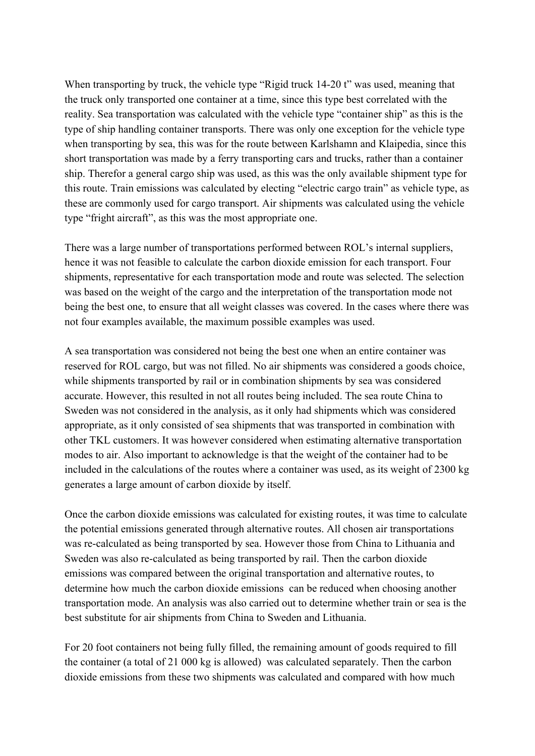When transporting by truck, the vehicle type "Rigid truck 14-20 t" was used, meaning that the truck only transported one container at a time, since this type best correlated with the reality. Sea transportation was calculated with the vehicle type "container ship" as this is the type of ship handling container transports. There was only one exception for the vehicle type when transporting by sea, this was for the route between Karlshamn and Klaipedia, since this short transportation was made by a ferry transporting cars and trucks, rather than a container ship. Therefor a general cargo ship was used, as this was the only available shipment type for this route. Train emissions was calculated by electing "electric cargo train" as vehicle type, as these are commonly used for cargo transport. Air shipments was calculated using the vehicle type "fright aircraft", as this was the most appropriate one.

There was a large number of transportations performed between ROL's internal suppliers, hence it was not feasible to calculate the carbon dioxide emission for each transport. Four shipments, representative for each transportation mode and route was selected. The selection was based on the weight of the cargo and the interpretation of the transportation mode not being the best one, to ensure that all weight classes was covered. In the cases where there was not four examples available, the maximum possible examples was used.

A sea transportation was considered not being the best one when an entire container was reserved for ROL cargo, but was not filled. No air shipments was considered a goods choice, while shipments transported by rail or in combination shipments by sea was considered accurate. However, this resulted in not all routes being included. The sea route China to Sweden was not considered in the analysis, as it only had shipments which was considered appropriate, as it only consisted of sea shipments that was transported in combination with other TKL customers. It was however considered when estimating alternative transportation modes to air. Also important to acknowledge is that the weight of the container had to be included in the calculations of the routes where a container was used, as its weight of 2300 kg generates a large amount of carbon dioxide by itself.

Once the carbon dioxide emissions was calculated for existing routes, it was time to calculate the potential emissions generated through alternative routes. All chosen air transportations was re-calculated as being transported by sea. However those from China to Lithuania and Sweden was also re-calculated as being transported by rail. Then the carbon dioxide emissions was compared between the original transportation and alternative routes, to determine how much the carbon dioxide emissions can be reduced when choosing another transportation mode. An analysis was also carried out to determine whether train or sea is the best substitute for air shipments from China to Sweden and Lithuania.

For 20 foot containers not being fully filled, the remaining amount of goods required to fill the container (a total of 21 000 kg is allowed) was calculated separately. Then the carbon dioxide emissions from these two shipments was calculated and compared with how much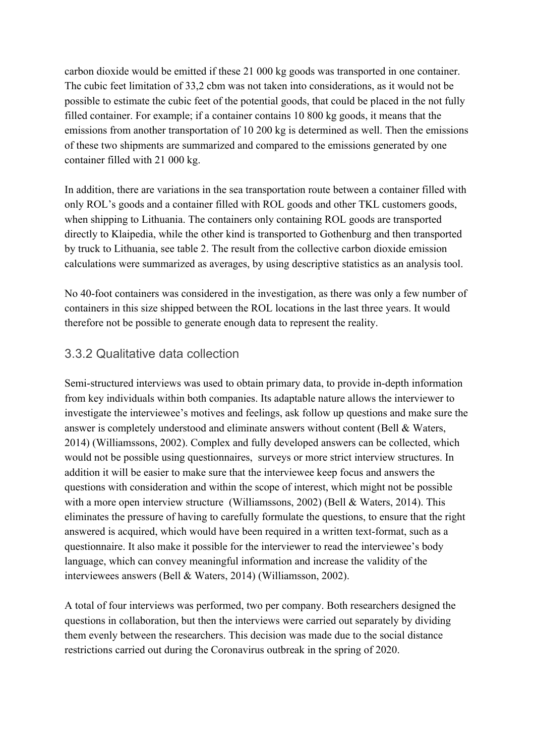carbon dioxide would be emitted if these 21 000 kg goods was transported in one container. The cubic feet limitation of 33,2 cbm was not taken into considerations, as it would not be possible to estimate the cubic feet of the potential goods, that could be placed in the not fully filled container. For example; if a container contains 10 800 kg goods, it means that the emissions from another transportation of 10 200 kg is determined as well. Then the emissions of these two shipments are summarized and compared to the emissions generated by one container filled with 21 000 kg.

In addition, there are variations in the sea transportation route between a container filled with only ROL's goods and a container filled with ROL goods and other TKL customers goods, when shipping to Lithuania. The containers only containing ROL goods are transported directly to Klaipedia, while the other kind is transported to Gothenburg and then transported by truck to Lithuania, see table 2. The result from the collective carbon dioxide emission calculations were summarized as averages, by using descriptive statistics as an analysis tool.

No 40-foot containers was considered in the investigation, as there was only a few number of containers in this size shipped between the ROL locations in the last three years. It would therefore not be possible to generate enough data to represent the reality.

#### <span id="page-27-0"></span>3.3.2 Qualitative data collection

Semi-structured interviews was used to obtain primary data, to provide in-depth information from key individuals within both companies. Its adaptable nature allows the interviewer to investigate the interviewee's motives and feelings, ask follow up questions and make sure the answer is completely understood and eliminate answers without content (Bell & Waters, 2014) (Williamssons, 2002). Complex and fully developed answers can be collected, which would not be possible using questionnaires, surveys or more strict interview structures. In addition it will be easier to make sure that the interviewee keep focus and answers the questions with consideration and within the scope of interest, which might not be possible with a more open interview structure (Williamssons, 2002) (Bell & Waters, 2014). This eliminates the pressure of having to carefully formulate the questions, to ensure that the right answered is acquired, which would have been required in a written text-format, such as a questionnaire. It also make it possible for the interviewer to read the interviewee's body language, which can convey meaningful information and increase the validity of the interviewees answers (Bell & Waters, 2014) (Williamsson, 2002).

A total of four interviews was performed, two per company. Both researchers designed the questions in collaboration, but then the interviews were carried out separately by dividing them evenly between the researchers. This decision was made due to the social distance restrictions carried out during the Coronavirus outbreak in the spring of 2020.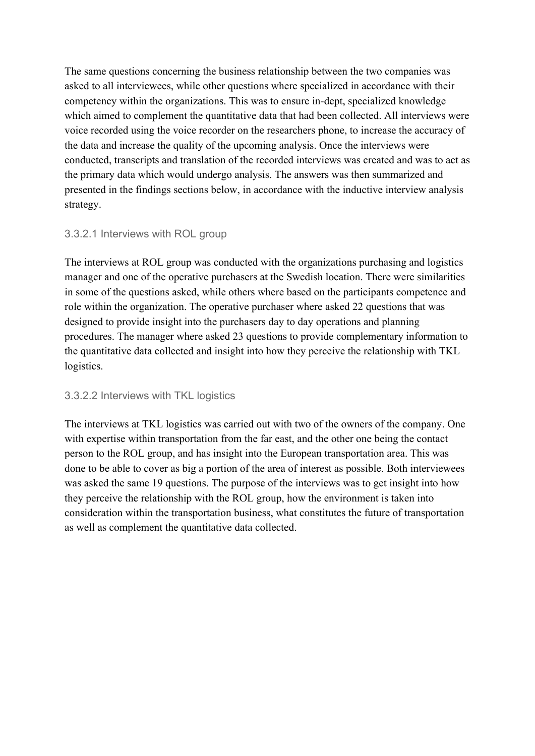The same questions concerning the business relationship between the two companies was asked to all interviewees, while other questions where specialized in accordance with their competency within the organizations. This was to ensure in-dept, specialized knowledge which aimed to complement the quantitative data that had been collected. All interviews were voice recorded using the voice recorder on the researchers phone, to increase the accuracy of the data and increase the quality of the upcoming analysis. Once the interviews were conducted, transcripts and translation of the recorded interviews was created and was to act as the primary data which would undergo analysis. The answers was then summarized and presented in the findings sections below, in accordance with the inductive interview analysis strategy.

#### <span id="page-28-0"></span>3.3.2.1 Interviews with ROL group

The interviews at ROL group was conducted with the organizations purchasing and logistics manager and one of the operative purchasers at the Swedish location. There were similarities in some of the questions asked, while others where based on the participants competence and role within the organization. The operative purchaser where asked 22 questions that was designed to provide insight into the purchasers day to day operations and planning procedures. The manager where asked 23 questions to provide complementary information to the quantitative data collected and insight into how they perceive the relationship with TKL logistics.

#### <span id="page-28-1"></span>3.3.2.2 Interviews with TKL logistics

The interviews at TKL logistics was carried out with two of the owners of the company. One with expertise within transportation from the far east, and the other one being the contact person to the ROL group, and has insight into the European transportation area. This was done to be able to cover as big a portion of the area of interest as possible. Both interviewees was asked the same 19 questions. The purpose of the interviews was to get insight into how they perceive the relationship with the ROL group, how the environment is taken into consideration within the transportation business, what constitutes the future of transportation as well as complement the quantitative data collected.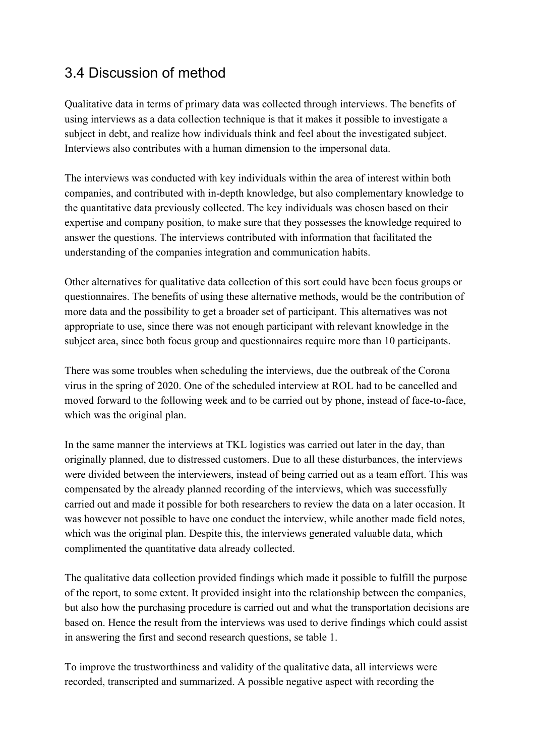#### <span id="page-29-0"></span>3.4 Discussion of method

Qualitative data in terms of primary data was collected through interviews. The benefits of using interviews as a data collection technique is that it makes it possible to investigate a subject in debt, and realize how individuals think and feel about the investigated subject. Interviews also contributes with a human dimension to the impersonal data.

The interviews was conducted with key individuals within the area of interest within both companies, and contributed with in-depth knowledge, but also complementary knowledge to the quantitative data previously collected. The key individuals was chosen based on their expertise and company position, to make sure that they possesses the knowledge required to answer the questions. The interviews contributed with information that facilitated the understanding of the companies integration and communication habits.

Other alternatives for qualitative data collection of this sort could have been focus groups or questionnaires. The benefits of using these alternative methods, would be the contribution of more data and the possibility to get a broader set of participant. This alternatives was not appropriate to use, since there was not enough participant with relevant knowledge in the subject area, since both focus group and questionnaires require more than 10 participants.

There was some troubles when scheduling the interviews, due the outbreak of the Corona virus in the spring of 2020. One of the scheduled interview at ROL had to be cancelled and moved forward to the following week and to be carried out by phone, instead of face-to-face, which was the original plan.

In the same manner the interviews at TKL logistics was carried out later in the day, than originally planned, due to distressed customers. Due to all these disturbances, the interviews were divided between the interviewers, instead of being carried out as a team effort. This was compensated by the already planned recording of the interviews, which was successfully carried out and made it possible for both researchers to review the data on a later occasion. It was however not possible to have one conduct the interview, while another made field notes, which was the original plan. Despite this, the interviews generated valuable data, which complimented the quantitative data already collected.

The qualitative data collection provided findings which made it possible to fulfill the purpose of the report, to some extent. It provided insight into the relationship between the companies, but also how the purchasing procedure is carried out and what the transportation decisions are based on. Hence the result from the interviews was used to derive findings which could assist in answering the first and second research questions, se table 1.

To improve the trustworthiness and validity of the qualitative data, all interviews were recorded, transcripted and summarized. A possible negative aspect with recording the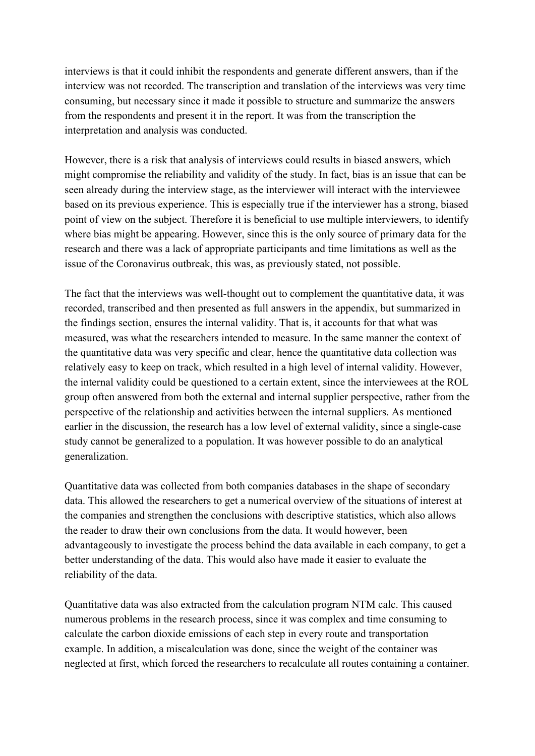interviews is that it could inhibit the respondents and generate different answers, than if the interview was not recorded. The transcription and translation of the interviews was very time consuming, but necessary since it made it possible to structure and summarize the answers from the respondents and present it in the report. It was from the transcription the interpretation and analysis was conducted.

However, there is a risk that analysis of interviews could results in biased answers, which might compromise the reliability and validity of the study. In fact, bias is an issue that can be seen already during the interview stage, as the interviewer will interact with the interviewee based on its previous experience. This is especially true if the interviewer has a strong, biased point of view on the subject. Therefore it is beneficial to use multiple interviewers, to identify where bias might be appearing. However, since this is the only source of primary data for the research and there was a lack of appropriate participants and time limitations as well as the issue of the Coronavirus outbreak, this was, as previously stated, not possible.

The fact that the interviews was well-thought out to complement the quantitative data, it was recorded, transcribed and then presented as full answers in the appendix, but summarized in the findings section, ensures the internal validity. That is, it accounts for that what was measured, was what the researchers intended to measure. In the same manner the context of the quantitative data was very specific and clear, hence the quantitative data collection was relatively easy to keep on track, which resulted in a high level of internal validity. However, the internal validity could be questioned to a certain extent, since the interviewees at the ROL group often answered from both the external and internal supplier perspective, rather from the perspective of the relationship and activities between the internal suppliers. As mentioned earlier in the discussion, the research has a low level of external validity, since a single-case study cannot be generalized to a population. It was however possible to do an analytical generalization.

Quantitative data was collected from both companies databases in the shape of secondary data. This allowed the researchers to get a numerical overview of the situations of interest at the companies and strengthen the conclusions with descriptive statistics, which also allows the reader to draw their own conclusions from the data. It would however, been advantageously to investigate the process behind the data available in each company, to get a better understanding of the data. This would also have made it easier to evaluate the reliability of the data.

Quantitative data was also extracted from the calculation program NTM calc. This caused numerous problems in the research process, since it was complex and time consuming to calculate the carbon dioxide emissions of each step in every route and transportation example. In addition, a miscalculation was done, since the weight of the container was neglected at first, which forced the researchers to recalculate all routes containing a container.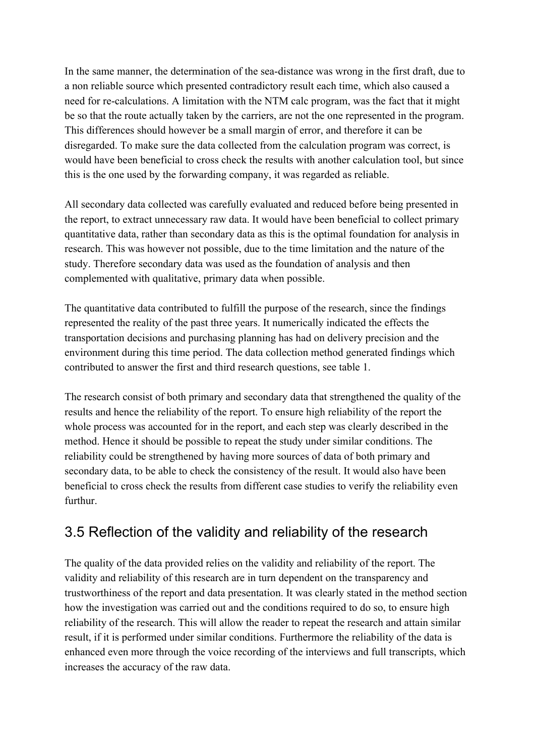In the same manner, the determination of the sea-distance was wrong in the first draft, due to a non reliable source which presented contradictory result each time, which also caused a need for re-calculations. A limitation with the NTM calc program, was the fact that it might be so that the route actually taken by the carriers, are not the one represented in the program. This differences should however be a small margin of error, and therefore it can be disregarded. To make sure the data collected from the calculation program was correct, is would have been beneficial to cross check the results with another calculation tool, but since this is the one used by the forwarding company, it was regarded as reliable.

All secondary data collected was carefully evaluated and reduced before being presented in the report, to extract unnecessary raw data. It would have been beneficial to collect primary quantitative data, rather than secondary data as this is the optimal foundation for analysis in research. This was however not possible, due to the time limitation and the nature of the study. Therefore secondary data was used as the foundation of analysis and then complemented with qualitative, primary data when possible.

The quantitative data contributed to fulfill the purpose of the research, since the findings represented the reality of the past three years. It numerically indicated the effects the transportation decisions and purchasing planning has had on delivery precision and the environment during this time period. The data collection method generated findings which contributed to answer the first and third research questions, see table 1.

The research consist of both primary and secondary data that strengthened the quality of the results and hence the reliability of the report. To ensure high reliability of the report the whole process was accounted for in the report, and each step was clearly described in the method. Hence it should be possible to repeat the study under similar conditions. The reliability could be strengthened by having more sources of data of both primary and secondary data, to be able to check the consistency of the result. It would also have been beneficial to cross check the results from different case studies to verify the reliability even furthur.

#### <span id="page-31-0"></span>3.5 Reflection of the validity and reliability of the research

The quality of the data provided relies on the validity and reliability of the report. The validity and reliability of this research are in turn dependent on the transparency and trustworthiness of the report and data presentation. It was clearly stated in the method section how the investigation was carried out and the conditions required to do so, to ensure high reliability of the research. This will allow the reader to repeat the research and attain similar result, if it is performed under similar conditions. Furthermore the reliability of the data is enhanced even more through the voice recording of the interviews and full transcripts, which increases the accuracy of the raw data.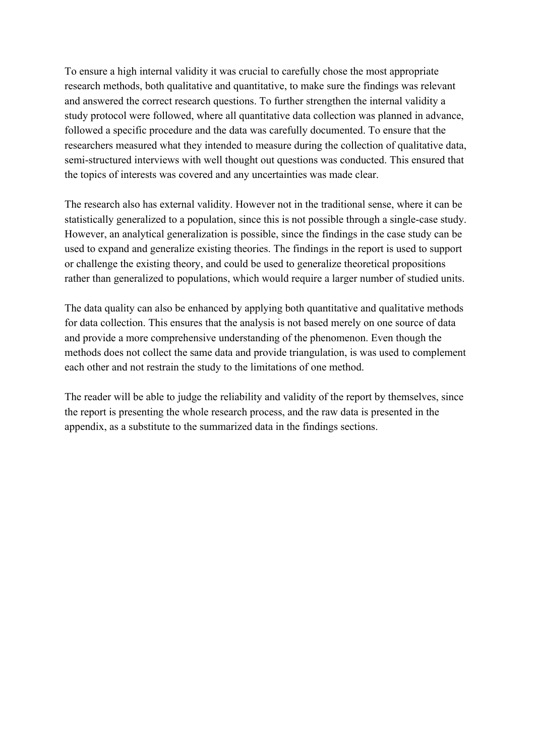To ensure a high internal validity it was crucial to carefully chose the most appropriate research methods, both qualitative and quantitative, to make sure the findings was relevant and answered the correct research questions. To further strengthen the internal validity a study protocol were followed, where all quantitative data collection was planned in advance, followed a specific procedure and the data was carefully documented. To ensure that the researchers measured what they intended to measure during the collection of qualitative data, semi-structured interviews with well thought out questions was conducted. This ensured that the topics of interests was covered and any uncertainties was made clear.

The research also has external validity. However not in the traditional sense, where it can be statistically generalized to a population, since this is not possible through a single-case study. However, an analytical generalization is possible, since the findings in the case study can be used to expand and generalize existing theories. The findings in the report is used to support or challenge the existing theory, and could be used to generalize theoretical propositions rather than generalized to populations, which would require a larger number of studied units.

The data quality can also be enhanced by applying both quantitative and qualitative methods for data collection. This ensures that the analysis is not based merely on one source of data and provide a more comprehensive understanding of the phenomenon. Even though the methods does not collect the same data and provide triangulation, is was used to complement each other and not restrain the study to the limitations of one method.

The reader will be able to judge the reliability and validity of the report by themselves, since the report is presenting the whole research process, and the raw data is presented in the appendix, as a substitute to the summarized data in the findings sections.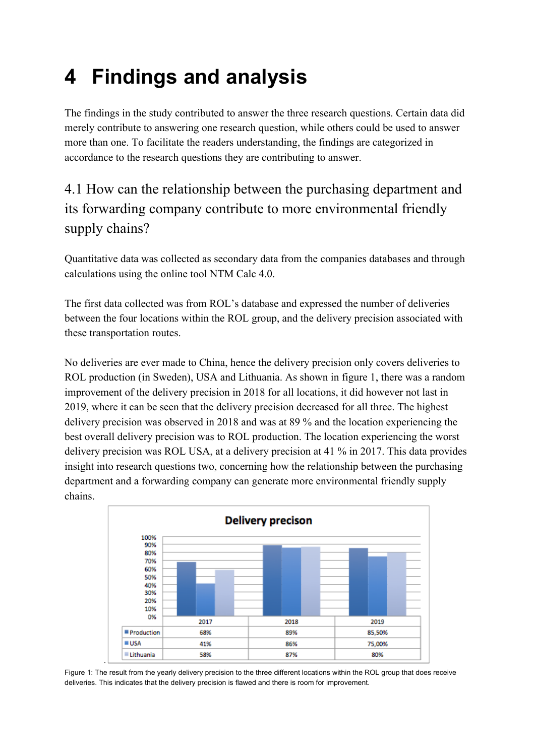# <span id="page-33-0"></span>**4 Findings and analysis**

The findings in the study contributed to answer the three research questions. Certain data did merely contribute to answering one research question, while others could be used to answer more than one. To facilitate the readers understanding, the findings are categorized in accordance to the research questions they are contributing to answer.

# <span id="page-33-1"></span>4.1 How can the relationship between the purchasing department and its forwarding company contribute to more environmental friendly supply chains?

Quantitative data was collected as secondary data from the companies databases and through calculations using the online tool NTM Calc 4.0.

The first data collected was from ROL's database and expressed the number of deliveries between the four locations within the ROL group, and the delivery precision associated with these transportation routes.

No deliveries are ever made to China, hence the delivery precision only covers deliveries to ROL production (in Sweden), USA and Lithuania. As shown in figure 1, there was a random improvement of the delivery precision in 2018 for all locations, it did however not last in 2019, where it can be seen that the delivery precision decreased for all three. The highest delivery precision was observed in 2018 and was at 89 % and the location experiencing the best overall delivery precision was to ROL production. The location experiencing the worst delivery precision was ROL USA, at a delivery precision at 41 % in 2017. This data provides insight into research questions two, concerning how the relationship between the purchasing department and a forwarding company can generate more environmental friendly supply chains.



Figure 1: The result from the yearly delivery precision to the three different locations within the ROL group that does receive deliveries. This indicates that the delivery precision is flawed and there is room for improvement.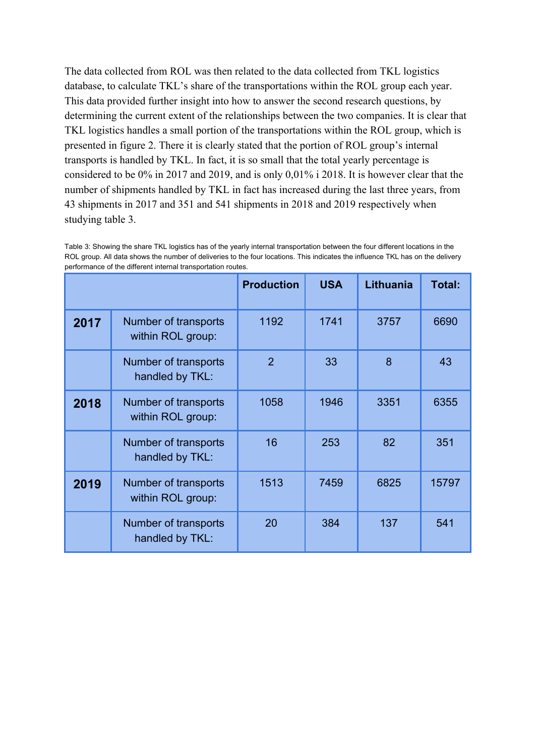The data collected from ROL was then related to the data collected from TKL logistics database, to calculate TKL's share of the transportations within the ROL group each year. This data provided further insight into how to answer the second research questions, by determining the current extent of the relationships between the two companies. It is clear that TKL logistics handles a small portion of the transportations within the ROL group, which is presented in figure 2. There it is clearly stated that the portion of ROL group's internal transports is handled by TKL. In fact, it is so small that the total yearly percentage is considered to be 0% in 2017 and 2019, and is only 0,01% i 2018. It is however clear that the number of shipments handled by TKL in fact has increased during the last three years, from 43 shipments in 2017 and 351 and 541 shipments in 2018 and 2019 respectively when studying table 3.

Table 3: Showing the share TKL logistics has of the yearly internal transportation between the four different locations in the ROL group. All data shows the number of deliveries to the four locations. This indicates the influence TKL has on the delivery performance of the different internal transportation routes.

|      |                                           | <b>Production</b> | <b>USA</b> | Lithuania | Total: |
|------|-------------------------------------------|-------------------|------------|-----------|--------|
| 2017 | Number of transports<br>within ROL group: | 1192              | 1741       | 3757      | 6690   |
|      | Number of transports<br>handled by TKL:   | 2                 | 33         | 8         | 43     |
| 2018 | Number of transports<br>within ROL group: | 1058              | 1946       | 3351      | 6355   |
|      | Number of transports<br>handled by TKL:   | 16                | 253        | 82        | 351    |
| 2019 | Number of transports<br>within ROL group: | 1513              | 7459       | 6825      | 15797  |
|      | Number of transports<br>handled by TKL:   | 20                | 384        | 137       | 541    |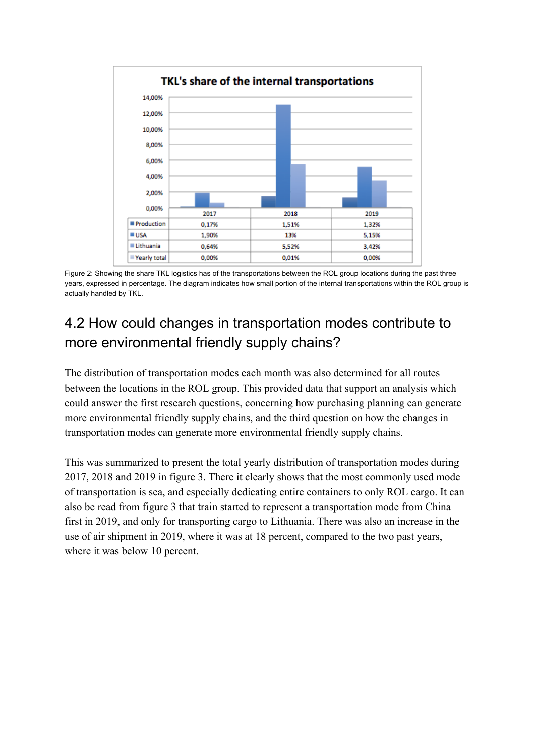

Figure 2: Showing the share TKL logistics has of the transportations between the ROL group locations during the past three years, expressed in percentage. The diagram indicates how small portion of the internal transportations within the ROL group is actually handled by TKL.

# <span id="page-35-0"></span>4.2 How could changes in transportation modes contribute to more environmental friendly supply chains?

The distribution of transportation modes each month was also determined for all routes between the locations in the ROL group. This provided data that support an analysis which could answer the first research questions, concerning how purchasing planning can generate more environmental friendly supply chains, and the third question on how the changes in transportation modes can generate more environmental friendly supply chains.

This was summarized to present the total yearly distribution of transportation modes during 2017, 2018 and 2019 in figure 3. There it clearly shows that the most commonly used mode of transportation is sea, and especially dedicating entire containers to only ROL cargo. It can also be read from figure 3 that train started to represent a transportation mode from China first in 2019, and only for transporting cargo to Lithuania. There was also an increase in the use of air shipment in 2019, where it was at 18 percent, compared to the two past years, where it was below 10 percent.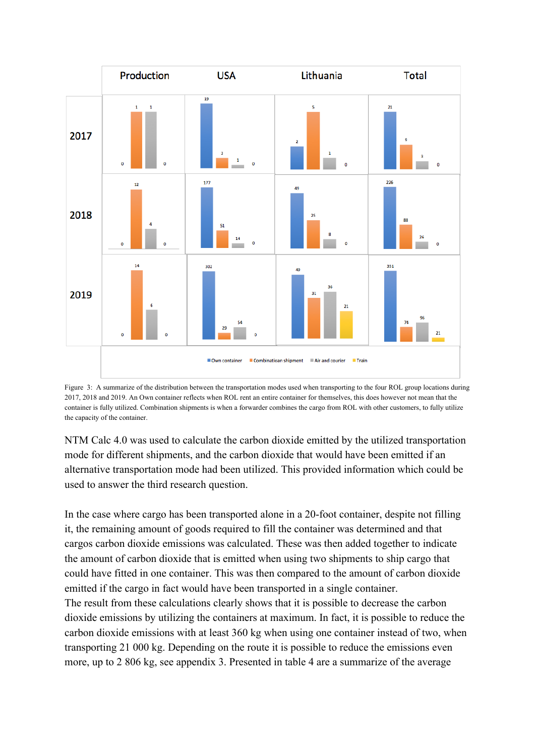

Figure 3: A summarize of the distribution between the transportation modes used when transporting to the four ROL group locations during 2017, 2018 and 2019. An Own container reflects when ROL rent an entire container for themselves, this does however not mean that the container is fully utilized. Combination shipments is when a forwarder combines the cargo from ROL with other customers, to fully utilize the capacity of the container.

NTM Calc 4.0 was used to calculate the carbon dioxide emitted by the utilized transportation mode for different shipments, and the carbon dioxide that would have been emitted if an alternative transportation mode had been utilized. This provided information which could be used to answer the third research question.

In the case where cargo has been transported alone in a 20-foot container, despite not filling it, the remaining amount of goods required to fill the container was determined and that cargos carbon dioxide emissions was calculated. These was then added together to indicate the amount of carbon dioxide that is emitted when using two shipments to ship cargo that could have fitted in one container. This was then compared to the amount of carbon dioxide emitted if the cargo in fact would have been transported in a single container. The result from these calculations clearly shows that it is possible to decrease the carbon dioxide emissions by utilizing the containers at maximum. In fact, it is possible to reduce the carbon dioxide emissions with at least 360 kg when using one container instead of two, when transporting 21 000 kg. Depending on the route it is possible to reduce the emissions even more, up to 2 806 kg, see appendix 3. Presented in table 4 are a summarize of the average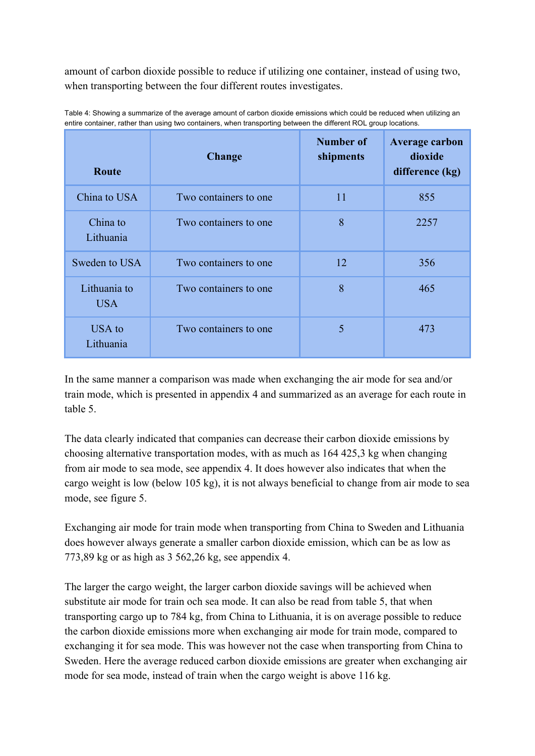amount of carbon dioxide possible to reduce if utilizing one container, instead of using two, when transporting between the four different routes investigates.

| Route                 | <b>Change</b>          | Number of<br>shipments | <b>Average carbon</b><br>dioxide<br>difference (kg) |
|-----------------------|------------------------|------------------------|-----------------------------------------------------|
| China to USA          | Two containers to one. | 11                     | 855                                                 |
| China to<br>Lithuania | Two containers to one  | 8                      | 2257                                                |
| Sweden to USA         | Two containers to one. | 12                     | 356                                                 |
| Lithuania to<br>USA.  | Two containers to one  | 8                      | 465                                                 |
| USA to<br>Lithuania   | Two containers to one  | 5                      | 473                                                 |

Table 4: Showing a summarize of the average amount of carbon dioxide emissions which could be reduced when utilizing an entire container, rather than using two containers, when transporting between the different ROL group locations.

In the same manner a comparison was made when exchanging the air mode for sea and/or train mode, which is presented in appendix 4 and summarized as an average for each route in table 5.

The data clearly indicated that companies can decrease their carbon dioxide emissions by choosing alternative transportation modes, with as much as 164 425,3 kg when changing from air mode to sea mode, see appendix 4. It does however also indicates that when the cargo weight is low (below 105 kg), it is not always beneficial to change from air mode to sea mode, see figure 5.

Exchanging air mode for train mode when transporting from China to Sweden and Lithuania does however always generate a smaller carbon dioxide emission, which can be as low as 773,89 kg or as high as 3 562,26 kg, see appendix 4.

The larger the cargo weight, the larger carbon dioxide savings will be achieved when substitute air mode for train och sea mode. It can also be read from table 5, that when transporting cargo up to 784 kg, from China to Lithuania, it is on average possible to reduce the carbon dioxide emissions more when exchanging air mode for train mode, compared to exchanging it for sea mode. This was however not the case when transporting from China to Sweden. Here the average reduced carbon dioxide emissions are greater when exchanging air mode for sea mode, instead of train when the cargo weight is above 116 kg.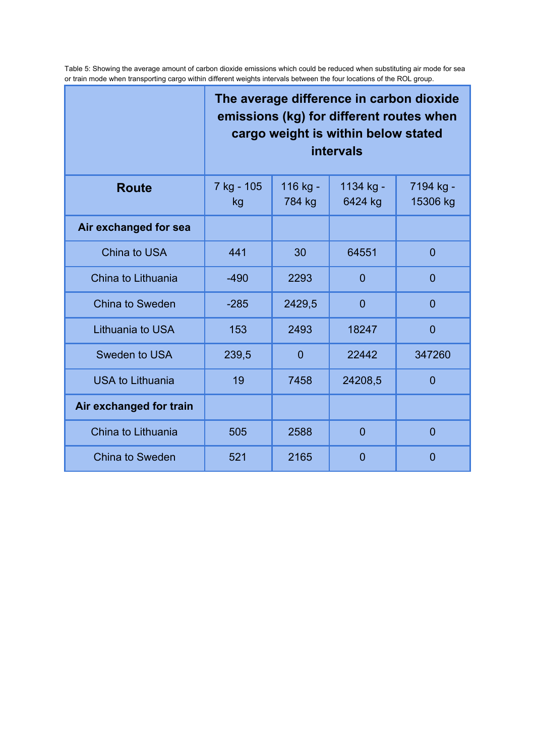Table 5: Showing the average amount of carbon dioxide emissions which could be reduced when substituting air mode for sea or train mode when transporting cargo within different weights intervals between the four locations of the ROL group.

|                         | The average difference in carbon dioxide<br>emissions (kg) for different routes when<br>cargo weight is within below stated<br><b>intervals</b> |                       |                |                |  |
|-------------------------|-------------------------------------------------------------------------------------------------------------------------------------------------|-----------------------|----------------|----------------|--|
| <b>Route</b>            | 7 kg - 105<br>kg                                                                                                                                | 7194 kg -<br>15306 kg |                |                |  |
| Air exchanged for sea   |                                                                                                                                                 |                       |                |                |  |
| China to USA            | 441                                                                                                                                             | 30                    | 64551          | $\overline{0}$ |  |
| China to Lithuania      | $-490$                                                                                                                                          | 2293                  | $\overline{0}$ | $\overline{0}$ |  |
| <b>China to Sweden</b>  | $-285$                                                                                                                                          | 2429,5                | $\overline{0}$ | $\overline{0}$ |  |
| Lithuania to USA        | 153                                                                                                                                             | 2493                  | 18247          | $\overline{0}$ |  |
| Sweden to USA           | 239,5                                                                                                                                           | $\overline{0}$        | 22442          | 347260         |  |
| <b>USA to Lithuania</b> | 19                                                                                                                                              | 7458                  | 24208,5        | $\overline{0}$ |  |
| Air exchanged for train |                                                                                                                                                 |                       |                |                |  |
| China to Lithuania      | 505                                                                                                                                             | 2588                  | $\overline{0}$ | $\overline{0}$ |  |
| <b>China to Sweden</b>  | 521                                                                                                                                             | 2165                  | $\overline{0}$ | $\overline{0}$ |  |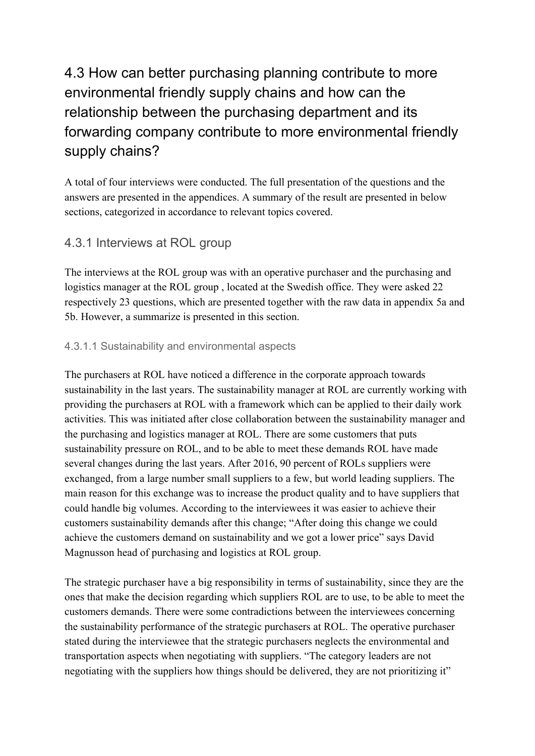# 4.3 How can better purchasing planning contribute to more environmental friendly supply chains and how can the relationship between the purchasing department and its forwarding company contribute to more environmental friendly supply chains?

A total of four interviews were conducted. The full presentation of the questions and the answers are presented in the appendices. A summary of the result are presented in below sections, categorized in accordance to relevant topics covered.

## 4.3.1 Interviews at ROL group

The interviews at the ROL group was with an operative purchaser and the purchasing and logistics manager at the ROL group , located at the Swedish office. They were asked 22 respectively 23 questions, which are presented together with the raw data in appendix 5a and 5b. However, a summarize is presented in this section.

#### 4.3.1.1 Sustainability and environmental aspects

The purchasers at ROL have noticed a difference in the corporate approach towards sustainability in the last years. The sustainability manager at ROL are currently working with providing the purchasers at ROL with a framework which can be applied to their daily work activities. This was initiated after close collaboration between the sustainability manager and the purchasing and logistics manager at ROL. There are some customers that puts sustainability pressure on ROL, and to be able to meet these demands ROL have made several changes during the last years. After 2016, 90 percent of ROLs suppliers were exchanged, from a large number small suppliers to a few, but world leading suppliers. The main reason for this exchange was to increase the product quality and to have suppliers that could handle big volumes. According to the interviewees it was easier to achieve their customers sustainability demands after this change; "After doing this change we could achieve the customers demand on sustainability and we got a lower price" says David Magnusson head of purchasing and logistics at ROL group.

The strategic purchaser have a big responsibility in terms of sustainability, since they are the ones that make the decision regarding which suppliers ROL are to use, to be able to meet the customers demands. There were some contradictions between the interviewees concerning the sustainability performance of the strategic purchasers at ROL. The operative purchaser stated during the interviewee that the strategic purchasers neglects the environmental and transportation aspects when negotiating with suppliers. "The category leaders are not negotiating with the suppliers how things should be delivered, they are not prioritizing it"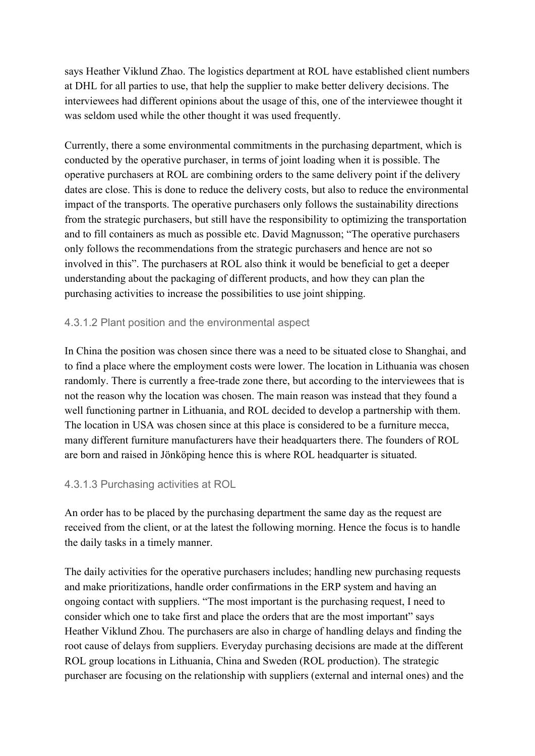says Heather Viklund Zhao. The logistics department at ROL have established client numbers at DHL for all parties to use, that help the supplier to make better delivery decisions. The interviewees had different opinions about the usage of this, one of the interviewee thought it was seldom used while the other thought it was used frequently.

Currently, there a some environmental commitments in the purchasing department, which is conducted by the operative purchaser, in terms of joint loading when it is possible. The operative purchasers at ROL are combining orders to the same delivery point if the delivery dates are close. This is done to reduce the delivery costs, but also to reduce the environmental impact of the transports. The operative purchasers only follows the sustainability directions from the strategic purchasers, but still have the responsibility to optimizing the transportation and to fill containers as much as possible etc. David Magnusson; "The operative purchasers only follows the recommendations from the strategic purchasers and hence are not so involved in this". The purchasers at ROL also think it would be beneficial to get a deeper understanding about the packaging of different products, and how they can plan the purchasing activities to increase the possibilities to use joint shipping.

#### 4.3.1.2 Plant position and the environmental aspect

In China the position was chosen since there was a need to be situated close to Shanghai, and to find a place where the employment costs were lower. The location in Lithuania was chosen randomly. There is currently a free-trade zone there, but according to the interviewees that is not the reason why the location was chosen. The main reason was instead that they found a well functioning partner in Lithuania, and ROL decided to develop a partnership with them. The location in USA was chosen since at this place is considered to be a furniture mecca, many different furniture manufacturers have their headquarters there. The founders of ROL are born and raised in Jönköping hence this is where ROL headquarter is situated.

#### 4.3.1.3 Purchasing activities at ROL

An order has to be placed by the purchasing department the same day as the request are received from the client, or at the latest the following morning. Hence the focus is to handle the daily tasks in a timely manner.

The daily activities for the operative purchasers includes; handling new purchasing requests and make prioritizations, handle order confirmations in the ERP system and having an ongoing contact with suppliers. "The most important is the purchasing request, I need to consider which one to take first and place the orders that are the most important" says Heather Viklund Zhou. The purchasers are also in charge of handling delays and finding the root cause of delays from suppliers. Everyday purchasing decisions are made at the different ROL group locations in Lithuania, China and Sweden (ROL production). The strategic purchaser are focusing on the relationship with suppliers (external and internal ones) and the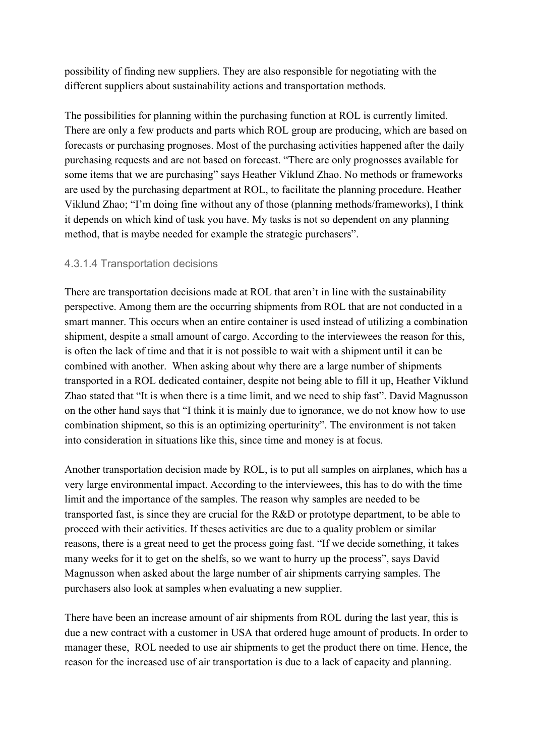possibility of finding new suppliers. They are also responsible for negotiating with the different suppliers about sustainability actions and transportation methods.

The possibilities for planning within the purchasing function at ROL is currently limited. There are only a few products and parts which ROL group are producing, which are based on forecasts or purchasing prognoses. Most of the purchasing activities happened after the daily purchasing requests and are not based on forecast. "There are only prognosses available for some items that we are purchasing" says Heather Viklund Zhao. No methods or frameworks are used by the purchasing department at ROL, to facilitate the planning procedure. Heather Viklund Zhao; "I'm doing fine without any of those (planning methods/frameworks), I think it depends on which kind of task you have. My tasks is not so dependent on any planning method, that is maybe needed for example the strategic purchasers".

#### 4.3.1.4 Transportation decisions

There are transportation decisions made at ROL that aren't in line with the sustainability perspective. Among them are the occurring shipments from ROL that are not conducted in a smart manner. This occurs when an entire container is used instead of utilizing a combination shipment, despite a small amount of cargo. According to the interviewees the reason for this, is often the lack of time and that it is not possible to wait with a shipment until it can be combined with another. When asking about why there are a large number of shipments transported in a ROL dedicated container, despite not being able to fill it up, Heather Viklund Zhao stated that "It is when there is a time limit, and we need to ship fast". David Magnusson on the other hand says that "I think it is mainly due to ignorance, we do not know how to use combination shipment, so this is an optimizing operturinity". The environment is not taken into consideration in situations like this, since time and money is at focus.

Another transportation decision made by ROL, is to put all samples on airplanes, which has a very large environmental impact. According to the interviewees, this has to do with the time limit and the importance of the samples. The reason why samples are needed to be transported fast, is since they are crucial for the R&D or prototype department, to be able to proceed with their activities. If theses activities are due to a quality problem or similar reasons, there is a great need to get the process going fast. "If we decide something, it takes many weeks for it to get on the shelfs, so we want to hurry up the process", says David Magnusson when asked about the large number of air shipments carrying samples. The purchasers also look at samples when evaluating a new supplier.

There have been an increase amount of air shipments from ROL during the last year, this is due a new contract with a customer in USA that ordered huge amount of products. In order to manager these, ROL needed to use air shipments to get the product there on time. Hence, the reason for the increased use of air transportation is due to a lack of capacity and planning.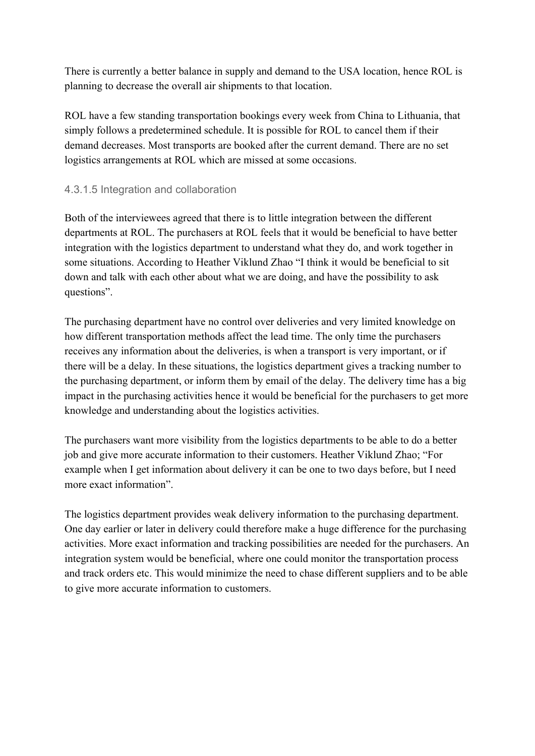There is currently a better balance in supply and demand to the USA location, hence ROL is planning to decrease the overall air shipments to that location.

ROL have a few standing transportation bookings every week from China to Lithuania, that simply follows a predetermined schedule. It is possible for ROL to cancel them if their demand decreases. Most transports are booked after the current demand. There are no set logistics arrangements at ROL which are missed at some occasions.

#### 4.3.1.5 Integration and collaboration

Both of the interviewees agreed that there is to little integration between the different departments at ROL. The purchasers at ROL feels that it would be beneficial to have better integration with the logistics department to understand what they do, and work together in some situations. According to Heather Viklund Zhao "I think it would be beneficial to sit down and talk with each other about what we are doing, and have the possibility to ask questions".

The purchasing department have no control over deliveries and very limited knowledge on how different transportation methods affect the lead time. The only time the purchasers receives any information about the deliveries, is when a transport is very important, or if there will be a delay. In these situations, the logistics department gives a tracking number to the purchasing department, or inform them by email of the delay. The delivery time has a big impact in the purchasing activities hence it would be beneficial for the purchasers to get more knowledge and understanding about the logistics activities.

The purchasers want more visibility from the logistics departments to be able to do a better job and give more accurate information to their customers. Heather Viklund Zhao; "For example when I get information about delivery it can be one to two days before, but I need more exact information".

The logistics department provides weak delivery information to the purchasing department. One day earlier or later in delivery could therefore make a huge difference for the purchasing activities. More exact information and tracking possibilities are needed for the purchasers. An integration system would be beneficial, where one could monitor the transportation process and track orders etc. This would minimize the need to chase different suppliers and to be able to give more accurate information to customers.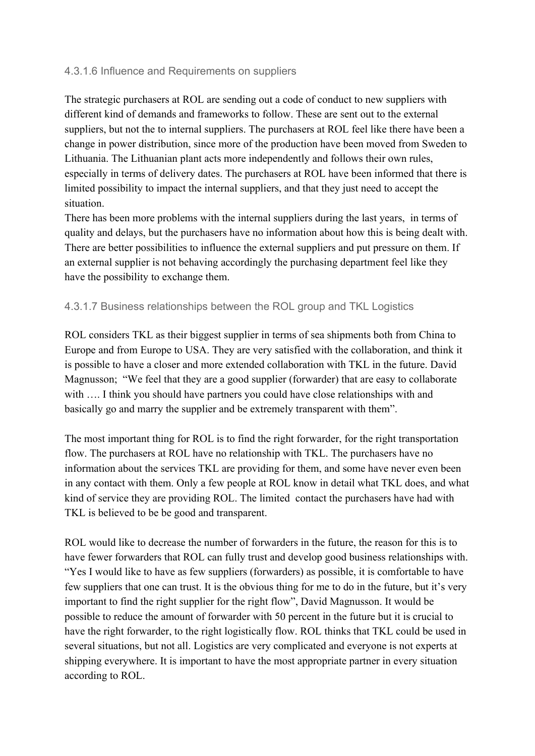#### 4.3.1.6 Influence and Requirements on suppliers

The strategic purchasers at ROL are sending out a code of conduct to new suppliers with different kind of demands and frameworks to follow. These are sent out to the external suppliers, but not the to internal suppliers. The purchasers at ROL feel like there have been a change in power distribution, since more of the production have been moved from Sweden to Lithuania. The Lithuanian plant acts more independently and follows their own rules, especially in terms of delivery dates. The purchasers at ROL have been informed that there is limited possibility to impact the internal suppliers, and that they just need to accept the situation.

There has been more problems with the internal suppliers during the last years, in terms of quality and delays, but the purchasers have no information about how this is being dealt with. There are better possibilities to influence the external suppliers and put pressure on them. If an external supplier is not behaving accordingly the purchasing department feel like they have the possibility to exchange them.

#### 4.3.1.7 Business relationships between the ROL group and TKL Logistics

ROL considers TKL as their biggest supplier in terms of sea shipments both from China to Europe and from Europe to USA. They are very satisfied with the collaboration, and think it is possible to have a closer and more extended collaboration with TKL in the future. David Magnusson; "We feel that they are a good supplier (forwarder) that are easy to collaborate with .... I think you should have partners you could have close relationships with and basically go and marry the supplier and be extremely transparent with them".

The most important thing for ROL is to find the right forwarder, for the right transportation flow. The purchasers at ROL have no relationship with TKL. The purchasers have no information about the services TKL are providing for them, and some have never even been in any contact with them. Only a few people at ROL know in detail what TKL does, and what kind of service they are providing ROL. The limited contact the purchasers have had with TKL is believed to be be good and transparent.

ROL would like to decrease the number of forwarders in the future, the reason for this is to have fewer forwarders that ROL can fully trust and develop good business relationships with. "Yes I would like to have as few suppliers (forwarders) as possible, it is comfortable to have few suppliers that one can trust. It is the obvious thing for me to do in the future, but it's very important to find the right supplier for the right flow", David Magnusson. It would be possible to reduce the amount of forwarder with 50 percent in the future but it is crucial to have the right forwarder, to the right logistically flow. ROL thinks that TKL could be used in several situations, but not all. Logistics are very complicated and everyone is not experts at shipping everywhere. It is important to have the most appropriate partner in every situation according to ROL.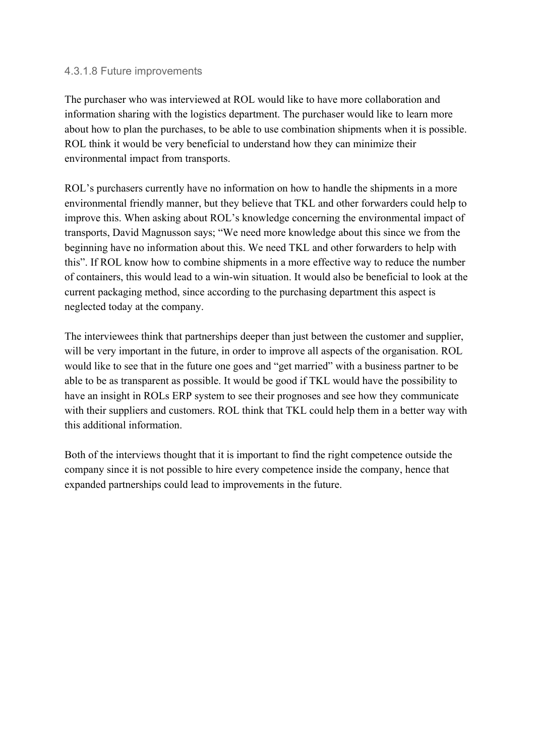#### 4.3.1.8 Future improvements

The purchaser who was interviewed at ROL would like to have more collaboration and information sharing with the logistics department. The purchaser would like to learn more about how to plan the purchases, to be able to use combination shipments when it is possible. ROL think it would be very beneficial to understand how they can minimize their environmental impact from transports.

ROL's purchasers currently have no information on how to handle the shipments in a more environmental friendly manner, but they believe that TKL and other forwarders could help to improve this. When asking about ROL's knowledge concerning the environmental impact of transports, David Magnusson says; "We need more knowledge about this since we from the beginning have no information about this. We need TKL and other forwarders to help with this". If ROL know how to combine shipments in a more effective way to reduce the number of containers, this would lead to a win-win situation. It would also be beneficial to look at the current packaging method, since according to the purchasing department this aspect is neglected today at the company.

The interviewees think that partnerships deeper than just between the customer and supplier, will be very important in the future, in order to improve all aspects of the organisation. ROL would like to see that in the future one goes and "get married" with a business partner to be able to be as transparent as possible. It would be good if TKL would have the possibility to have an insight in ROLs ERP system to see their prognoses and see how they communicate with their suppliers and customers. ROL think that TKL could help them in a better way with this additional information.

Both of the interviews thought that it is important to find the right competence outside the company since it is not possible to hire every competence inside the company, hence that expanded partnerships could lead to improvements in the future.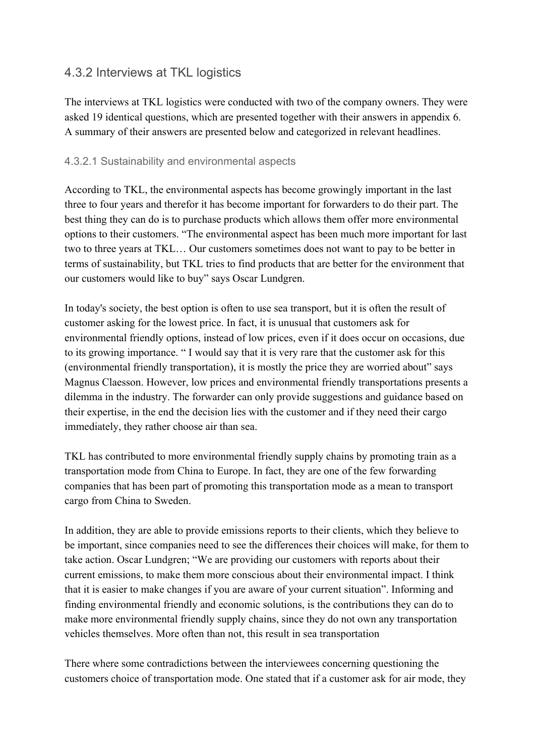## 4.3.2 Interviews at TKL logistics

The interviews at TKL logistics were conducted with two of the company owners. They were asked 19 identical questions, which are presented together with their answers in appendix 6. A summary of their answers are presented below and categorized in relevant headlines.

#### 4.3.2.1 Sustainability and environmental aspects

According to TKL, the environmental aspects has become growingly important in the last three to four years and therefor it has become important for forwarders to do their part. The best thing they can do is to purchase products which allows them offer more environmental options to their customers. "The environmental aspect has been much more important for last two to three years at TKL… Our customers sometimes does not want to pay to be better in terms of sustainability, but TKL tries to find products that are better for the environment that our customers would like to buy" says Oscar Lundgren.

In today's society, the best option is often to use sea transport, but it is often the result of customer asking for the lowest price. In fact, it is unusual that customers ask for environmental friendly options, instead of low prices, even if it does occur on occasions, due to its growing importance. " I would say that it is very rare that the customer ask for this (environmental friendly transportation), it is mostly the price they are worried about" says Magnus Claesson. However, low prices and environmental friendly transportations presents a dilemma in the industry. The forwarder can only provide suggestions and guidance based on their expertise, in the end the decision lies with the customer and if they need their cargo immediately, they rather choose air than sea.

TKL has contributed to more environmental friendly supply chains by promoting train as a transportation mode from China to Europe. In fact, they are one of the few forwarding companies that has been part of promoting this transportation mode as a mean to transport cargo from China to Sweden.

In addition, they are able to provide emissions reports to their clients, which they believe to be important, since companies need to see the differences their choices will make, for them to take action. Oscar Lundgren; "We are providing our customers with reports about their current emissions, to make them more conscious about their environmental impact. I think that it is easier to make changes if you are aware of your current situation". Informing and finding environmental friendly and economic solutions, is the contributions they can do to make more environmental friendly supply chains, since they do not own any transportation vehicles themselves. More often than not, this result in sea transportation

There where some contradictions between the interviewees concerning questioning the customers choice of transportation mode. One stated that if a customer ask for air mode, they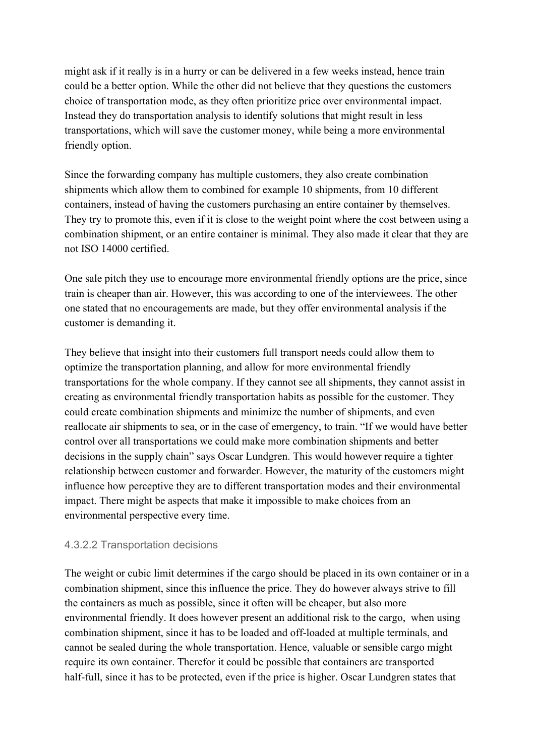might ask if it really is in a hurry or can be delivered in a few weeks instead, hence train could be a better option. While the other did not believe that they questions the customers choice of transportation mode, as they often prioritize price over environmental impact. Instead they do transportation analysis to identify solutions that might result in less transportations, which will save the customer money, while being a more environmental friendly option.

Since the forwarding company has multiple customers, they also create combination shipments which allow them to combined for example 10 shipments, from 10 different containers, instead of having the customers purchasing an entire container by themselves. They try to promote this, even if it is close to the weight point where the cost between using a combination shipment, or an entire container is minimal. They also made it clear that they are not ISO 14000 certified.

One sale pitch they use to encourage more environmental friendly options are the price, since train is cheaper than air. However, this was according to one of the interviewees. The other one stated that no encouragements are made, but they offer environmental analysis if the customer is demanding it.

They believe that insight into their customers full transport needs could allow them to optimize the transportation planning, and allow for more environmental friendly transportations for the whole company. If they cannot see all shipments, they cannot assist in creating as environmental friendly transportation habits as possible for the customer. They could create combination shipments and minimize the number of shipments, and even reallocate air shipments to sea, or in the case of emergency, to train. "If we would have better control over all transportations we could make more combination shipments and better decisions in the supply chain" says Oscar Lundgren. This would however require a tighter relationship between customer and forwarder. However, the maturity of the customers might influence how perceptive they are to different transportation modes and their environmental impact. There might be aspects that make it impossible to make choices from an environmental perspective every time.

#### 4.3.2.2 Transportation decisions

The weight or cubic limit determines if the cargo should be placed in its own container or in a combination shipment, since this influence the price. They do however always strive to fill the containers as much as possible, since it often will be cheaper, but also more environmental friendly. It does however present an additional risk to the cargo, when using combination shipment, since it has to be loaded and off-loaded at multiple terminals, and cannot be sealed during the whole transportation. Hence, valuable or sensible cargo might require its own container. Therefor it could be possible that containers are transported half-full, since it has to be protected, even if the price is higher. Oscar Lundgren states that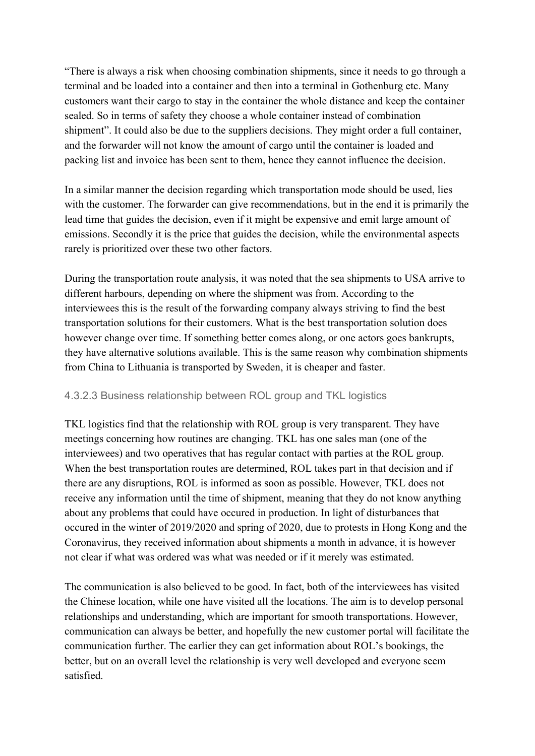"There is always a risk when choosing combination shipments, since it needs to go through a terminal and be loaded into a container and then into a terminal in Gothenburg etc. Many customers want their cargo to stay in the container the whole distance and keep the container sealed. So in terms of safety they choose a whole container instead of combination shipment". It could also be due to the suppliers decisions. They might order a full container, and the forwarder will not know the amount of cargo until the container is loaded and packing list and invoice has been sent to them, hence they cannot influence the decision.

In a similar manner the decision regarding which transportation mode should be used, lies with the customer. The forwarder can give recommendations, but in the end it is primarily the lead time that guides the decision, even if it might be expensive and emit large amount of emissions. Secondly it is the price that guides the decision, while the environmental aspects rarely is prioritized over these two other factors.

During the transportation route analysis, it was noted that the sea shipments to USA arrive to different harbours, depending on where the shipment was from. According to the interviewees this is the result of the forwarding company always striving to find the best transportation solutions for their customers. What is the best transportation solution does however change over time. If something better comes along, or one actors goes bankrupts, they have alternative solutions available. This is the same reason why combination shipments from China to Lithuania is transported by Sweden, it is cheaper and faster.

#### 4.3.2.3 Business relationship between ROL group and TKL logistics

TKL logistics find that the relationship with ROL group is very transparent. They have meetings concerning how routines are changing. TKL has one sales man (one of the interviewees) and two operatives that has regular contact with parties at the ROL group. When the best transportation routes are determined, ROL takes part in that decision and if there are any disruptions, ROL is informed as soon as possible. However, TKL does not receive any information until the time of shipment, meaning that they do not know anything about any problems that could have occured in production. In light of disturbances that occured in the winter of 2019/2020 and spring of 2020, due to protests in Hong Kong and the Coronavirus, they received information about shipments a month in advance, it is however not clear if what was ordered was what was needed or if it merely was estimated.

The communication is also believed to be good. In fact, both of the interviewees has visited the Chinese location, while one have visited all the locations. The aim is to develop personal relationships and understanding, which are important for smooth transportations. However, communication can always be better, and hopefully the new customer portal will facilitate the communication further. The earlier they can get information about ROL's bookings, the better, but on an overall level the relationship is very well developed and everyone seem satisfied.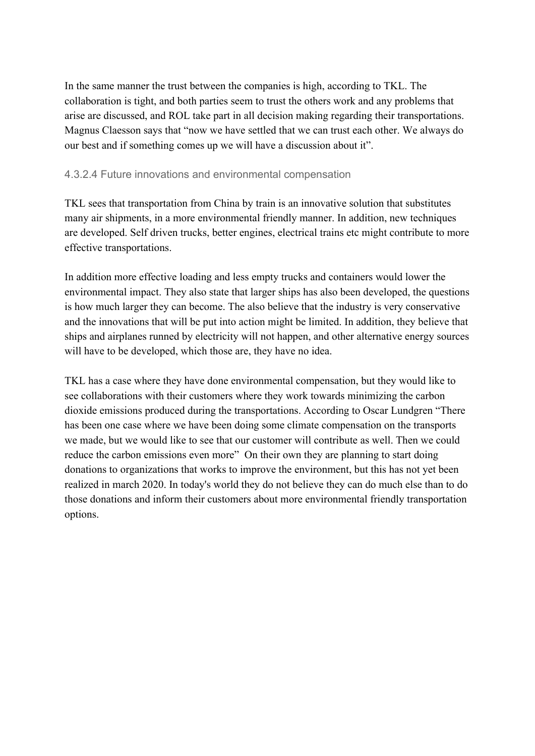In the same manner the trust between the companies is high, according to TKL. The collaboration is tight, and both parties seem to trust the others work and any problems that arise are discussed, and ROL take part in all decision making regarding their transportations. Magnus Claesson says that "now we have settled that we can trust each other. We always do our best and if something comes up we will have a discussion about it".

#### 4.3.2.4 Future innovations and environmental compensation

TKL sees that transportation from China by train is an innovative solution that substitutes many air shipments, in a more environmental friendly manner. In addition, new techniques are developed. Self driven trucks, better engines, electrical trains etc might contribute to more effective transportations.

In addition more effective loading and less empty trucks and containers would lower the environmental impact. They also state that larger ships has also been developed, the questions is how much larger they can become. The also believe that the industry is very conservative and the innovations that will be put into action might be limited. In addition, they believe that ships and airplanes runned by electricity will not happen, and other alternative energy sources will have to be developed, which those are, they have no idea.

TKL has a case where they have done environmental compensation, but they would like to see collaborations with their customers where they work towards minimizing the carbon dioxide emissions produced during the transportations. According to Oscar Lundgren "There has been one case where we have been doing some climate compensation on the transports we made, but we would like to see that our customer will contribute as well. Then we could reduce the carbon emissions even more" On their own they are planning to start doing donations to organizations that works to improve the environment, but this has not yet been realized in march 2020. In today's world they do not believe they can do much else than to do those donations and inform their customers about more environmental friendly transportation options.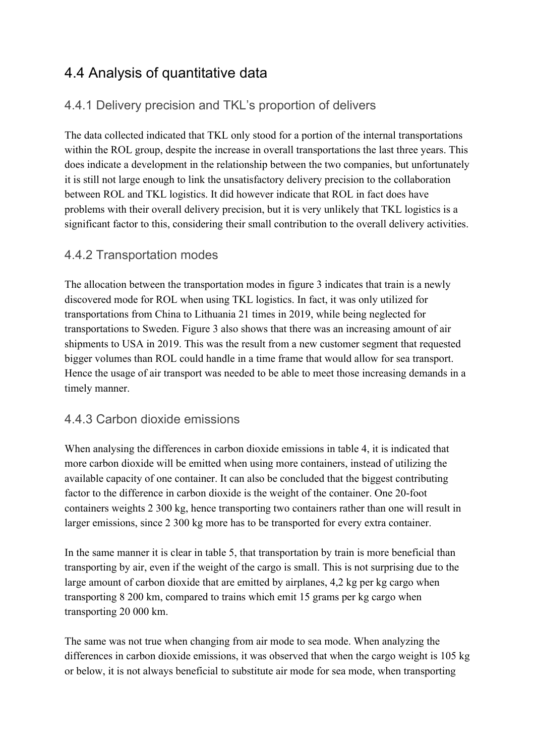# 4.4 Analysis of quantitative data

## 4.4.1 Delivery precision and TKL's proportion of delivers

The data collected indicated that TKL only stood for a portion of the internal transportations within the ROL group, despite the increase in overall transportations the last three years. This does indicate a development in the relationship between the two companies, but unfortunately it is still not large enough to link the unsatisfactory delivery precision to the collaboration between ROL and TKL logistics. It did however indicate that ROL in fact does have problems with their overall delivery precision, but it is very unlikely that TKL logistics is a significant factor to this, considering their small contribution to the overall delivery activities.

## 4.4.2 Transportation modes

The allocation between the transportation modes in figure 3 indicates that train is a newly discovered mode for ROL when using TKL logistics. In fact, it was only utilized for transportations from China to Lithuania 21 times in 2019, while being neglected for transportations to Sweden. Figure 3 also shows that there was an increasing amount of air shipments to USA in 2019. This was the result from a new customer segment that requested bigger volumes than ROL could handle in a time frame that would allow for sea transport. Hence the usage of air transport was needed to be able to meet those increasing demands in a timely manner.

## 4.4.3 Carbon dioxide emissions

When analysing the differences in carbon dioxide emissions in table 4, it is indicated that more carbon dioxide will be emitted when using more containers, instead of utilizing the available capacity of one container. It can also be concluded that the biggest contributing factor to the difference in carbon dioxide is the weight of the container. One 20-foot containers weights 2 300 kg, hence transporting two containers rather than one will result in larger emissions, since 2 300 kg more has to be transported for every extra container.

In the same manner it is clear in table 5, that transportation by train is more beneficial than transporting by air, even if the weight of the cargo is small. This is not surprising due to the large amount of carbon dioxide that are emitted by airplanes, 4,2 kg per kg cargo when transporting 8 200 km, compared to trains which emit 15 grams per kg cargo when transporting 20 000 km.

The same was not true when changing from air mode to sea mode. When analyzing the differences in carbon dioxide emissions, it was observed that when the cargo weight is 105 kg or below, it is not always beneficial to substitute air mode for sea mode, when transporting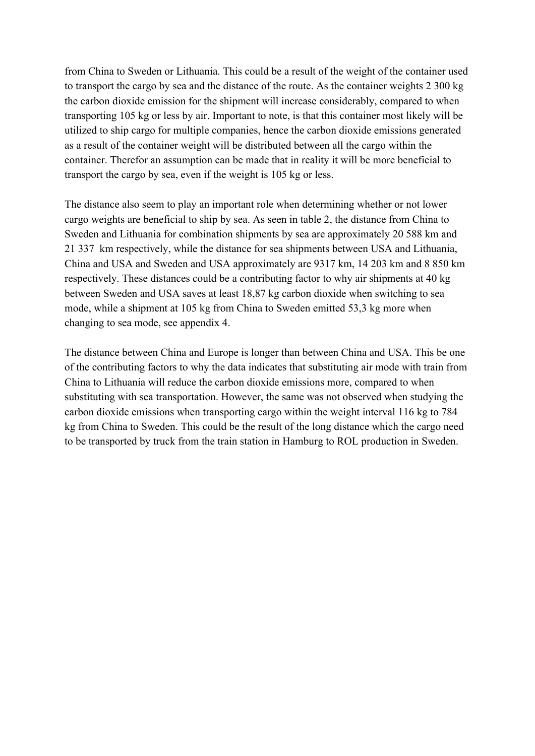from China to Sweden or Lithuania. This could be a result of the weight of the container used to transport the cargo by sea and the distance of the route. As the container weights 2 300 kg the carbon dioxide emission for the shipment will increase considerably, compared to when transporting 105 kg or less by air. Important to note, is that this container most likely will be utilized to ship cargo for multiple companies, hence the carbon dioxide emissions generated as a result of the container weight will be distributed between all the cargo within the container. Therefor an assumption can be made that in reality it will be more beneficial to transport the cargo by sea, even if the weight is 105 kg or less.

The distance also seem to play an important role when determining whether or not lower cargo weights are beneficial to ship by sea. As seen in table 2, the distance from China to Sweden and Lithuania for combination shipments by sea are approximately 20 588 km and 21 337 km respectively, while the distance for sea shipments between USA and Lithuania, China and USA and Sweden and USA approximately are 9317 km, 14 203 km and 8 850 km respectively. These distances could be a contributing factor to why air shipments at 40 kg between Sweden and USA saves at least 18,87 kg carbon dioxide when switching to sea mode, while a shipment at 105 kg from China to Sweden emitted 53,3 kg more when changing to sea mode, see appendix 4.

The distance between China and Europe is longer than between China and USA. This be one of the contributing factors to why the data indicates that substituting air mode with train from China to Lithuania will reduce the carbon dioxide emissions more, compared to when substituting with sea transportation. However, the same was not observed when studying the carbon dioxide emissions when transporting cargo within the weight interval 116 kg to 784 kg from China to Sweden. This could be the result of the long distance which the cargo need to be transported by truck from the train station in Hamburg to ROL production in Sweden.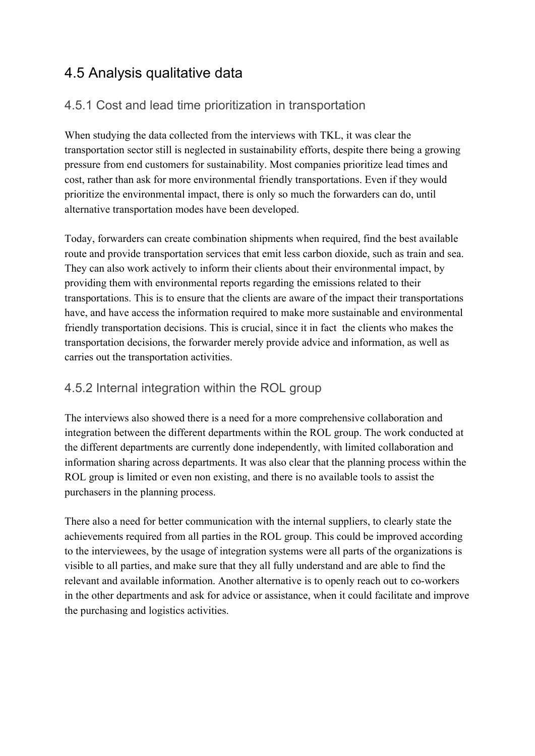# 4.5 Analysis qualitative data

## 4.5.1 Cost and lead time prioritization in transportation

When studying the data collected from the interviews with TKL, it was clear the transportation sector still is neglected in sustainability efforts, despite there being a growing pressure from end customers for sustainability. Most companies prioritize lead times and cost, rather than ask for more environmental friendly transportations. Even if they would prioritize the environmental impact, there is only so much the forwarders can do, until alternative transportation modes have been developed.

Today, forwarders can create combination shipments when required, find the best available route and provide transportation services that emit less carbon dioxide, such as train and sea. They can also work actively to inform their clients about their environmental impact, by providing them with environmental reports regarding the emissions related to their transportations. This is to ensure that the clients are aware of the impact their transportations have, and have access the information required to make more sustainable and environmental friendly transportation decisions. This is crucial, since it in fact the clients who makes the transportation decisions, the forwarder merely provide advice and information, as well as carries out the transportation activities.

## 4.5.2 Internal integration within the ROL group

The interviews also showed there is a need for a more comprehensive collaboration and integration between the different departments within the ROL group. The work conducted at the different departments are currently done independently, with limited collaboration and information sharing across departments. It was also clear that the planning process within the ROL group is limited or even non existing, and there is no available tools to assist the purchasers in the planning process.

There also a need for better communication with the internal suppliers, to clearly state the achievements required from all parties in the ROL group. This could be improved according to the interviewees, by the usage of integration systems were all parts of the organizations is visible to all parties, and make sure that they all fully understand and are able to find the relevant and available information. Another alternative is to openly reach out to co-workers in the other departments and ask for advice or assistance, when it could facilitate and improve the purchasing and logistics activities.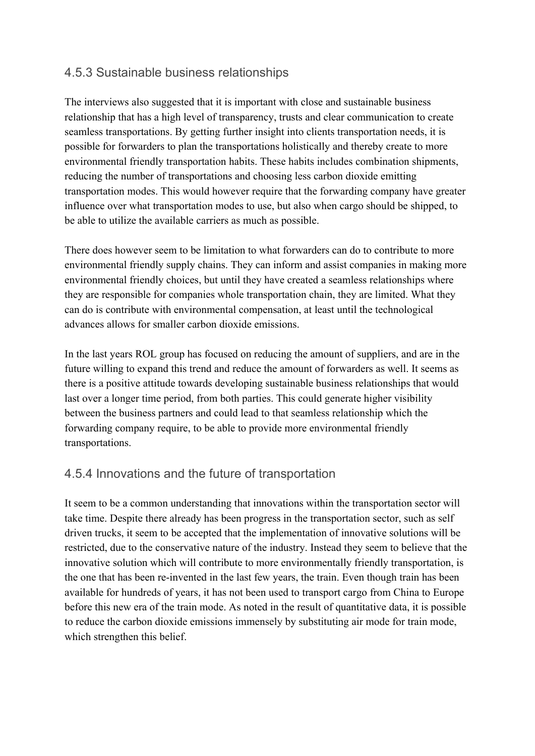## 4.5.3 Sustainable business relationships

The interviews also suggested that it is important with close and sustainable business relationship that has a high level of transparency, trusts and clear communication to create seamless transportations. By getting further insight into clients transportation needs, it is possible for forwarders to plan the transportations holistically and thereby create to more environmental friendly transportation habits. These habits includes combination shipments, reducing the number of transportations and choosing less carbon dioxide emitting transportation modes. This would however require that the forwarding company have greater influence over what transportation modes to use, but also when cargo should be shipped, to be able to utilize the available carriers as much as possible.

There does however seem to be limitation to what forwarders can do to contribute to more environmental friendly supply chains. They can inform and assist companies in making more environmental friendly choices, but until they have created a seamless relationships where they are responsible for companies whole transportation chain, they are limited. What they can do is contribute with environmental compensation, at least until the technological advances allows for smaller carbon dioxide emissions.

In the last years ROL group has focused on reducing the amount of suppliers, and are in the future willing to expand this trend and reduce the amount of forwarders as well. It seems as there is a positive attitude towards developing sustainable business relationships that would last over a longer time period, from both parties. This could generate higher visibility between the business partners and could lead to that seamless relationship which the forwarding company require, to be able to provide more environmental friendly transportations.

## 4.5.4 Innovations and the future of transportation

It seem to be a common understanding that innovations within the transportation sector will take time. Despite there already has been progress in the transportation sector, such as self driven trucks, it seem to be accepted that the implementation of innovative solutions will be restricted, due to the conservative nature of the industry. Instead they seem to believe that the innovative solution which will contribute to more environmentally friendly transportation, is the one that has been re-invented in the last few years, the train. Even though train has been available for hundreds of years, it has not been used to transport cargo from China to Europe before this new era of the train mode. As noted in the result of quantitative data, it is possible to reduce the carbon dioxide emissions immensely by substituting air mode for train mode, which strengthen this belief.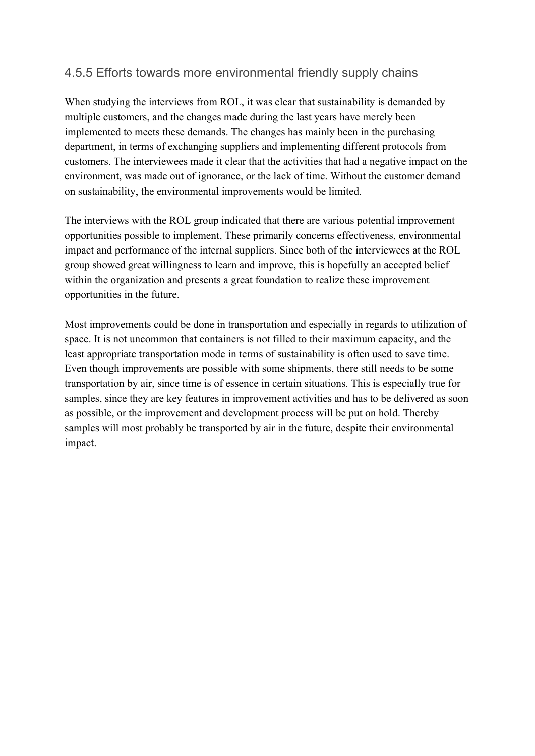### 4.5.5 Efforts towards more environmental friendly supply chains

When studying the interviews from ROL, it was clear that sustainability is demanded by multiple customers, and the changes made during the last years have merely been implemented to meets these demands. The changes has mainly been in the purchasing department, in terms of exchanging suppliers and implementing different protocols from customers. The interviewees made it clear that the activities that had a negative impact on the environment, was made out of ignorance, or the lack of time. Without the customer demand on sustainability, the environmental improvements would be limited.

The interviews with the ROL group indicated that there are various potential improvement opportunities possible to implement, These primarily concerns effectiveness, environmental impact and performance of the internal suppliers. Since both of the interviewees at the ROL group showed great willingness to learn and improve, this is hopefully an accepted belief within the organization and presents a great foundation to realize these improvement opportunities in the future.

Most improvements could be done in transportation and especially in regards to utilization of space. It is not uncommon that containers is not filled to their maximum capacity, and the least appropriate transportation mode in terms of sustainability is often used to save time. Even though improvements are possible with some shipments, there still needs to be some transportation by air, since time is of essence in certain situations. This is especially true for samples, since they are key features in improvement activities and has to be delivered as soon as possible, or the improvement and development process will be put on hold. Thereby samples will most probably be transported by air in the future, despite their environmental impact.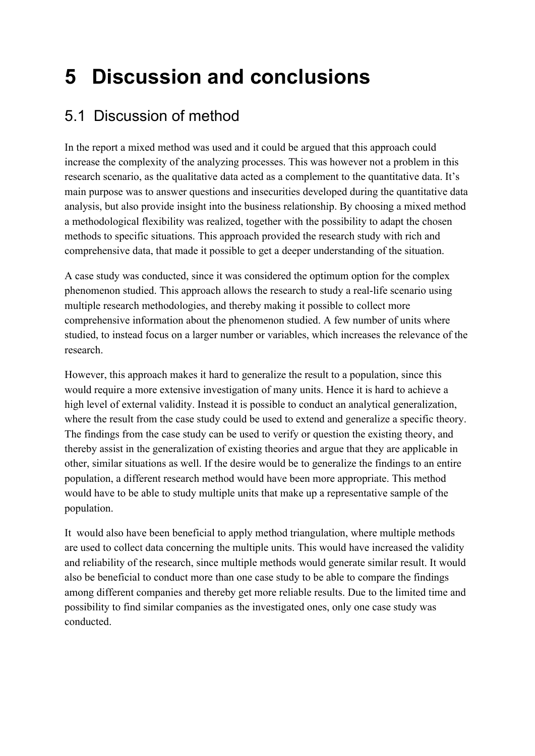# **5 Discussion and conclusions**

# 5.1 Discussion of method

In the report a mixed method was used and it could be argued that this approach could increase the complexity of the analyzing processes. This was however not a problem in this research scenario, as the qualitative data acted as a complement to the quantitative data. It's main purpose was to answer questions and insecurities developed during the quantitative data analysis, but also provide insight into the business relationship. By choosing a mixed method a methodological flexibility was realized, together with the possibility to adapt the chosen methods to specific situations. This approach provided the research study with rich and comprehensive data, that made it possible to get a deeper understanding of the situation.

A case study was conducted, since it was considered the optimum option for the complex phenomenon studied. This approach allows the research to study a real-life scenario using multiple research methodologies, and thereby making it possible to collect more comprehensive information about the phenomenon studied. A few number of units where studied, to instead focus on a larger number or variables, which increases the relevance of the research.

However, this approach makes it hard to generalize the result to a population, since this would require a more extensive investigation of many units. Hence it is hard to achieve a high level of external validity. Instead it is possible to conduct an analytical generalization, where the result from the case study could be used to extend and generalize a specific theory. The findings from the case study can be used to verify or question the existing theory, and thereby assist in the generalization of existing theories and argue that they are applicable in other, similar situations as well. If the desire would be to generalize the findings to an entire population, a different research method would have been more appropriate. This method would have to be able to study multiple units that make up a representative sample of the population.

It would also have been beneficial to apply method triangulation, where multiple methods are used to collect data concerning the multiple units. This would have increased the validity and reliability of the research, since multiple methods would generate similar result. It would also be beneficial to conduct more than one case study to be able to compare the findings among different companies and thereby get more reliable results. Due to the limited time and possibility to find similar companies as the investigated ones, only one case study was conducted.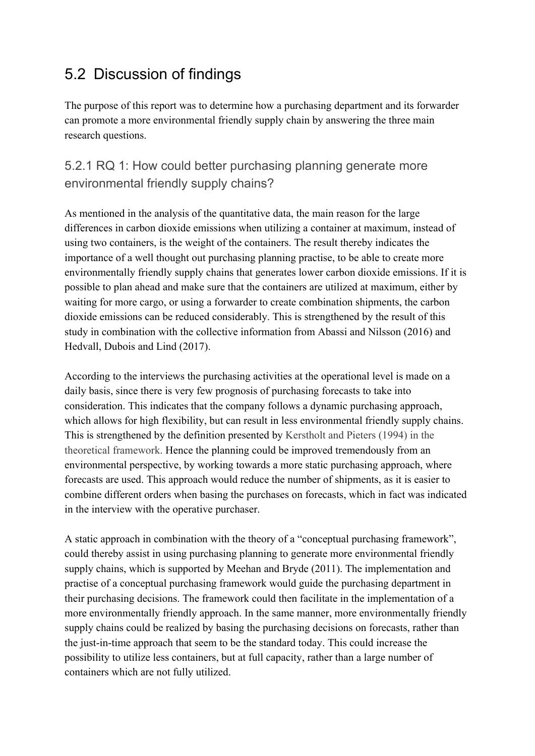# 5.2 Discussion of findings

The purpose of this report was to determine how a purchasing department and its forwarder can promote a more environmental friendly supply chain by answering the three main research questions.

## 5.2.1 RQ 1: How could better purchasing planning generate more environmental friendly supply chains?

As mentioned in the analysis of the quantitative data, the main reason for the large differences in carbon dioxide emissions when utilizing a container at maximum, instead of using two containers, is the weight of the containers. The result thereby indicates the importance of a well thought out purchasing planning practise, to be able to create more environmentally friendly supply chains that generates lower carbon dioxide emissions. If it is possible to plan ahead and make sure that the containers are utilized at maximum, either by waiting for more cargo, or using a forwarder to create combination shipments, the carbon dioxide emissions can be reduced considerably. This is strengthened by the result of this study in combination with the collective information from Abassi and Nilsson (2016) and Hedvall, Dubois and Lind (2017).

According to the interviews the purchasing activities at the operational level is made on a daily basis, since there is very few prognosis of purchasing forecasts to take into consideration. This indicates that the company follows a dynamic purchasing approach, which allows for high flexibility, but can result in less environmental friendly supply chains. This is strengthened by the definition presented by Kerstholt and Pieters (1994) in the theoretical framework. Hence the planning could be improved tremendously from an environmental perspective, by working towards a more static purchasing approach, where forecasts are used. This approach would reduce the number of shipments, as it is easier to combine different orders when basing the purchases on forecasts, which in fact was indicated in the interview with the operative purchaser.

A static approach in combination with the theory of a "conceptual purchasing framework", could thereby assist in using purchasing planning to generate more environmental friendly supply chains, which is supported by Meehan and Bryde (2011). The implementation and practise of a conceptual purchasing framework would guide the purchasing department in their purchasing decisions. The framework could then facilitate in the implementation of a more environmentally friendly approach. In the same manner, more environmentally friendly supply chains could be realized by basing the purchasing decisions on forecasts, rather than the just-in-time approach that seem to be the standard today. This could increase the possibility to utilize less containers, but at full capacity, rather than a large number of containers which are not fully utilized.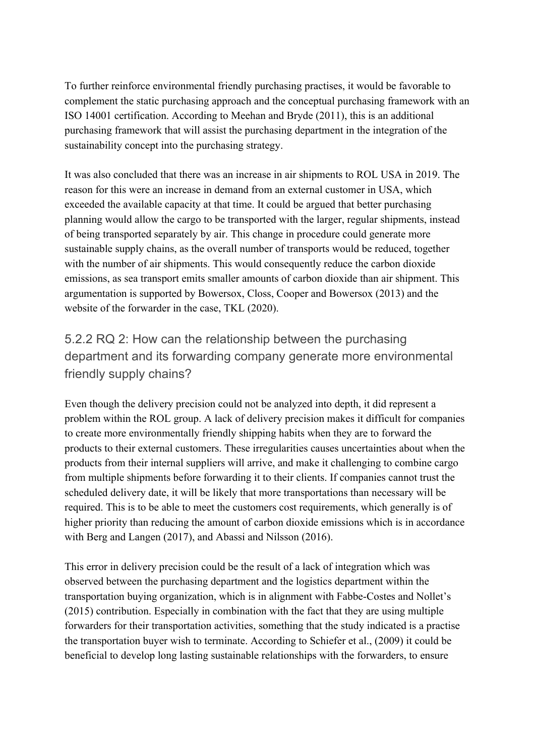To further reinforce environmental friendly purchasing practises, it would be favorable to complement the static purchasing approach and the conceptual purchasing framework with an ISO 14001 certification. According to Meehan and Bryde (2011), this is an additional purchasing framework that will assist the purchasing department in the integration of the sustainability concept into the purchasing strategy.

It was also concluded that there was an increase in air shipments to ROL USA in 2019. The reason for this were an increase in demand from an external customer in USA, which exceeded the available capacity at that time. It could be argued that better purchasing planning would allow the cargo to be transported with the larger, regular shipments, instead of being transported separately by air. This change in procedure could generate more sustainable supply chains, as the overall number of transports would be reduced, together with the number of air shipments. This would consequently reduce the carbon dioxide emissions, as sea transport emits smaller amounts of carbon dioxide than air shipment. This argumentation is supported by Bowersox, Closs, Cooper and Bowersox (2013) and the website of the forwarder in the case, TKL (2020).

5.2.2 RQ 2: How can the relationship between the purchasing department and its forwarding company generate more environmental friendly supply chains?

Even though the delivery precision could not be analyzed into depth, it did represent a problem within the ROL group. A lack of delivery precision makes it difficult for companies to create more environmentally friendly shipping habits when they are to forward the products to their external customers. These irregularities causes uncertainties about when the products from their internal suppliers will arrive, and make it challenging to combine cargo from multiple shipments before forwarding it to their clients. If companies cannot trust the scheduled delivery date, it will be likely that more transportations than necessary will be required. This is to be able to meet the customers cost requirements, which generally is of higher priority than reducing the amount of carbon dioxide emissions which is in accordance with Berg and Langen (2017), and Abassi and Nilsson (2016).

This error in delivery precision could be the result of a lack of integration which was observed between the purchasing department and the logistics department within the transportation buying organization, which is in alignment with Fabbe-Costes and Nollet's (2015) contribution. Especially in combination with the fact that they are using multiple forwarders for their transportation activities, something that the study indicated is a practise the transportation buyer wish to terminate. According to Schiefer et al., (2009) it could be beneficial to develop long lasting sustainable relationships with the forwarders, to ensure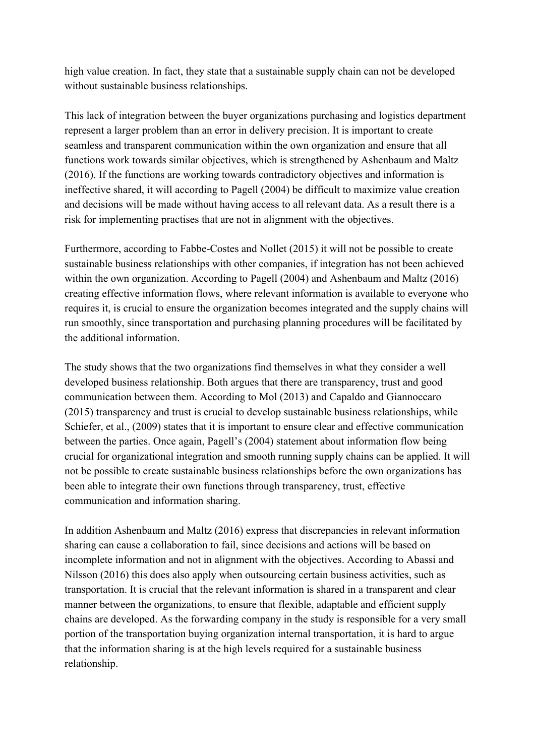high value creation. In fact, they state that a sustainable supply chain can not be developed without sustainable business relationships.

This lack of integration between the buyer organizations purchasing and logistics department represent a larger problem than an error in delivery precision. It is important to create seamless and transparent communication within the own organization and ensure that all functions work towards similar objectives, which is strengthened by Ashenbaum and Maltz (2016). If the functions are working towards contradictory objectives and information is ineffective shared, it will according to Pagell (2004) be difficult to maximize value creation and decisions will be made without having access to all relevant data. As a result there is a risk for implementing practises that are not in alignment with the objectives.

Furthermore, according to Fabbe-Costes and Nollet (2015) it will not be possible to create sustainable business relationships with other companies, if integration has not been achieved within the own organization. According to Pagell (2004) and Ashenbaum and Maltz (2016) creating effective information flows, where relevant information is available to everyone who requires it, is crucial to ensure the organization becomes integrated and the supply chains will run smoothly, since transportation and purchasing planning procedures will be facilitated by the additional information.

The study shows that the two organizations find themselves in what they consider a well developed business relationship. Both argues that there are transparency, trust and good communication between them. According to Mol (2013) and Capaldo and Giannoccaro (2015) transparency and trust is crucial to develop sustainable business relationships, while Schiefer, et al., (2009) states that it is important to ensure clear and effective communication between the parties. Once again, Pagell's (2004) statement about information flow being crucial for organizational integration and smooth running supply chains can be applied. It will not be possible to create sustainable business relationships before the own organizations has been able to integrate their own functions through transparency, trust, effective communication and information sharing.

In addition Ashenbaum and Maltz (2016) express that discrepancies in relevant information sharing can cause a collaboration to fail, since decisions and actions will be based on incomplete information and not in alignment with the objectives. According to Abassi and Nilsson (2016) this does also apply when outsourcing certain business activities, such as transportation. It is crucial that the relevant information is shared in a transparent and clear manner between the organizations, to ensure that flexible, adaptable and efficient supply chains are developed. As the forwarding company in the study is responsible for a very small portion of the transportation buying organization internal transportation, it is hard to argue that the information sharing is at the high levels required for a sustainable business relationship.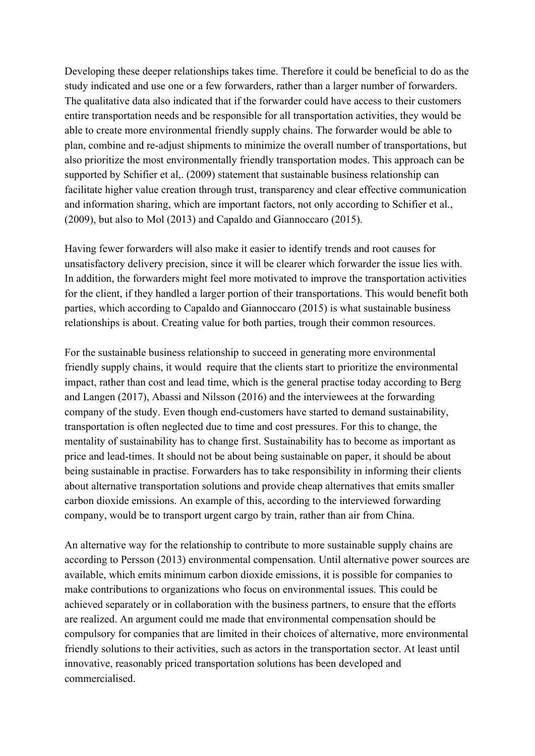Developing these deeper relationships takes time. Therefore it could be beneficial to do as the study indicated and use one or a few forwarders, rather than a larger number of forwarders. The qualitative data also indicated that if the forwarder could have access to their customers entire transportation needs and be responsible for all transportation activities, they would be able to create more environmental friendly supply chains. The forwarder would be able to plan, combine and re-adjust shipments to minimize the overall number of transportations, but also prioritize the most environmentally friendly transportation modes. This approach can be supported by Schifier et al., (2009) statement that sustainable business relationship can facilitate higher value creation through trust, transparency and clear effective communication and information sharing, which are important factors, not only according to Schifier et al., (2009), but also to Mol (2013) and Capaldo and Giannoccaro (2015).

Having fewer forwarders will also make it easier to identify trends and root causes for unsatisfactory delivery precision, since it will be clearer which forwarder the issue lies with. In addition, the forwarders might feel more motivated to improve the transportation activities for the client, if they handled a larger portion of their transportations. This would benefit both parties, which according to Capaldo and Giannoccaro (2015) is what sustainable business relationships is about. Creating value for both parties, trough their common resources.

For the sustainable business relationship to succeed in generating more environmental friendly supply chains, it would require that the clients start to prioritize the environmental impact, rather than cost and lead time, which is the general practise today according to Berg and Langen (2017), Abassi and Nilsson (2016) and the interviewees at the forwarding company of the study. Even though end-customers have started to demand sustainability, transportation is often neglected due to time and cost pressures. For this to change, the mentality of sustainability has to change first. Sustainability has to become as important as price and lead-times. It should not be about being sustainable on paper, it should be about being sustainable in practise. Forwarders has to take responsibility in informing their clients about alternative transportation solutions and provide cheap alternatives that emits smaller carbon dioxide emissions. An example of this, according to the interviewed forwarding company, would be to transport urgent cargo by train, rather than air from China.

An alternative way for the relationship to contribute to more sustainable supply chains are according to Persson (2013) environmental compensation. Until alternative power sources are available, which emits minimum carbon dioxide emissions, it is possible for companies to make contributions to organizations who focus on environmental issues. This could be achieved separately or in collaboration with the business partners, to ensure that the efforts are realized. An argument could me made that environmental compensation should be compulsory for companies that are limited in their choices of alternative, more environmental friendly solutions to their activities, such as actors in the transportation sector. At least until innovative, reasonably priced transportation solutions has been developed and commercialised.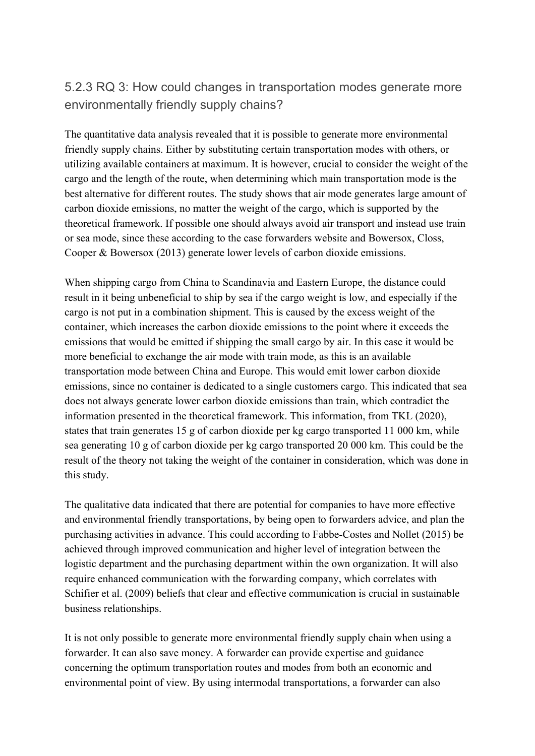## 5.2.3 RQ 3: How could changes in transportation modes generate more environmentally friendly supply chains?

The quantitative data analysis revealed that it is possible to generate more environmental friendly supply chains. Either by substituting certain transportation modes with others, or utilizing available containers at maximum. It is however, crucial to consider the weight of the cargo and the length of the route, when determining which main transportation mode is the best alternative for different routes. The study shows that air mode generates large amount of carbon dioxide emissions, no matter the weight of the cargo, which is supported by the theoretical framework. If possible one should always avoid air transport and instead use train or sea mode, since these according to the case forwarders website and Bowersox, Closs, Cooper & Bowersox (2013) generate lower levels of carbon dioxide emissions.

When shipping cargo from China to Scandinavia and Eastern Europe, the distance could result in it being unbeneficial to ship by sea if the cargo weight is low, and especially if the cargo is not put in a combination shipment. This is caused by the excess weight of the container, which increases the carbon dioxide emissions to the point where it exceeds the emissions that would be emitted if shipping the small cargo by air. In this case it would be more beneficial to exchange the air mode with train mode, as this is an available transportation mode between China and Europe. This would emit lower carbon dioxide emissions, since no container is dedicated to a single customers cargo. This indicated that sea does not always generate lower carbon dioxide emissions than train, which contradict the information presented in the theoretical framework. This information, from TKL (2020), states that train generates 15 g of carbon dioxide per kg cargo transported 11 000 km, while sea generating 10 g of carbon dioxide per kg cargo transported 20 000 km. This could be the result of the theory not taking the weight of the container in consideration, which was done in this study.

The qualitative data indicated that there are potential for companies to have more effective and environmental friendly transportations, by being open to forwarders advice, and plan the purchasing activities in advance. This could according to Fabbe-Costes and Nollet (2015) be achieved through improved communication and higher level of integration between the logistic department and the purchasing department within the own organization. It will also require enhanced communication with the forwarding company, which correlates with Schifier et al. (2009) beliefs that clear and effective communication is crucial in sustainable business relationships.

It is not only possible to generate more environmental friendly supply chain when using a forwarder. It can also save money. A forwarder can provide expertise and guidance concerning the optimum transportation routes and modes from both an economic and environmental point of view. By using intermodal transportations, a forwarder can also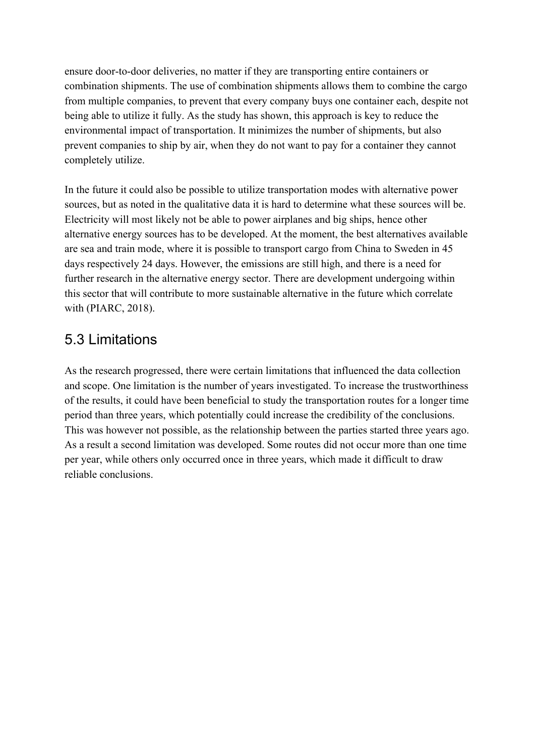ensure door-to-door deliveries, no matter if they are transporting entire containers or combination shipments. The use of combination shipments allows them to combine the cargo from multiple companies, to prevent that every company buys one container each, despite not being able to utilize it fully. As the study has shown, this approach is key to reduce the environmental impact of transportation. It minimizes the number of shipments, but also prevent companies to ship by air, when they do not want to pay for a container they cannot completely utilize.

In the future it could also be possible to utilize transportation modes with alternative power sources, but as noted in the qualitative data it is hard to determine what these sources will be. Electricity will most likely not be able to power airplanes and big ships, hence other alternative energy sources has to be developed. At the moment, the best alternatives available are sea and train mode, where it is possible to transport cargo from China to Sweden in 45 days respectively 24 days. However, the emissions are still high, and there is a need for further research in the alternative energy sector. There are development undergoing within this sector that will contribute to more sustainable alternative in the future which correlate with (PIARC, 2018).

## 5.3 Limitations

As the research progressed, there were certain limitations that influenced the data collection and scope. One limitation is the number of years investigated. To increase the trustworthiness of the results, it could have been beneficial to study the transportation routes for a longer time period than three years, which potentially could increase the credibility of the conclusions. This was however not possible, as the relationship between the parties started three years ago. As a result a second limitation was developed. Some routes did not occur more than one time per year, while others only occurred once in three years, which made it difficult to draw reliable conclusions.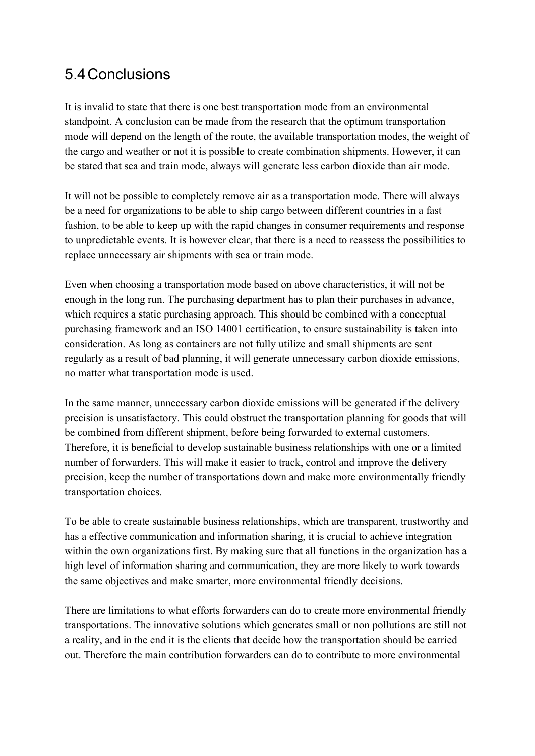# 5.4Conclusions

It is invalid to state that there is one best transportation mode from an environmental standpoint. A conclusion can be made from the research that the optimum transportation mode will depend on the length of the route, the available transportation modes, the weight of the cargo and weather or not it is possible to create combination shipments. However, it can be stated that sea and train mode, always will generate less carbon dioxide than air mode.

It will not be possible to completely remove air as a transportation mode. There will always be a need for organizations to be able to ship cargo between different countries in a fast fashion, to be able to keep up with the rapid changes in consumer requirements and response to unpredictable events. It is however clear, that there is a need to reassess the possibilities to replace unnecessary air shipments with sea or train mode.

Even when choosing a transportation mode based on above characteristics, it will not be enough in the long run. The purchasing department has to plan their purchases in advance, which requires a static purchasing approach. This should be combined with a conceptual purchasing framework and an ISO 14001 certification, to ensure sustainability is taken into consideration. As long as containers are not fully utilize and small shipments are sent regularly as a result of bad planning, it will generate unnecessary carbon dioxide emissions, no matter what transportation mode is used.

In the same manner, unnecessary carbon dioxide emissions will be generated if the delivery precision is unsatisfactory. This could obstruct the transportation planning for goods that will be combined from different shipment, before being forwarded to external customers. Therefore, it is beneficial to develop sustainable business relationships with one or a limited number of forwarders. This will make it easier to track, control and improve the delivery precision, keep the number of transportations down and make more environmentally friendly transportation choices.

To be able to create sustainable business relationships, which are transparent, trustworthy and has a effective communication and information sharing, it is crucial to achieve integration within the own organizations first. By making sure that all functions in the organization has a high level of information sharing and communication, they are more likely to work towards the same objectives and make smarter, more environmental friendly decisions.

There are limitations to what efforts forwarders can do to create more environmental friendly transportations. The innovative solutions which generates small or non pollutions are still not a reality, and in the end it is the clients that decide how the transportation should be carried out. Therefore the main contribution forwarders can do to contribute to more environmental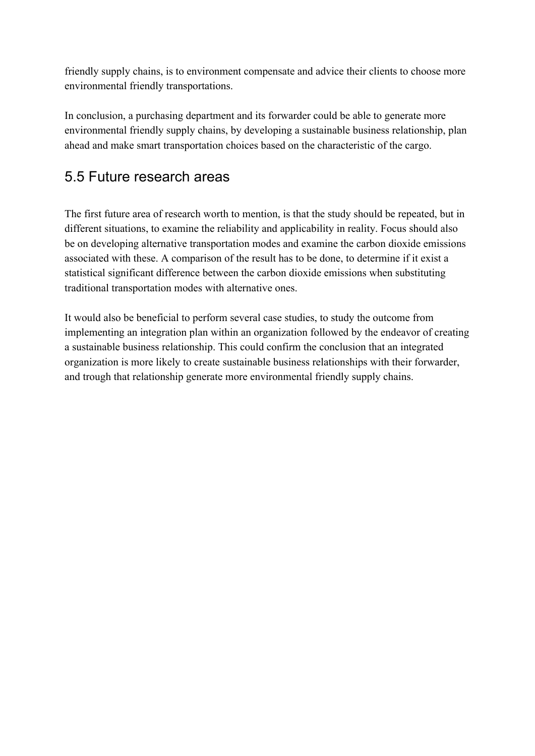friendly supply chains, is to environment compensate and advice their clients to choose more environmental friendly transportations.

In conclusion, a purchasing department and its forwarder could be able to generate more environmental friendly supply chains, by developing a sustainable business relationship, plan ahead and make smart transportation choices based on the characteristic of the cargo.

# 5.5 Future research areas

The first future area of research worth to mention, is that the study should be repeated, but in different situations, to examine the reliability and applicability in reality. Focus should also be on developing alternative transportation modes and examine the carbon dioxide emissions associated with these. A comparison of the result has to be done, to determine if it exist a statistical significant difference between the carbon dioxide emissions when substituting traditional transportation modes with alternative ones.

It would also be beneficial to perform several case studies, to study the outcome from implementing an integration plan within an organization followed by the endeavor of creating a sustainable business relationship. This could confirm the conclusion that an integrated organization is more likely to create sustainable business relationships with their forwarder, and trough that relationship generate more environmental friendly supply chains.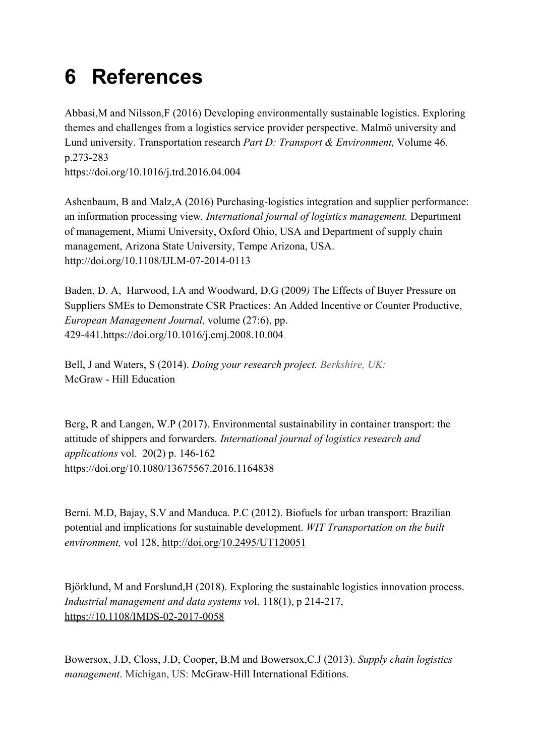# **6 References**

Abbasi,M and Nilsson,F (2016) Developing environmentally sustainable logistics. Exploring themes and challenges from a logistics service provider perspective. Malmö university and Lund university. Transportation research *Part D: Transport & Environment,* Volume 46. p.273-283 [https://doi.org/10.1016/j.trd.2016.04.004](https://doi-org.proxy.library.ju.se/10.1016/j.trd.2016.04.004)

Ashenbaum, B and Malz,A (2016) Purchasing-logistics integration and supplier performance: an information processing view*. International journal of logistics management.* Department of management, Miami University, Oxford Ohio, USA and Department of supply chain management, Arizona State University, Tempe Arizona, USA. http://doi.org/10.1108/IJLM-07-2014-0113

Baden, D. A, Harwood, I.A and Woodward, D.G (2009*)* The Effects of Buyer Pressure on Suppliers SMEs to Demonstrate CSR Practices: An Added Incentive or Counter Productive, *European Management Journal*, volume (27:6), pp. 429-441[.https://doi.org/10.1016/j.emj.2008.10.004](https://doi.org/10.1016/j.emj.2008.10.004)

Bell, J and Waters, S (2014). *Doing your research project. Berkshire, UK:* McGraw - Hill Education

Berg, R and Langen, W.P (2017). Environmental sustainability in container transport: the attitude of shippers and forwarders*. International journal of logistics research and applications* vol. 20(2) p. 146-162 <https://doi.org/10.1080/13675567.2016.1164838>

Berni. M.D, Bajay, S.V and Manduca. P.C (2012). Biofuels for urban transport: Brazilian potential and implications for sustainable development. *WIT Transportation on the built environment,* vol 128,<http://doi.org/10.2495/UT120051>

Björklund, M and Forslund,H (2018). Exploring the sustainable logistics innovation process. *Industrial management and data systems vo*l. 118(1), p 214-217, https://10.1108/IMDS-02-2017-0058

Bowersox, J.D, Closs, J.D, Cooper, B.M and Bowersox,C.J (2013). *Supply chain logistics management*. Michigan, US: McGraw-Hill International Editions.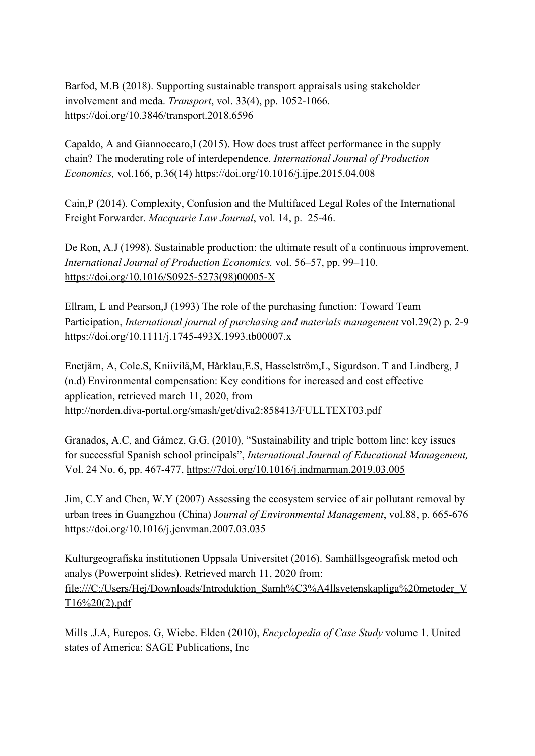Barfod, M.B (2018). Supporting sustainable transport appraisals using stakeholder involvement and mcda. *Transport*, vol. 33(4), pp. 1052-1066. <https://doi.org/10.3846/transport.2018.6596>

Capaldo, A and Giannoccaro,I (2015). How does trust affect performance in the supply chain? The moderating role of interdependence. *International Journal of Production Economics,* vol.166, p.36(14) [https://doi.org/10.1016/j.ijpe.2015.04.008](https://doi-org.proxy.library.ju.se/10.1016/j.ijpe.2015.04.008)

Cain,P (2014). Complexity, Confusion and the Multifaced Legal Roles of the International Freight Forwarder. *Macquarie Law Journal*, vol. 14, p. 25-46.

De Ron, A.J (1998). Sustainable production: the ultimate result of a continuous improvement. *International Journal of Production Economics.* vol. 56–57, pp. 99–110. [https://doi.org/10.1016/S0925-5273\(98\)00005-X](https://doi-org.proxy.library.ju.se/10.1016/S0925-5273(98)00005-X)

Ellram, L and Pearson,J (1993) The role of the purchasing function: Toward Team Participation, *International journal of purchasing and materials management* vol.29(2) p. 2-9 <https://doi.org/10.1111/j.1745-493X.1993.tb00007.x>

Enetjärn, A, Cole.S, Kniivilä,M, Hårklau,E.S, Hasselström,L, Sigurdson. T and Lindberg, J (n.d) Environmental compensation: Key conditions for increased and cost effective application, retrieved march 11, 2020, from <http://norden.diva-portal.org/smash/get/diva2:858413/FULLTEXT03.pdf>

Granados, A.C, and Gámez, G.G. (2010), "Sustainability and triple bottom line: key issues for successful Spanish school principals", *International Journal of Educational Management,* Vol. 24 No. 6, pp. 467-477, <https://7doi.org/10.1016/j.indmarman.2019.03.005>

Jim, C.Y and Chen, W.Y (2007) Assessing the ecosystem service of air pollutant removal by urban trees in Guangzhou (China) J*ournal of Environmental Management*, vol.88, p. 665-676 [https://doi.org/10.1016/j.jenvman.2007.03.035](https://doi-org.proxy.library.ju.se/10.1016/j.jenvman.2007.03.035)

Kulturgeografiska institutionen Uppsala Universitet (2016). Samhällsgeografisk metod och analys (Powerpoint slides). Retrieved march 11, 2020 from: file:///C:/Users/Hej/Downloads/Introduktion\_Samh%C3%A4llsvetenskapliga%20metoder\_V T16%20(2).pdf

Mills .J.A, Eurepos. G, Wiebe. Elden (2010), *Encyclopedia of Case Study* volume 1. United states of America: SAGE Publications, Inc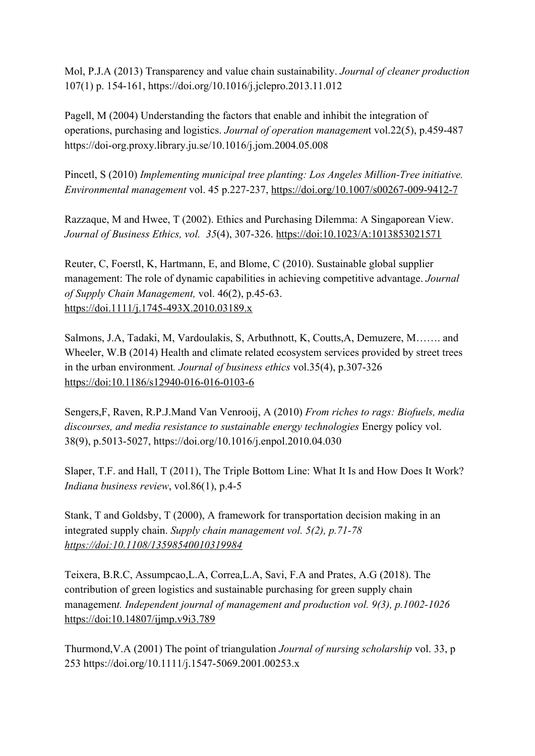Mol, P.J.A (2013) Transparency and value chain sustainability. *Journal of cleaner production* 107(1) p. 154-161, [https://doi.org/10.1016/j.jclepro.2013.11.012](https://doi-org.proxy.library.ju.se/10.1016/j.jclepro.2013.11.012)

Pagell, M (2004) Understanding the factors that enable and inhibit the integration of operations, purchasing and logistics. *Journal of operation managemen*t vol.22(5), p.459-487 <https://doi-org.proxy.library.ju.se/10.1016/j.jom.2004.05.008>

Pincetl, S (2010) *Implementing municipal tree planting: Los Angeles Million-Tree initiative. Environmental management* vol. 45 p.227-237, <https://doi.org/10.1007/s00267-009-9412-7>

Razzaque, M and Hwee, T (2002). Ethics and Purchasing Dilemma: A Singaporean View. *Journal of Business Ethics, vol. 35*(4), 307-326. https://doi:10.1023/A:1013853021571

Reuter, C, Foerstl, K, Hartmann, E, and Blome, C (2010). Sustainable global supplier management: The role of dynamic capabilities in achieving competitive advantage. *Journal of Supply Chain Management,* vol. 46(2), p.45-63. https://doi.1111/j.1745-493X.2010.03189.x

Salmons, J.A, Tadaki, M, Vardoulakis, S, Arbuthnott, K, Coutts,A, Demuzere, M……. and Wheeler, W.B (2014) Health and climate related ecosystem services provided by street trees in the urban environment*. Journal of business ethics* vol.35(4), p.307-326 https://doi:10.1186/s12940-016-016-0103-6

Sengers,F, Raven, R.P.J.Mand Van Venrooij, A (2010) *From riches to rags: Biofuels, media discourses, and media resistance to sustainable energy technologies* Energy policy vol. 38(9), p.5013-5027, [https://doi.org/10.1016/j.enpol.2010.04.030](https://doi-org.proxy.library.ju.se/10.1016/j.enpol.2010.04.030)

Slaper, T.F. and Hall, T (2011), The Triple Bottom Line: What It Is and How Does It Work? *Indiana business review*, vol.86(1), p.4-5

Stank, T and Goldsby, T (2000), A framework for transportation decision making in an integrated supply chain. *Supply chain management vol. 5(2), p.71-78 https://doi:10.1108/13598540010319984*

Teixera, B.R.C, Assumpcao,L.A, Correa,L.A, Savi, F.A and Prates, A.G (2018). The contribution of green logistics and sustainable purchasing for green supply chain managemen*t. Independent journal of management and production vol. 9(3), p.1002-1026* https://doi:10.14807/ijmp.v9i3.789

Thurmond,V.A (2001) The point of triangulation *Journal of nursing scholarship* vol. 33, p 253<https://doi.org/10.1111/j.1547-5069.2001.00253.x>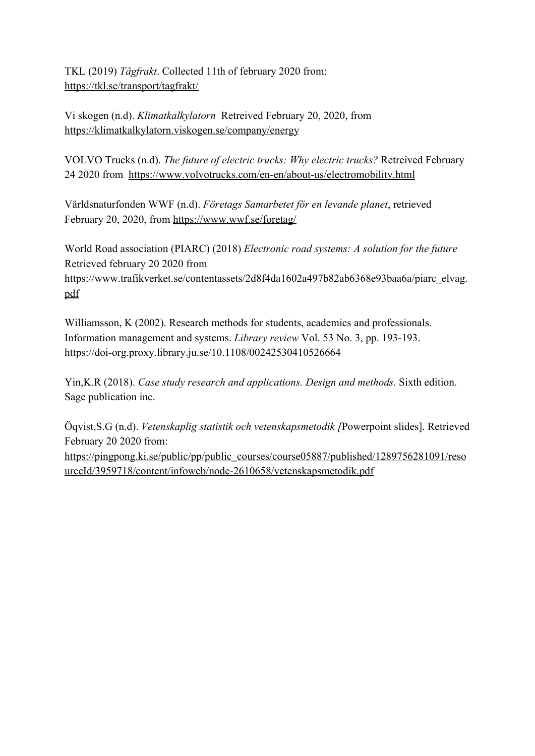TKL (2019) *Tågfrakt*. Collected 11th of february 2020 from: <https://tkl.se/transport/tagfrakt/>

Vi skogen (n.d). *Klimatkalkylatorn* Retreived February 20, 2020, from <https://klimatkalkylatorn.viskogen.se/company/energy>

VOLVO Trucks (n.d). *The future of electric trucks: Why electric trucks?* Retreived February 24 2020 from<https://www.volvotrucks.com/en-en/about-us/electromobility.html>

Världsnaturfonden WWF (n.d). *Företags Samarbetet för en levande planet*, retrieved February 20, 2020, from <https://www.wwf.se/foretag/>

World Road association (PIARC) (2018) *Electronic road systems: A solution for the future* Retrieved february 20 2020 from [https://www.trafikverket.se/contentassets/2d8f4da1602a497b82ab6368e93baa6a/piarc\\_elvag.](https://www.trafikverket.se/contentassets/2d8f4da1602a497b82ab6368e93baa6a/piarc_elvag.pdf) [pdf](https://www.trafikverket.se/contentassets/2d8f4da1602a497b82ab6368e93baa6a/piarc_elvag.pdf)

Williamsson, K (2002). Research methods for students, academics and professionals. Information management and systems. *Library review* Vol. 53 No. 3, pp. 193-193. <https://doi-org.proxy.library.ju.se/10.1108/00242530410526664>

Yin,K.R (2018). *Case study research and applications. Design and methods.* Sixth edition. Sage publication inc.

Öqvist,S.G (n.d). *Vetenskaplig statistik och vetenskapsmetodik [*Powerpoint slides]. Retrieved February 20 2020 from:

[https://pingpong.ki.se/public/pp/public\\_courses/course05887/published/1289756281091/reso](https://pingpong.ki.se/public/pp/public_courses/course05887/published/1289756281091/resourceId/3959718/content/infoweb/node-2610658/vetenskapsmetodik.pdf) [urceId/3959718/content/infoweb/node-2610658/vetenskapsmetodik.pdf](https://pingpong.ki.se/public/pp/public_courses/course05887/published/1289756281091/resourceId/3959718/content/infoweb/node-2610658/vetenskapsmetodik.pdf)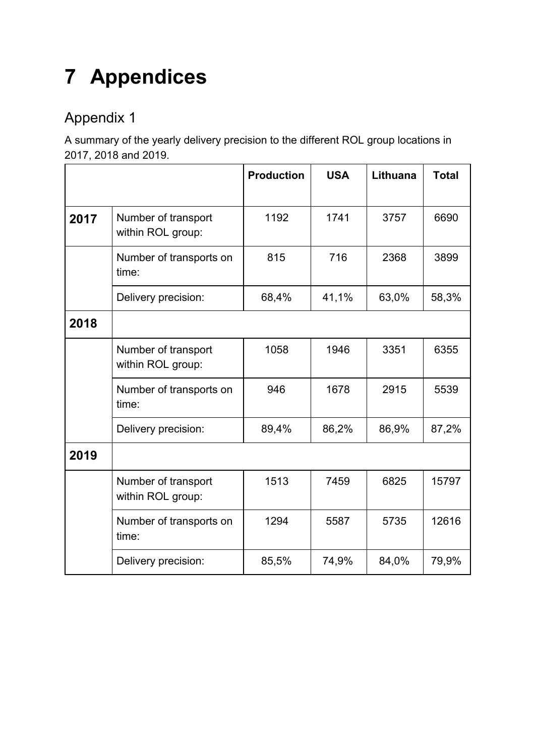# **7 Appendices**

# Appendix 1

A summary of the yearly delivery precision to the different ROL group locations in 2017, 2018 and 2019.

|      |                                          | <b>Production</b> | <b>USA</b> | Lithuana | <b>Total</b> |
|------|------------------------------------------|-------------------|------------|----------|--------------|
| 2017 | Number of transport<br>within ROL group: | 1192              | 1741       | 3757     | 6690         |
|      | Number of transports on<br>time:         | 815               | 716        | 2368     | 3899         |
|      | Delivery precision:                      | 68,4%             | 41,1%      | 63,0%    | 58,3%        |
| 2018 |                                          |                   |            |          |              |
|      | Number of transport<br>within ROL group: | 1058              | 1946       | 3351     | 6355         |
|      | Number of transports on<br>time:         | 946               | 1678       | 2915     | 5539         |
|      | Delivery precision:                      | 89,4%             | 86,2%      | 86,9%    | 87,2%        |
| 2019 |                                          |                   |            |          |              |
|      | Number of transport<br>within ROL group: | 1513              | 7459       | 6825     | 15797        |
|      | Number of transports on<br>time:         | 1294              | 5587       | 5735     | 12616        |
|      | Delivery precision:                      | 85,5%             | 74,9%      | 84,0%    | 79,9%        |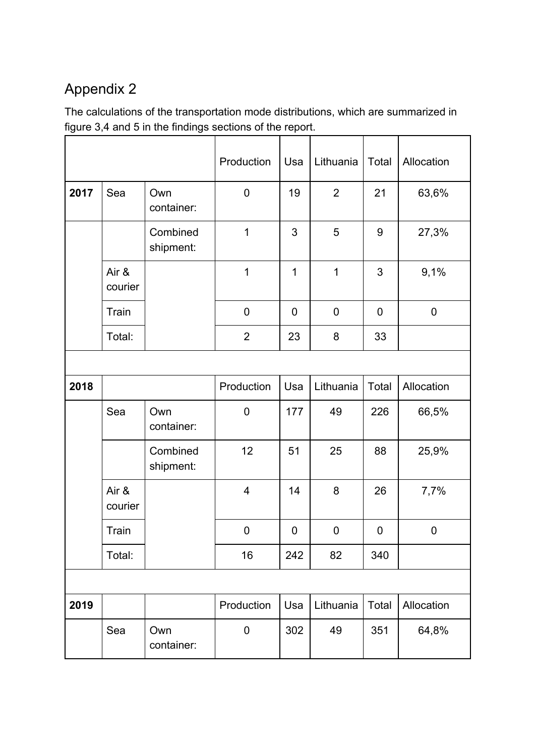# Appendix 2

The calculations of the transportation mode distributions, which are summarized in figure 3,4 and 5 in the findings sections of the report.

|      |                  |                       | Production              | Usa         | Lithuania      | Total          | Allocation  |
|------|------------------|-----------------------|-------------------------|-------------|----------------|----------------|-------------|
| 2017 | Sea              | Own<br>container:     | $\mathbf 0$             | 19          | $\overline{2}$ | 21             | 63,6%       |
|      |                  | Combined<br>shipment: | $\mathbf{1}$            | 3           | 5              | $\overline{9}$ | 27,3%       |
|      | Air &<br>courier |                       | $\overline{1}$          | 1           | 1              | 3              | 9,1%        |
|      | Train            |                       | $\pmb{0}$               | $\mathbf 0$ | 0              | $\mathbf 0$    | $\mathbf 0$ |
|      | Total:           |                       | $\overline{2}$          | 23          | 8              | 33             |             |
|      |                  |                       |                         |             |                |                |             |
| 2018 |                  |                       | Production              | Usa         | Lithuania      | Total          | Allocation  |
|      | Sea              | Own<br>container:     | $\mathbf 0$             | 177         | 49             | 226            | 66,5%       |
|      |                  | Combined<br>shipment: | 12                      | 51          | 25             | 88             | 25,9%       |
|      | Air &<br>courier |                       | $\overline{\mathbf{4}}$ | 14          | 8              | 26             | 7,7%        |
|      | Train            |                       | $\mathbf 0$             | $\mathbf 0$ | $\mathbf 0$    | 0              | $\mathbf 0$ |
|      | Total:           |                       | 16                      | 242         | 82             | 340            |             |
|      |                  |                       |                         |             |                |                |             |
| 2019 |                  |                       | Production              | Usa         | Lithuania      | Total          | Allocation  |
|      | Sea              | Own<br>container:     | $\pmb{0}$               | 302         | 49             | 351            | 64,8%       |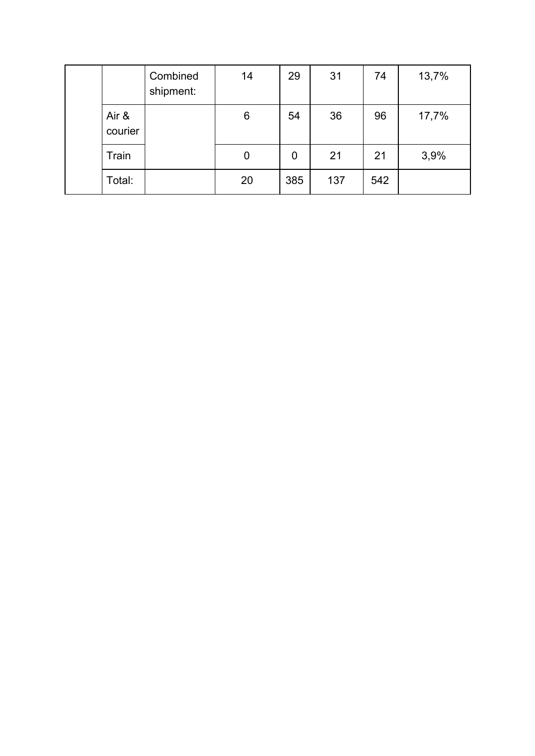|                  | Combined<br>shipment: | 14 | 29  | 31  | 74  | 13,7% |
|------------------|-----------------------|----|-----|-----|-----|-------|
| Air &<br>courier |                       | 6  | 54  | 36  | 96  | 17,7% |
| Train            |                       | 0  | 0   | 21  | 21  | 3,9%  |
| Total:           |                       | 20 | 385 | 137 | 542 |       |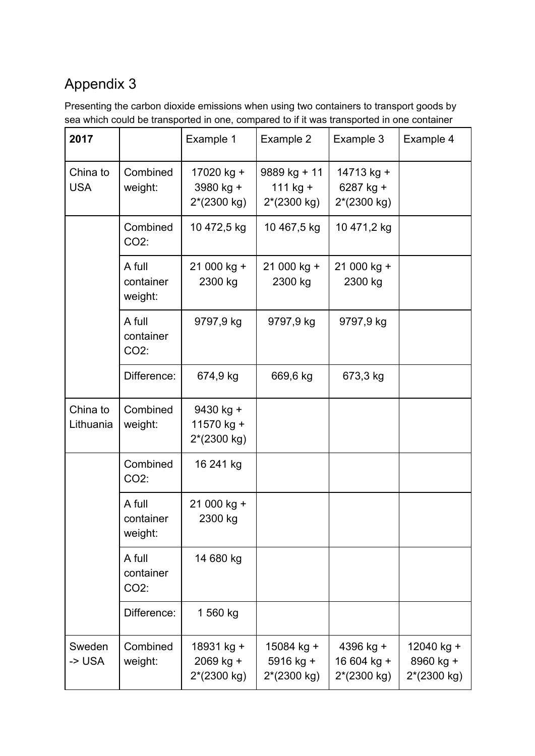# Appendix 3

Presenting the carbon dioxide emissions when using two containers to transport goods by sea which could be transported in one, compared to if it was transported in one container

| 2017                   |                                | Example 1                                | Example 2                               | Example 3                               | Example 4                              |
|------------------------|--------------------------------|------------------------------------------|-----------------------------------------|-----------------------------------------|----------------------------------------|
| China to<br><b>USA</b> | Combined<br>weight:            | 17020 kg +<br>3980 kg +<br>2*(2300 kg)   | 9889 kg + 11<br>111 kg +<br>2*(2300 kg) | 14713 kg +<br>6287 kg +<br>2*(2300 kg)  |                                        |
|                        | Combined<br>CO2:               | 10 472,5 kg                              | 10 467,5 kg                             | 10 471,2 kg                             |                                        |
|                        | A full<br>container<br>weight: | 21 000 kg +<br>2300 kg                   | 21 000 kg +<br>2300 kg                  | 21 000 kg +<br>2300 kg                  |                                        |
|                        | A full<br>container<br>CO2:    | 9797,9 kg                                | 9797,9 kg                               | 9797,9 kg                               |                                        |
|                        | Difference:                    | 674,9 kg                                 | 669,6 kg                                | 673,3 kg                                |                                        |
| China to<br>Lithuania  | Combined<br>weight:            | 9430 kg +<br>11570 kg +<br>2*(2300 kg)   |                                         |                                         |                                        |
|                        | Combined<br>CO2:               | 16 241 kg                                |                                         |                                         |                                        |
|                        | A full<br>container<br>weight: | 21 000 kg +<br>2300 kg                   |                                         |                                         |                                        |
|                        | A full<br>container<br>CO2:    | 14 680 kg                                |                                         |                                         |                                        |
|                        | Difference:                    | 1 560 kg                                 |                                         |                                         |                                        |
| Sweden<br>-> USA       | Combined<br>weight:            | 18931 kg +<br>2069 kg +<br>$2*(2300 kg)$ | 15084 kg +<br>5916 kg +<br>2*(2300 kg)  | 4396 kg +<br>16 604 kg +<br>2*(2300 kg) | 12040 kg +<br>8960 kg +<br>2*(2300 kg) |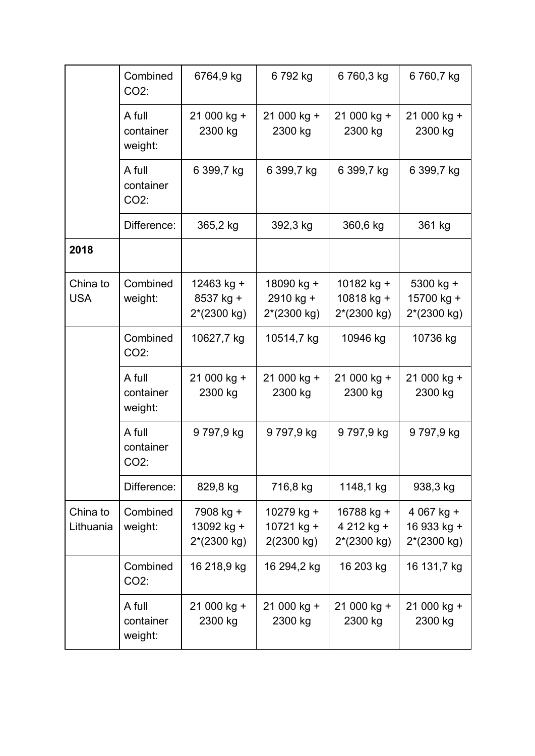|                        | Combined<br>$CO2$ :                      | 6764,9 kg                                | 6792 kg                                | 6760,3 kg                                         | 6760,7 kg                                          |
|------------------------|------------------------------------------|------------------------------------------|----------------------------------------|---------------------------------------------------|----------------------------------------------------|
|                        | A full<br>container<br>weight:           | 21 000 kg +<br>2300 kg                   | 21 000 kg +<br>2300 kg                 | 21 000 kg +<br>2300 kg                            | 21 000 kg +<br>2300 kg                             |
|                        | A full<br>container<br>$CO2$ :           | 6 399,7 kg                               | 6 399,7 kg                             | 6 399,7 kg                                        | 6 399,7 kg                                         |
|                        | Difference:                              | 365,2 kg                                 | 392,3 kg                               | 360,6 kg                                          | 361 kg                                             |
| 2018                   |                                          |                                          |                                        |                                                   |                                                    |
| China to<br><b>USA</b> | Combined<br>weight:                      | 12463 kg +<br>8537 kg +<br>2*(2300 kg)   | 18090 kg +<br>2910 kg +<br>2*(2300 kg) | 10182 kg +<br>10818 kg +<br>2*(2300 kg)           | $5300$ kg +<br>15700 kg +<br>2*(2300 kg)           |
|                        | Combined<br>CO2:                         | 10627,7 kg                               | 10514,7 kg                             | 10946 kg                                          | 10736 kg                                           |
|                        | A full<br>container<br>weight:           | 21 000 kg +<br>2300 kg                   | 21 000 kg +<br>2300 kg                 | 21 000 kg +<br>2300 kg                            | 21 000 kg +<br>2300 kg                             |
|                        | A full<br>container<br>CO <sub>2</sub> : | 9797,9 kg                                | 9 797,9 kg                             | 9797,9 kg                                         | 9797,9 kg                                          |
|                        | Difference:                              | 829,8 kg                                 | 716,8 kg                               | 1148,1 kg                                         | 938,3 kg                                           |
| China to<br>Lithuania  | Combined<br>weight:                      | 7908 kg +<br>13092 kg +<br>$2*(2300 kg)$ | 10279 kg +<br>10721 kg +<br>2(2300 kg) | 16788 kg +<br>4 212 kg +<br>$2*(2300 \text{ kg})$ | 4 067 kg +<br>16 933 kg +<br>$2*(2300 \text{ kg})$ |
|                        | Combined<br>CO2:                         | 16 218,9 kg                              | 16 294,2 kg                            | 16 203 kg                                         | 16 131,7 kg                                        |
|                        | A full<br>container<br>weight:           | 21 000 kg +<br>2300 kg                   | 21 000 kg +<br>2300 kg                 | 21 000 kg +<br>2300 kg                            | 21 000 kg +<br>2300 kg                             |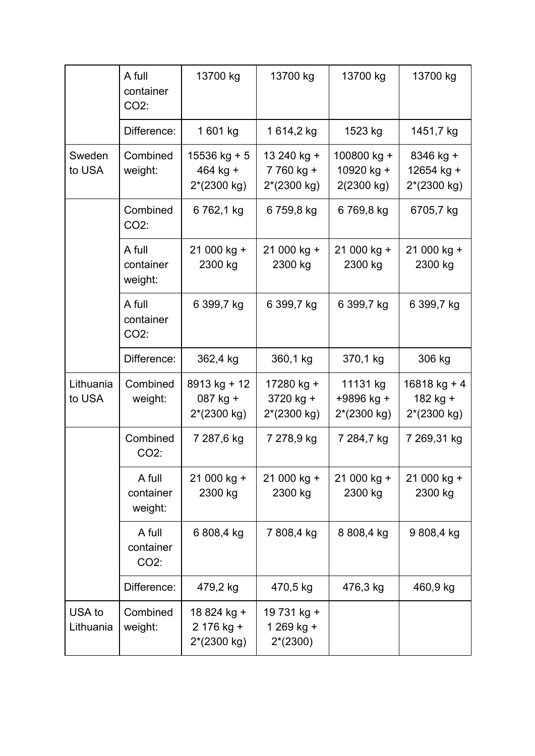|                     | A full<br>container<br>$CO2$ : | 13700 kg                                    | 13700 kg                                         | 13700 kg                                        | 13700 kg                                    |
|---------------------|--------------------------------|---------------------------------------------|--------------------------------------------------|-------------------------------------------------|---------------------------------------------|
|                     | Difference:                    | 1 601 kg                                    | 1 614,2 kg                                       | 1523 kg                                         | 1451,7 kg                                   |
| Sweden<br>to USA    | Combined<br>weight:            | $15536$ kg + 5<br>$464$ kg +<br>2*(2300 kg) | 13 240 kg +<br>7 760 kg +<br>2*(2300 kg)         | 100800 kg +<br>10920 kg +<br>2(2300 kg)         | 8346 kg +<br>12654 kg +<br>2*(2300 kg)      |
|                     | Combined<br>CO2:               | 6 762,1 kg                                  | 6 759,8 kg                                       | 6 769,8 kg                                      | 6705,7 kg                                   |
|                     | A full<br>container<br>weight: | 21 000 kg +<br>2300 kg                      | 21 000 kg +<br>2300 kg                           | 21 000 kg +<br>2300 kg                          | 21 000 kg +<br>2300 kg                      |
|                     | A full<br>container<br>CO2:    | 6 399,7 kg                                  | 6 399,7 kg                                       | 6 399,7 kg                                      | 6 399,7 kg                                  |
|                     | Difference:                    | 362,4 kg                                    | 360,1 kg                                         | 370,1 kg                                        | 306 kg                                      |
| Lithuania<br>to USA | Combined<br>weight:            | $8913$ kg + 12<br>087 kg +<br>$2*(2300 kg)$ | 17280 kg +<br>3720 kg +<br>$2*(2300 \text{ kg})$ | 11131 kg<br>+9896 kg +<br>$2*(2300 \text{ kg})$ | $16818$ kg + 4<br>182 kg +<br>$2*(2300 kg)$ |
|                     | Combined<br>$CO2$ :            | 7 287,6 kg                                  | 7 278,9 kg                                       | 7 284,7 kg                                      | 7 269,31 kg                                 |
|                     | A full<br>container<br>weight: | 21 000 kg +<br>2300 kg                      | 21 000 kg +<br>2300 kg                           | 21 000 kg +<br>2300 kg                          | 21 000 kg +<br>2300 kg                      |
|                     | A full<br>container<br>$CO2$ : | 6 808,4 kg                                  | 7 808,4 kg                                       | 8 808,4 kg                                      | 9808,4 kg                                   |
|                     | Difference:                    | 479,2 kg                                    | 470,5 kg                                         | 476,3 kg                                        | 460,9 kg                                    |
| USA to<br>Lithuania | Combined<br>weight:            | 18 824 kg +<br>2 176 kg +<br>2*(2300 kg)    | 19 731 kg +<br>1 269 kg +<br>$2*(2300)$          |                                                 |                                             |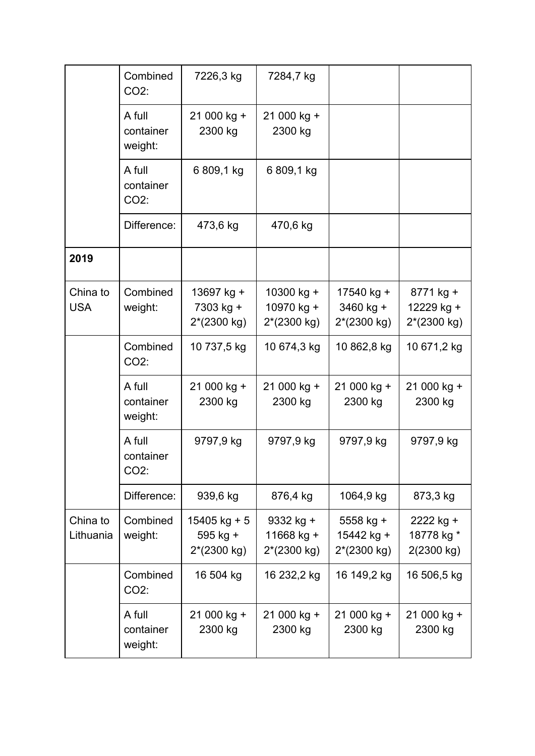|                        | Combined<br>CO2:               | 7226,3 kg                                           | 7284,7 kg                                         |                                            |                                                  |
|------------------------|--------------------------------|-----------------------------------------------------|---------------------------------------------------|--------------------------------------------|--------------------------------------------------|
|                        | A full<br>container<br>weight: | 21 000 kg +<br>2300 kg                              | 21 000 kg +<br>2300 kg                            |                                            |                                                  |
|                        | A full<br>container<br>$CO2$ : | 6 809,1 kg                                          | 6 809,1 kg                                        |                                            |                                                  |
|                        | Difference:                    | 473,6 kg                                            | 470,6 kg                                          |                                            |                                                  |
| 2019                   |                                |                                                     |                                                   |                                            |                                                  |
| China to<br><b>USA</b> | Combined<br>weight:            | 13697 kg +<br>7303 kg +<br>$2*(2300 \text{ kg})$    | 10300 kg +<br>10970 kg +<br>$2*(2300 \text{ kg})$ | 17540 kg +<br>$3460$ kg +<br>$2*(2300 kg)$ | 8771 kg +<br>12229 kg +<br>$2*(2300 \text{ kg})$ |
|                        | Combined<br>$CO2$ :            | 10 737,5 kg                                         | 10 674,3 kg                                       | 10 862,8 kg                                | 10 671,2 kg                                      |
|                        | A full<br>container<br>weight: | 21 000 kg +<br>2300 kg                              | 21 000 kg +<br>2300 kg                            | 21 000 kg +<br>2300 kg                     | 21 000 kg +<br>2300 kg                           |
|                        | A full<br>container<br>CO2:    | 9797,9 kg                                           | 9797,9 kg                                         | 9797,9 kg                                  | 9797,9 kg                                        |
|                        | Difference:                    | 939,6 kg                                            | 876,4 kg                                          | 1064,9 kg                                  | 873,3 kg                                         |
| China to<br>Lithuania  | Combined<br>weight:            | $15405$ kg + 5<br>595 kg +<br>$2*(2300 \text{ kg})$ | 9332 kg +<br>11668 kg +<br>2*(2300 kg)            | $5558$ kg +<br>15442 kg +<br>$2*(2300 kg)$ | 2222 kg +<br>18778 kg *<br>2(2300 kg)            |
|                        | Combined<br>CO2:               | 16 504 kg                                           | 16 232,2 kg                                       | 16 149,2 kg                                | 16 506,5 kg                                      |
|                        | A full<br>container<br>weight: | 21 000 kg +<br>2300 kg                              | 21 000 kg +<br>2300 kg                            | 21 000 kg +<br>2300 kg                     | 21 000 kg +<br>2300 kg                           |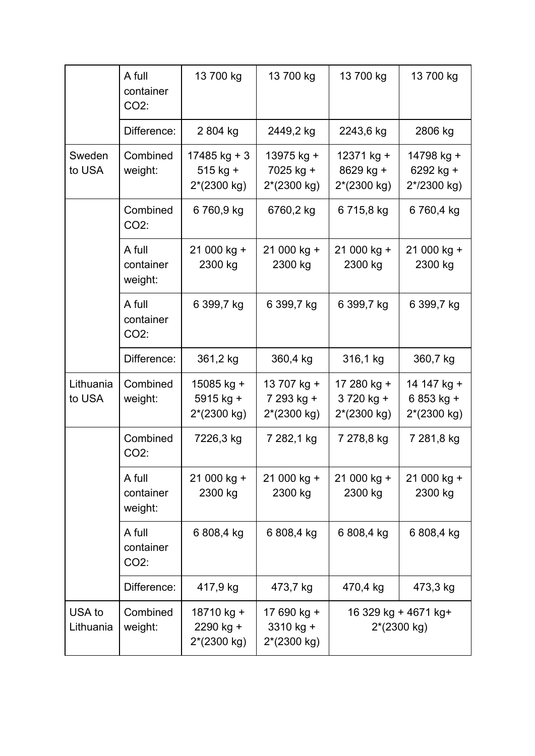|                     | A full<br>container<br>$CO2$ : | 13 700 kg                                   | 13 700 kg                                          | 13 700 kg                                         | 13 700 kg                                          |
|---------------------|--------------------------------|---------------------------------------------|----------------------------------------------------|---------------------------------------------------|----------------------------------------------------|
|                     | Difference:                    | 2 804 kg                                    | 2449,2 kg                                          | 2243,6 kg                                         | 2806 kg                                            |
| Sweden<br>to USA    | Combined<br>weight:            | $17485$ kg + 3<br>$515$ kg +<br>2*(2300 kg) | 13975 kg +<br>7025 kg +<br>$2*(2300 kg)$           | 12371 kg +<br>8629 kg +<br>$2*(2300 kg)$          | 14798 kg +<br>6292 kg +<br>2*/2300 kg)             |
|                     | Combined<br>CO2:               | 6760,9 kg                                   | 6760,2 kg                                          | 6 715,8 kg                                        | 6760,4 kg                                          |
|                     | A full<br>container<br>weight: | 21 000 kg +<br>2300 kg                      | 21 000 kg +<br>2300 kg                             | 21 000 kg +<br>2300 kg                            | 21 000 kg +<br>2300 kg                             |
|                     | A full<br>container<br>CO2:    | 6 399,7 kg                                  | 6 399,7 kg                                         | 6 399,7 kg                                        | 6 399,7 kg                                         |
|                     | Difference:                    | 361,2 kg                                    | 360,4 kg                                           | 316,1 kg                                          | 360,7 kg                                           |
| Lithuania<br>to USA | Combined<br>weight:            | 15085 kg +<br>$5915$ kg +<br>$2*(2300 kg)$  | 13 707 kg +<br>7 293 kg +<br>$2*(2300 \text{ kg})$ | 17 280 kg +<br>3720 kg +<br>$2*(2300 \text{ kg})$ | 14 147 kg +<br>6 853 kg +<br>$2*(2300 \text{ kg})$ |
|                     | Combined<br>CO2:               | 7226,3 kg                                   | 7 282,1 kg                                         | 7 278,8 kg                                        | 7 281,8 kg                                         |
|                     | A full<br>container<br>weight: | 21 000 kg +<br>2300 kg                      | 21 000 kg +<br>2300 kg                             | 21 000 kg +<br>2300 kg                            | 21 000 kg +<br>2300 kg                             |
|                     | A full<br>container<br>CO2:    | 6 808,4 kg                                  | 6 808,4 kg                                         | 6 808,4 kg                                        | 6808,4 kg                                          |
|                     | Difference:                    | 417,9 kg                                    | 473,7 kg                                           | 470,4 kg                                          | 473,3 kg                                           |
| USA to<br>Lithuania | Combined<br>weight:            | 18710 kg +<br>2290 kg +<br>2*(2300 kg)      | 17 690 kg +<br>3310 kg +<br>2*(2300 kg)            |                                                   | 16 329 kg + 4671 kg+<br>$2*(2300 \text{ kg})$      |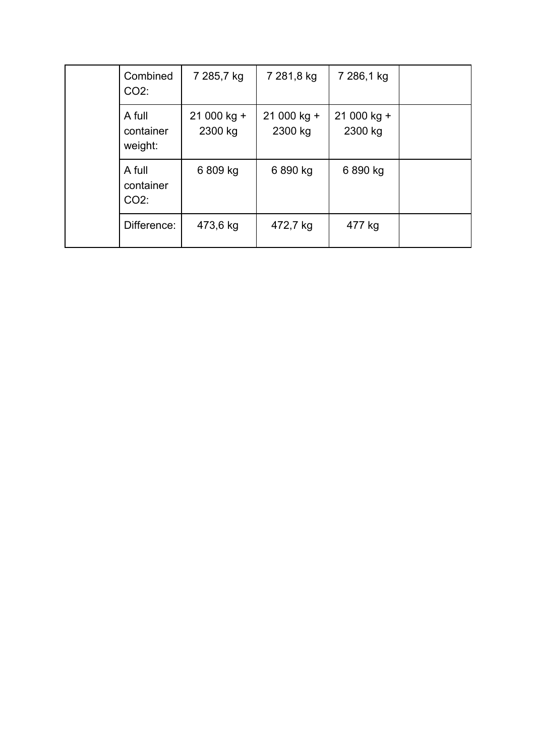| Combined<br>$CO2$ :            | 7 285,7 kg             | 7 281,8 kg             | 7 286,1 kg             |  |
|--------------------------------|------------------------|------------------------|------------------------|--|
| A full<br>container<br>weight: | 21 000 kg +<br>2300 kg | 21 000 kg +<br>2300 kg | 21 000 kg +<br>2300 kg |  |
| A full<br>container<br>$CO2$ : | 6 809 kg               | 6890 kg                | 6 890 kg               |  |
| Difference:                    | 473,6 kg               | 472,7 kg               | 477 kg                 |  |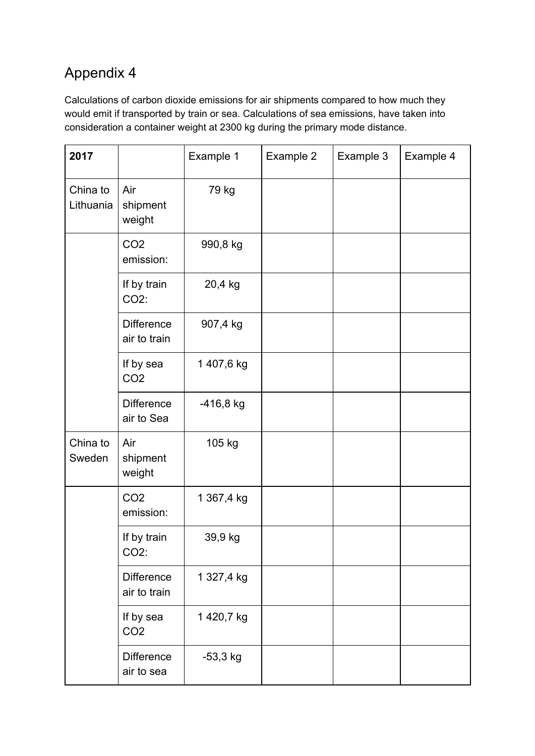# Appendix 4

Calculations of carbon dioxide emissions for air shipments compared to how much they would emit if transported by train or sea. Calculations of sea emissions, have taken into consideration a container weight at 2300 kg during the primary mode distance.

| 2017                  |                                   | Example 1   | Example 2 | Example 3 | Example 4 |
|-----------------------|-----------------------------------|-------------|-----------|-----------|-----------|
| China to<br>Lithuania | Air<br>shipment<br>weight         | 79 kg       |           |           |           |
|                       | CO <sub>2</sub><br>emission:      | 990,8 kg    |           |           |           |
|                       | If by train<br>CO2:               | 20,4 kg     |           |           |           |
|                       | <b>Difference</b><br>air to train | 907,4 kg    |           |           |           |
|                       | If by sea<br>CO <sub>2</sub>      | 1 407,6 kg  |           |           |           |
|                       | <b>Difference</b><br>air to Sea   | $-416,8$ kg |           |           |           |
| China to<br>Sweden    | Air<br>shipment<br>weight         | 105 kg      |           |           |           |
|                       | CO <sub>2</sub><br>emission:      | 1 367,4 kg  |           |           |           |
|                       | If by train<br>CO2:               | 39,9 kg     |           |           |           |
|                       | <b>Difference</b><br>air to train | 1 327,4 kg  |           |           |           |
|                       | If by sea<br>CO <sub>2</sub>      | 1 420,7 kg  |           |           |           |
|                       | <b>Difference</b><br>air to sea   | $-53,3$ kg  |           |           |           |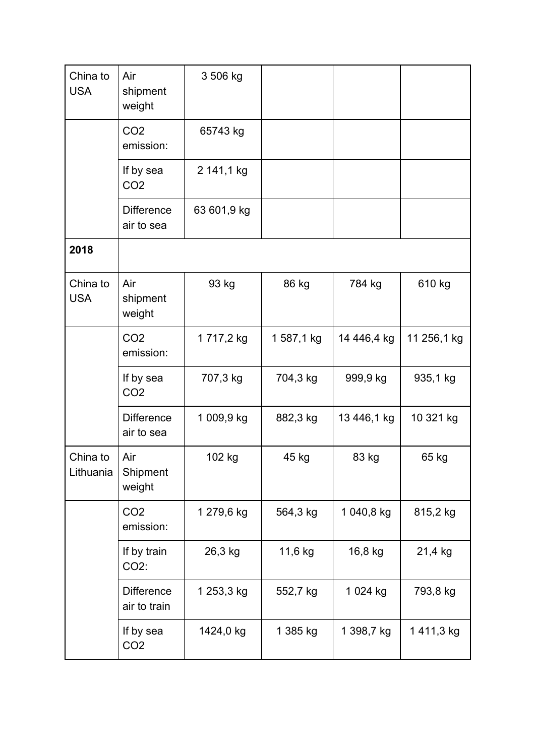| China to<br><b>USA</b> | Air<br>shipment<br>weight         | 3 506 kg    |            |             |             |
|------------------------|-----------------------------------|-------------|------------|-------------|-------------|
|                        | CO <sub>2</sub><br>emission:      | 65743 kg    |            |             |             |
|                        | If by sea<br>CO <sub>2</sub>      | 2 141,1 kg  |            |             |             |
|                        | <b>Difference</b><br>air to sea   | 63 601,9 kg |            |             |             |
| 2018                   |                                   |             |            |             |             |
| China to<br><b>USA</b> | Air<br>shipment<br>weight         | 93 kg       | 86 kg      | 784 kg      | 610 kg      |
|                        | CO <sub>2</sub><br>emission:      | 1 717,2 kg  | 1 587,1 kg | 14 446,4 kg | 11 256,1 kg |
|                        | If by sea<br>CO <sub>2</sub>      | 707,3 kg    | 704,3 kg   | 999,9 kg    | 935,1 kg    |
|                        | <b>Difference</b><br>air to sea   | 1 009,9 kg  | 882,3 kg   | 13 446,1 kg | 10 321 kg   |
| China to<br>Lithuania  | Air<br>Shipment<br>weight         | 102 kg      | 45 kg      | 83 kg       | 65 kg       |
|                        | CO <sub>2</sub><br>emission:      | 1 279,6 kg  | 564,3 kg   | 1 040,8 kg  | 815,2 kg    |
|                        | If by train<br>CO2:               | 26,3 kg     | 11,6 kg    | 16,8 kg     | 21,4 kg     |
|                        | <b>Difference</b><br>air to train | 1 253,3 kg  | 552,7 kg   | 1 024 kg    | 793,8 kg    |
|                        | If by sea<br>CO <sub>2</sub>      | 1424,0 kg   | 1 385 kg   | 1 398,7 kg  | 1411,3 kg   |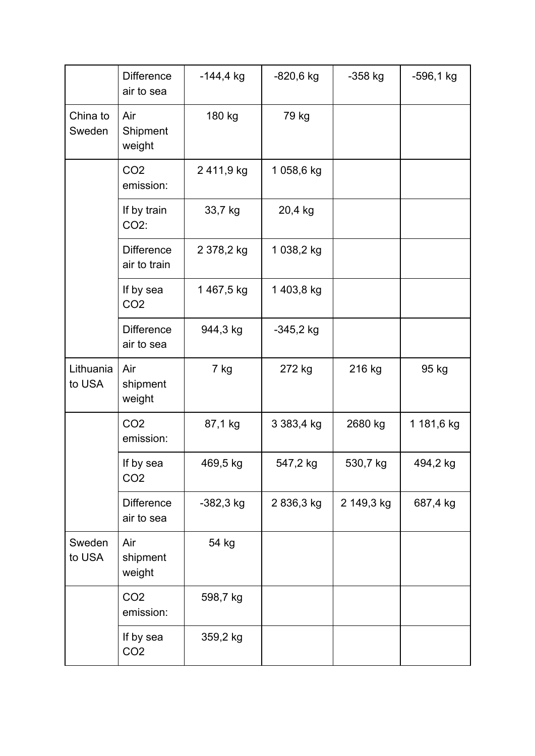|                     | <b>Difference</b><br>air to sea   | $-144,4$ kg | $-820,6$ kg | $-358$ kg  | $-596,1$ kg |
|---------------------|-----------------------------------|-------------|-------------|------------|-------------|
| China to<br>Sweden  | Air<br>Shipment<br>weight         | 180 kg      | 79 kg       |            |             |
|                     | CO <sub>2</sub><br>emission:      | 2411,9 kg   | 1058,6 kg   |            |             |
|                     | If by train<br>CO2:               | 33,7 kg     | 20,4 kg     |            |             |
|                     | <b>Difference</b><br>air to train | 2 378,2 kg  | 1 038,2 kg  |            |             |
|                     | If by sea<br>CO <sub>2</sub>      | 1467,5 kg   | 1403,8 kg   |            |             |
|                     | <b>Difference</b><br>air to sea   | 944,3 kg    | $-345,2$ kg |            |             |
| Lithuania<br>to USA | Air<br>shipment<br>weight         | 7 kg        | 272 kg      | 216 kg     | 95 kg       |
|                     | CO <sub>2</sub><br>emission:      | 87,1 kg     | 3 383,4 kg  | 2680 kg    | 1 181,6 kg  |
|                     | If by sea<br>CO <sub>2</sub>      | 469,5 kg    | 547,2 kg    | 530,7 kg   | 494,2 kg    |
|                     | <b>Difference</b><br>air to sea   | -382,3 kg   | 2836,3 kg   | 2 149,3 kg | 687,4 kg    |
| Sweden<br>to USA    | Air<br>shipment<br>weight         | 54 kg       |             |            |             |
|                     | CO <sub>2</sub><br>emission:      | 598,7 kg    |             |            |             |
|                     | If by sea<br>CO <sub>2</sub>      | 359,2 kg    |             |            |             |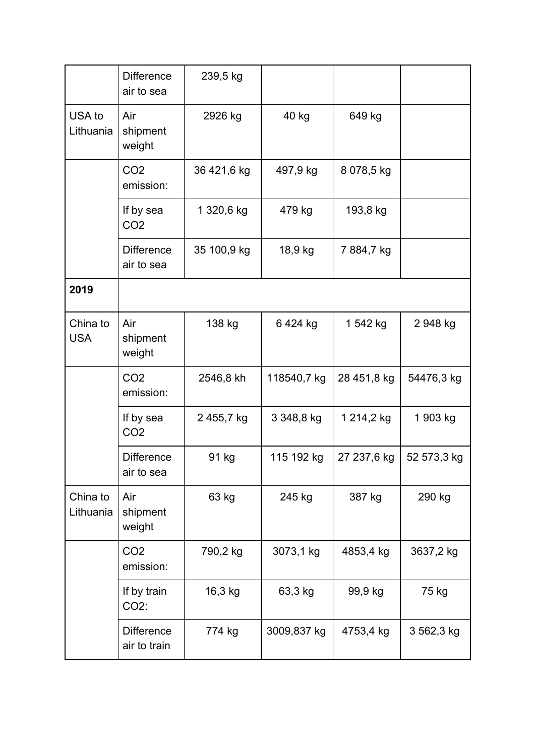|                        | <b>Difference</b><br>air to sea   | 239,5 kg    |             |             |             |
|------------------------|-----------------------------------|-------------|-------------|-------------|-------------|
| USA to<br>Lithuania    | Air<br>shipment<br>weight         | 2926 kg     | 40 kg       | 649 kg      |             |
|                        | CO <sub>2</sub><br>emission:      | 36 421,6 kg | 497,9 kg    | 8 078,5 kg  |             |
|                        | If by sea<br>CO <sub>2</sub>      | 1 320,6 kg  | 479 kg      | 193,8 kg    |             |
|                        | <b>Difference</b><br>air to sea   | 35 100,9 kg | 18,9 kg     | 7884,7 kg   |             |
| 2019                   |                                   |             |             |             |             |
| China to<br><b>USA</b> | Air<br>shipment<br>weight         | 138 kg      | 6424 kg     | 1 542 kg    | 2 948 kg    |
|                        | CO <sub>2</sub><br>emission:      | 2546,8 kh   | 118540,7 kg | 28 451,8 kg | 54476,3 kg  |
|                        | If by sea<br>CO <sub>2</sub>      | 2455,7 kg   | 3 348,8 kg  | 1 214,2 kg  | 1 903 kg    |
|                        | <b>Difference</b><br>air to sea   | 91 kg       | 115 192 kg  | 27 237,6 kg | 52 573,3 kg |
| China to<br>Lithuania  | Air<br>shipment<br>weight         | 63 kg       | 245 kg      | 387 kg      | 290 kg      |
|                        | CO <sub>2</sub><br>emission:      | 790,2 kg    | 3073,1 kg   | 4853,4 kg   | 3637,2 kg   |
|                        | If by train<br>CO2:               | 16,3 kg     | 63,3 kg     | 99,9 kg     | 75 kg       |
|                        | <b>Difference</b><br>air to train | 774 kg      | 3009,837 kg | 4753,4 kg   | 3 562,3 kg  |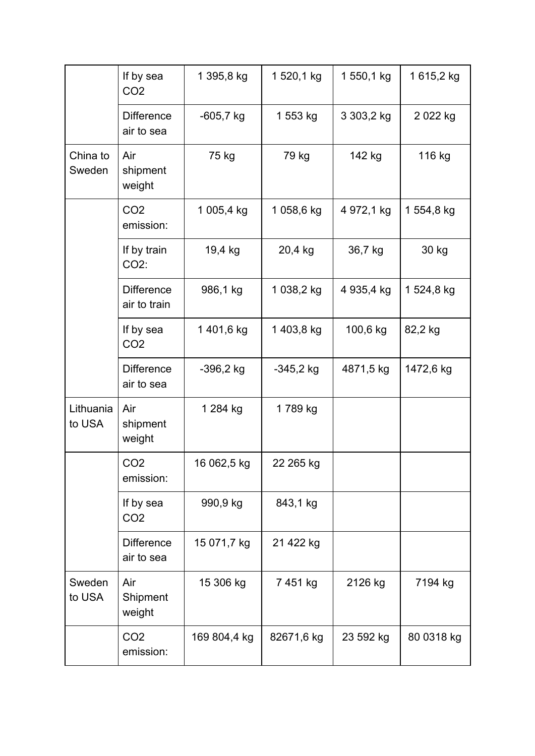|                     | If by sea<br>CO <sub>2</sub>      | 1 395,8 kg   | 1 520,1 kg  | 1 550,1 kg | 1615,2 kg  |
|---------------------|-----------------------------------|--------------|-------------|------------|------------|
|                     | <b>Difference</b><br>air to sea   | $-605,7$ kg  | 1 553 kg    | 3 303,2 kg | 2022 kg    |
| China to<br>Sweden  | Air<br>shipment<br>weight         | 75 kg        | 79 kg       | 142 kg     | 116 kg     |
|                     | CO <sub>2</sub><br>emission:      | 1 005,4 kg   | 1 058,6 kg  | 4 972,1 kg | 1 554,8 kg |
|                     | If by train<br>CO2:               | 19,4 kg      | 20,4 kg     | 36,7 kg    | 30 kg      |
|                     | <b>Difference</b><br>air to train | 986,1 kg     | 1 038,2 kg  | 4 935,4 kg | 1 524,8 kg |
|                     | If by sea<br>CO <sub>2</sub>      | 1401,6 kg    | 1403,8 kg   | 100,6 kg   | 82,2 kg    |
|                     | <b>Difference</b><br>air to sea   | $-396,2$ kg  | $-345,2$ kg | 4871,5 kg  | 1472,6 kg  |
| Lithuania<br>to USA | Air<br>shipment<br>weight         | 1 284 kg     | 1789 kg     |            |            |
|                     | CO <sub>2</sub><br>emission:      | 16 062,5 kg  | 22 265 kg   |            |            |
|                     | If by sea<br>CO <sub>2</sub>      | 990,9 kg     | 843,1 kg    |            |            |
|                     | <b>Difference</b><br>air to sea   | 15 071,7 kg  | 21 422 kg   |            |            |
| Sweden<br>to USA    | Air<br>Shipment<br>weight         | 15 306 kg    | 7451 kg     | 2126 kg    | 7194 kg    |
|                     | CO <sub>2</sub><br>emission:      | 169 804,4 kg | 82671,6 kg  | 23 592 kg  | 80 0318 kg |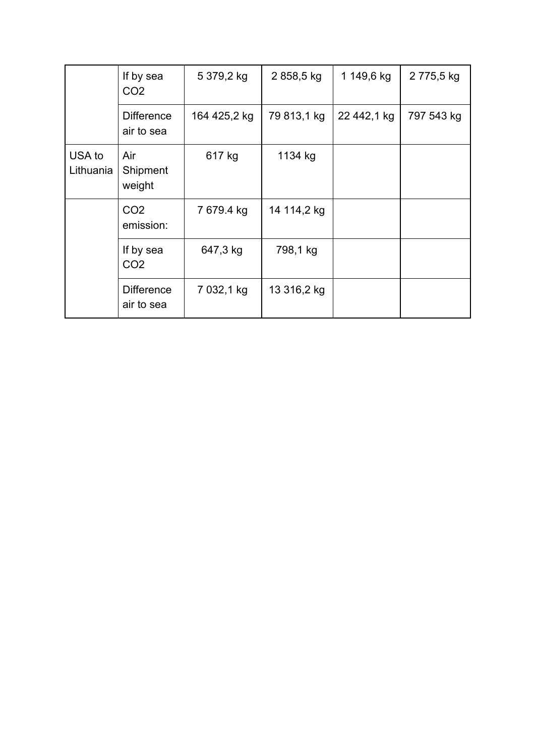|                     | If by sea<br>CO <sub>2</sub>    | 5 379,2 kg   | 2858,5 kg   | 1 149,6 kg  | 2 775,5 kg |
|---------------------|---------------------------------|--------------|-------------|-------------|------------|
|                     | <b>Difference</b><br>air to sea | 164 425,2 kg | 79 813,1 kg | 22 442,1 kg | 797 543 kg |
| USA to<br>Lithuania | Air<br>Shipment<br>weight       | 617 kg       | 1134 kg     |             |            |
|                     | CO <sub>2</sub><br>emission:    | 7 679.4 kg   | 14 114,2 kg |             |            |
|                     | If by sea<br>CO <sub>2</sub>    | 647,3 kg     | 798,1 kg    |             |            |
|                     | <b>Difference</b><br>air to sea | 7 032,1 kg   | 13 316,2 kg |             |            |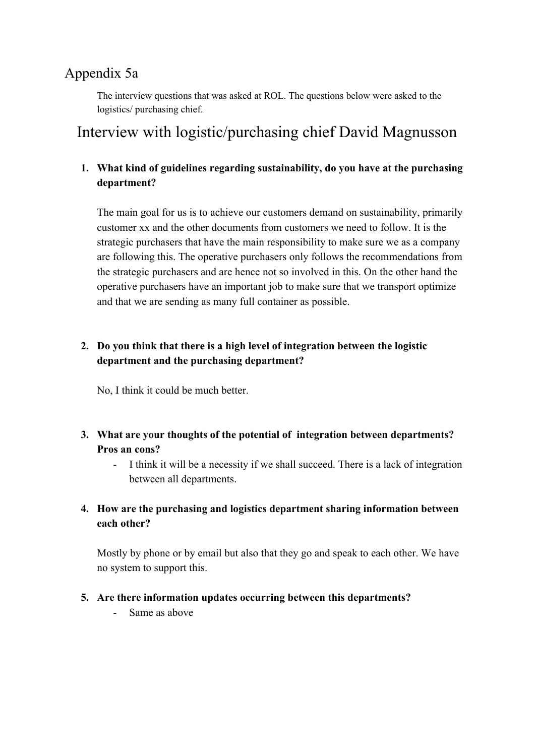# Appendix 5a

The interview questions that was asked at ROL. The questions below were asked to the logistics/ purchasing chief.

# Interview with logistic/purchasing chief David Magnusson

# **1. What kind of guidelines regarding sustainability, do you have at the purchasing department?**

The main goal for us is to achieve our customers demand on sustainability, primarily customer xx and the other documents from customers we need to follow. It is the strategic purchasers that have the main responsibility to make sure we as a company are following this. The operative purchasers only follows the recommendations from the strategic purchasers and are hence not so involved in this. On the other hand the operative purchasers have an important job to make sure that we transport optimize and that we are sending as many full container as possible.

# **2. Do you think that there is a high level of integration between the logistic department and the purchasing department?**

No, I think it could be much better.

- **3. What are your thoughts of the potential of integration between departments? Pros an cons?**
	- I think it will be a necessity if we shall succeed. There is a lack of integration between all departments.
- **4. How are the purchasing and logistics department sharing information between each other?**

Mostly by phone or by email but also that they go and speak to each other. We have no system to support this.

# **5. Are there information updates occurring between this departments?**

- Same as above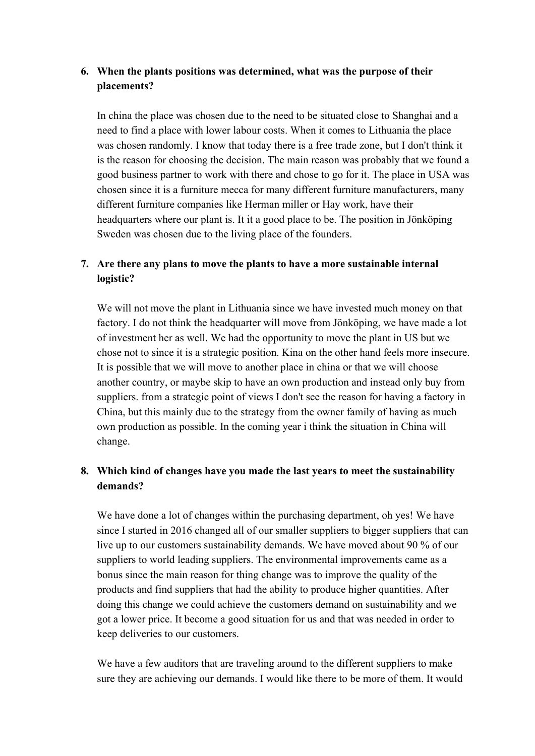# **6. When the plants positions was determined, what was the purpose of their placements?**

In china the place was chosen due to the need to be situated close to Shanghai and a need to find a place with lower labour costs. When it comes to Lithuania the place was chosen randomly. I know that today there is a free trade zone, but I don't think it is the reason for choosing the decision. The main reason was probably that we found a good business partner to work with there and chose to go for it. The place in USA was chosen since it is a furniture mecca for many different furniture manufacturers, many different furniture companies like Herman miller or Hay work, have their headquarters where our plant is. It it a good place to be. The position in Jönköping Sweden was chosen due to the living place of the founders.

# **7. Are there any plans to move the plants to have a more sustainable internal logistic?**

We will not move the plant in Lithuania since we have invested much money on that factory. I do not think the headquarter will move from Jönköping, we have made a lot of investment her as well. We had the opportunity to move the plant in US but we chose not to since it is a strategic position. Kina on the other hand feels more insecure. It is possible that we will move to another place in china or that we will choose another country, or maybe skip to have an own production and instead only buy from suppliers. from a strategic point of views I don't see the reason for having a factory in China, but this mainly due to the strategy from the owner family of having as much own production as possible. In the coming year i think the situation in China will change.

# **8. Which kind of changes have you made the last years to meet the sustainability demands?**

We have done a lot of changes within the purchasing department, oh yes! We have since I started in 2016 changed all of our smaller suppliers to bigger suppliers that can live up to our customers sustainability demands. We have moved about 90 % of our suppliers to world leading suppliers. The environmental improvements came as a bonus since the main reason for thing change was to improve the quality of the products and find suppliers that had the ability to produce higher quantities. After doing this change we could achieve the customers demand on sustainability and we got a lower price. It become a good situation for us and that was needed in order to keep deliveries to our customers.

We have a few auditors that are traveling around to the different suppliers to make sure they are achieving our demands. I would like there to be more of them. It would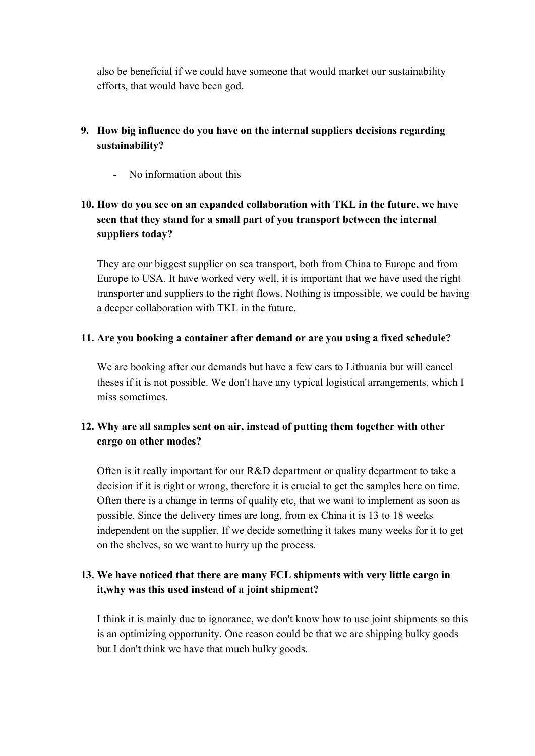also be beneficial if we could have someone that would market our sustainability efforts, that would have been god.

# **9. How big influence do you have on the internal suppliers decisions regarding sustainability?**

- No information about this

# **10. How do you see on an expanded collaboration with TKL in the future, we have seen that they stand for a small part of you transport between the internal suppliers today?**

They are our biggest supplier on sea transport, both from China to Europe and from Europe to USA. It have worked very well, it is important that we have used the right transporter and suppliers to the right flows. Nothing is impossible, we could be having a deeper collaboration with TKL in the future.

## **11. Are you booking a container after demand or are you using a fixed schedule?**

We are booking after our demands but have a few cars to Lithuania but will cancel theses if it is not possible. We don't have any typical logistical arrangements, which I miss sometimes.

# **12. Why are all samples sent on air, instead of putting them together with other cargo on other modes?**

Often is it really important for our R&D department or quality department to take a decision if it is right or wrong, therefore it is crucial to get the samples here on time. Often there is a change in terms of quality etc, that we want to implement as soon as possible. Since the delivery times are long, from ex China it is 13 to 18 weeks independent on the supplier. If we decide something it takes many weeks for it to get on the shelves, so we want to hurry up the process.

# **13. We have noticed that there are many FCL shipments with very little cargo in it,why was this used instead of a joint shipment?**

I think it is mainly due to ignorance, we don't know how to use joint shipments so this is an optimizing opportunity. One reason could be that we are shipping bulky goods but I don't think we have that much bulky goods.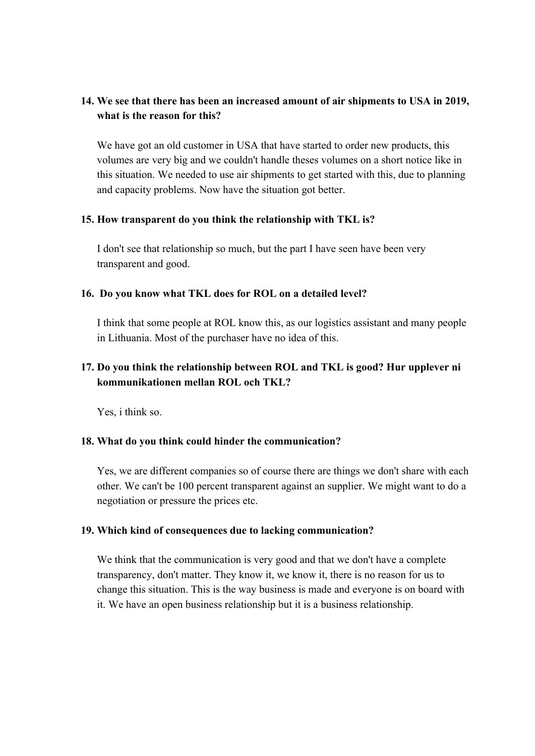# **14. We see that there has been an increased amount of air shipments to USA in 2019, what is the reason for this?**

We have got an old customer in USA that have started to order new products, this volumes are very big and we couldn't handle theses volumes on a short notice like in this situation. We needed to use air shipments to get started with this, due to planning and capacity problems. Now have the situation got better.

#### **15. How transparent do you think the relationship with TKL is?**

I don't see that relationship so much, but the part I have seen have been very transparent and good.

## **16. Do you know what TKL does for ROL on a detailed level?**

I think that some people at ROL know this, as our logistics assistant and many people in Lithuania. Most of the purchaser have no idea of this.

# **17. Do you think the relationship between ROL and TKL is good? Hur upplever ni kommunikationen mellan ROL och TKL?**

Yes, i think so.

## **18. What do you think could hinder the communication?**

Yes, we are different companies so of course there are things we don't share with each other. We can't be 100 percent transparent against an supplier. We might want to do a negotiation or pressure the prices etc.

## **19. Which kind of consequences due to lacking communication?**

We think that the communication is very good and that we don't have a complete transparency, don't matter. They know it, we know it, there is no reason for us to change this situation. This is the way business is made and everyone is on board with it. We have an open business relationship but it is a business relationship.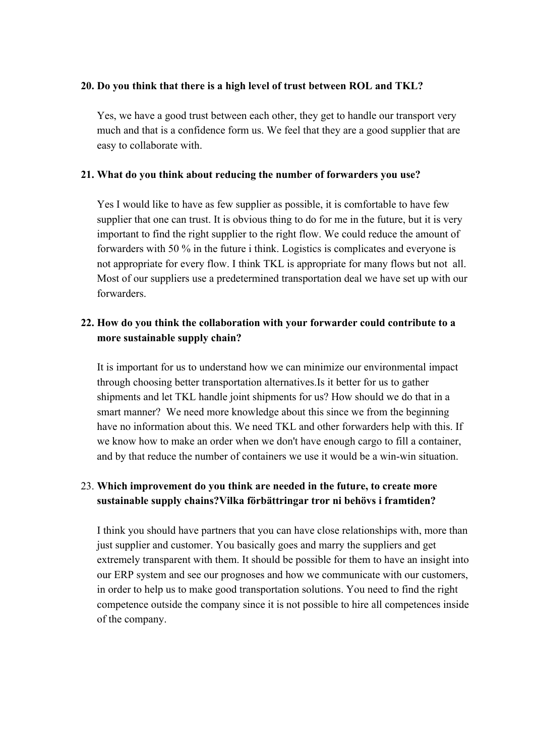## **20. Do you think that there is a high level of trust between ROL and TKL?**

Yes, we have a good trust between each other, they get to handle our transport very much and that is a confidence form us. We feel that they are a good supplier that are easy to collaborate with.

### **21. What do you think about reducing the number of forwarders you use?**

Yes I would like to have as few supplier as possible, it is comfortable to have few supplier that one can trust. It is obvious thing to do for me in the future, but it is very important to find the right supplier to the right flow. We could reduce the amount of forwarders with 50 % in the future i think. Logistics is complicates and everyone is not appropriate for every flow. I think TKL is appropriate for many flows but not all. Most of our suppliers use a predetermined transportation deal we have set up with our forwarders.

# **22. How do you think the collaboration with your forwarder could contribute to a more sustainable supply chain?**

It is important for us to understand how we can minimize our environmental impact through choosing better transportation alternatives.Is it better for us to gather shipments and let TKL handle joint shipments for us? How should we do that in a smart manner? We need more knowledge about this since we from the beginning have no information about this. We need TKL and other forwarders help with this. If we know how to make an order when we don't have enough cargo to fill a container, and by that reduce the number of containers we use it would be a win-win situation.

# 23. **Which improvement do you think are needed in the future, to create more sustainable supply chains?Vilka förbättringar tror ni behövs i framtiden?**

I think you should have partners that you can have close relationships with, more than just supplier and customer. You basically goes and marry the suppliers and get extremely transparent with them. It should be possible for them to have an insight into our ERP system and see our prognoses and how we communicate with our customers, in order to help us to make good transportation solutions. You need to find the right competence outside the company since it is not possible to hire all competences inside of the company.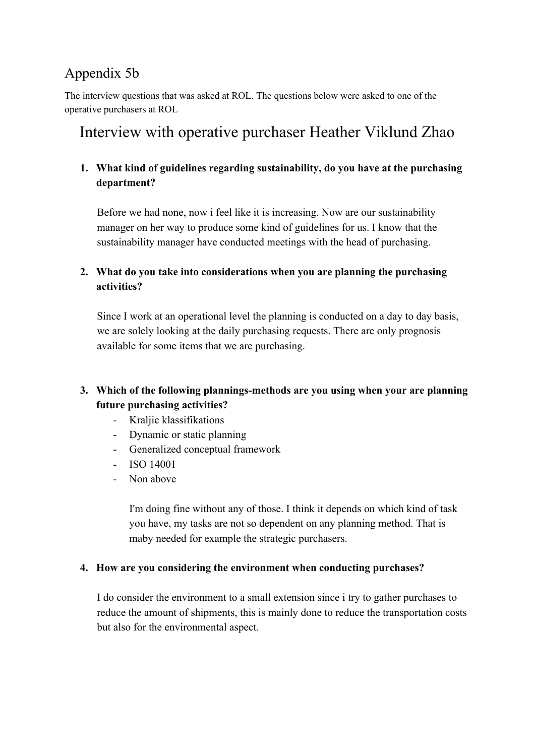# Appendix 5b

The interview questions that was asked at ROL. The questions below were asked to one of the operative purchasers at ROL

# Interview with operative purchaser Heather Viklund Zhao

# **1. What kind of guidelines regarding sustainability, do you have at the purchasing department?**

Before we had none, now i feel like it is increasing. Now are our sustainability manager on her way to produce some kind of guidelines for us. I know that the sustainability manager have conducted meetings with the head of purchasing.

# **2. What do you take into considerations when you are planning the purchasing activities?**

Since I work at an operational level the planning is conducted on a day to day basis, we are solely looking at the daily purchasing requests. There are only prognosis available for some items that we are purchasing.

# **3. Which of the following plannings-methods are you using when your are planning future purchasing activities?**

- Kraljic klassifikations
- Dynamic or static planning
- Generalized conceptual framework
- ISO 14001
- Non above

I'm doing fine without any of those. I think it depends on which kind of task you have, my tasks are not so dependent on any planning method. That is maby needed for example the strategic purchasers.

## **4. How are you considering the environment when conducting purchases?**

I do consider the environment to a small extension since i try to gather purchases to reduce the amount of shipments, this is mainly done to reduce the transportation costs but also for the environmental aspect.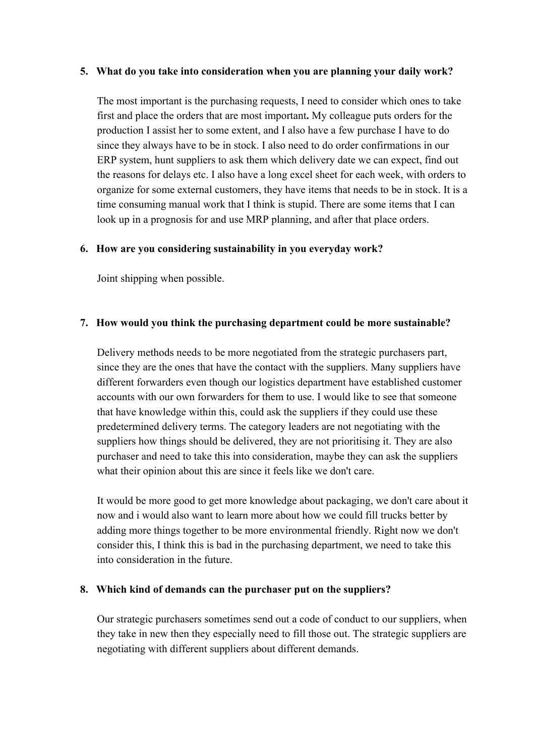### **5. What do you take into consideration when you are planning your daily work?**

The most important is the purchasing requests, I need to consider which ones to take first and place the orders that are most important**.** My colleague puts orders for the production I assist her to some extent, and I also have a few purchase I have to do since they always have to be in stock. I also need to do order confirmations in our ERP system, hunt suppliers to ask them which delivery date we can expect, find out the reasons for delays etc. I also have a long excel sheet for each week, with orders to organize for some external customers, they have items that needs to be in stock. It is a time consuming manual work that I think is stupid. There are some items that I can look up in a prognosis for and use MRP planning, and after that place orders.

#### **6. How are you considering sustainability in you everyday work?**

Joint shipping when possible.

#### **7. How would you think the purchasing department could be more sustainable?**

Delivery methods needs to be more negotiated from the strategic purchasers part, since they are the ones that have the contact with the suppliers. Many suppliers have different forwarders even though our logistics department have established customer accounts with our own forwarders for them to use. I would like to see that someone that have knowledge within this, could ask the suppliers if they could use these predetermined delivery terms. The category leaders are not negotiating with the suppliers how things should be delivered, they are not prioritising it. They are also purchaser and need to take this into consideration, maybe they can ask the suppliers what their opinion about this are since it feels like we don't care.

It would be more good to get more knowledge about packaging, we don't care about it now and i would also want to learn more about how we could fill trucks better by adding more things together to be more environmental friendly. Right now we don't consider this, I think this is bad in the purchasing department, we need to take this into consideration in the future.

## **8. Which kind of demands can the purchaser put on the suppliers?**

Our strategic purchasers sometimes send out a code of conduct to our suppliers, when they take in new then they especially need to fill those out. The strategic suppliers are negotiating with different suppliers about different demands.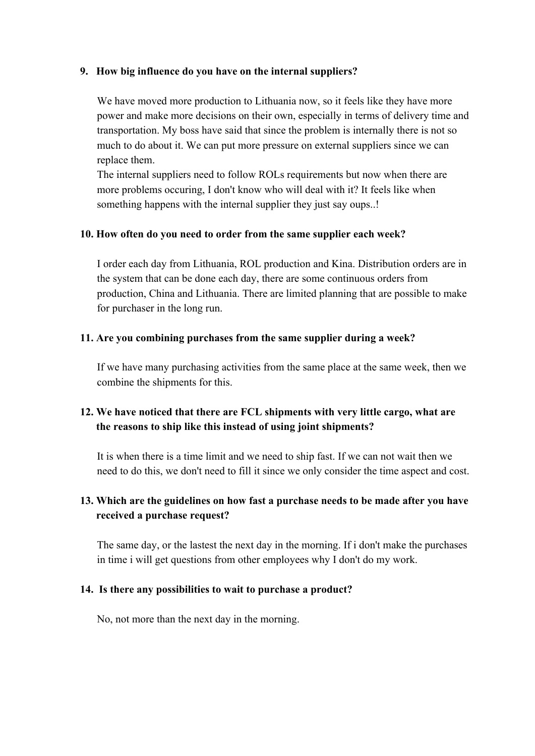### **9. How big influence do you have on the internal suppliers?**

We have moved more production to Lithuania now, so it feels like they have more power and make more decisions on their own, especially in terms of delivery time and transportation. My boss have said that since the problem is internally there is not so much to do about it. We can put more pressure on external suppliers since we can replace them.

The internal suppliers need to follow ROLs requirements but now when there are more problems occuring, I don't know who will deal with it? It feels like when something happens with the internal supplier they just say oups..!

#### **10. How often do you need to order from the same supplier each week?**

I order each day from Lithuania, ROL production and Kina. Distribution orders are in the system that can be done each day, there are some continuous orders from production, China and Lithuania. There are limited planning that are possible to make for purchaser in the long run.

#### **11. Are you combining purchases from the same supplier during a week?**

If we have many purchasing activities from the same place at the same week, then we combine the shipments for this.

# **12. We have noticed that there are FCL shipments with very little cargo, what are the reasons to ship like this instead of using joint shipments?**

It is when there is a time limit and we need to ship fast. If we can not wait then we need to do this, we don't need to fill it since we only consider the time aspect and cost.

# **13. Which are the guidelines on how fast a purchase needs to be made after you have received a purchase request?**

The same day, or the lastest the next day in the morning. If i don't make the purchases in time i will get questions from other employees why I don't do my work.

## **14. Is there any possibilities to wait to purchase a product?**

No, not more than the next day in the morning.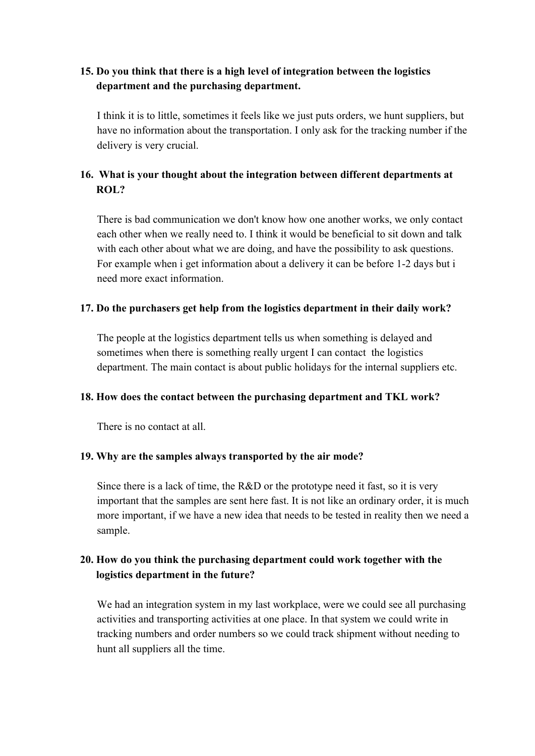# **15. Do you think that there is a high level of integration between the logistics department and the purchasing department.**

I think it is to little, sometimes it feels like we just puts orders, we hunt suppliers, but have no information about the transportation. I only ask for the tracking number if the delivery is very crucial.

# **16. What is your thought about the integration between different departments at ROL?**

There is bad communication we don't know how one another works, we only contact each other when we really need to. I think it would be beneficial to sit down and talk with each other about what we are doing, and have the possibility to ask questions. For example when i get information about a delivery it can be before 1-2 days but i need more exact information.

## **17. Do the purchasers get help from the logistics department in their daily work?**

The people at the logistics department tells us when something is delayed and sometimes when there is something really urgent I can contact the logistics department. The main contact is about public holidays for the internal suppliers etc.

## **18. How does the contact between the purchasing department and TKL work?**

There is no contact at all.

## **19. Why are the samples always transported by the air mode?**

Since there is a lack of time, the R&D or the prototype need it fast, so it is very important that the samples are sent here fast. It is not like an ordinary order, it is much more important, if we have a new idea that needs to be tested in reality then we need a sample.

# **20. How do you think the purchasing department could work together with the logistics department in the future?**

We had an integration system in my last workplace, were we could see all purchasing activities and transporting activities at one place. In that system we could write in tracking numbers and order numbers so we could track shipment without needing to hunt all suppliers all the time.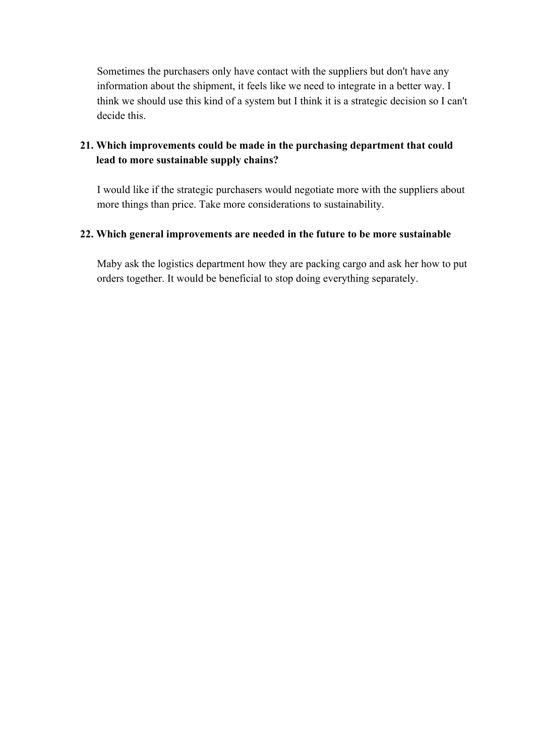Sometimes the purchasers only have contact with the suppliers but don't have any information about the shipment, it feels like we need to integrate in a better way. I think we should use this kind of a system but I think it is a strategic decision so I can't decide this.

# **21. Which improvements could be made in the purchasing department that could lead to more sustainable supply chains?**

I would like if the strategic purchasers would negotiate more with the suppliers about more things than price. Take more considerations to sustainability.

## **22. Which general improvements are needed in the future to be more sustainable**

Maby ask the logistics department how they are packing cargo and ask her how to put orders together. It would be beneficial to stop doing everything separately.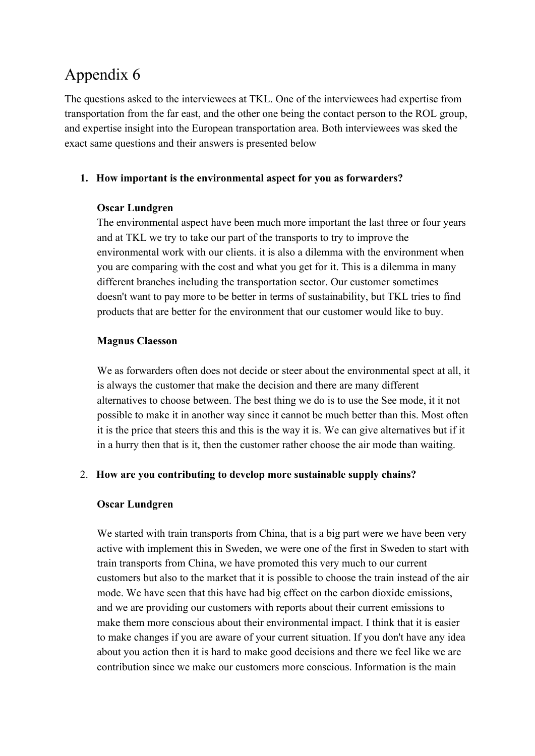# Appendix 6

The questions asked to the interviewees at TKL. One of the interviewees had expertise from transportation from the far east, and the other one being the contact person to the ROL group, and expertise insight into the European transportation area. Both interviewees was sked the exact same questions and their answers is presented below

## **1. How important is the environmental aspect for you as forwarders?**

## **Oscar Lundgren**

The environmental aspect have been much more important the last three or four years and at TKL we try to take our part of the transports to try to improve the environmental work with our clients. it is also a dilemma with the environment when you are comparing with the cost and what you get for it. This is a dilemma in many different branches including the transportation sector. Our customer sometimes doesn't want to pay more to be better in terms of sustainability, but TKL tries to find products that are better for the environment that our customer would like to buy.

## **Magnus Claesson**

We as forwarders often does not decide or steer about the environmental spect at all, it is always the customer that make the decision and there are many different alternatives to choose between. The best thing we do is to use the See mode, it it not possible to make it in another way since it cannot be much better than this. Most often it is the price that steers this and this is the way it is. We can give alternatives but if it in a hurry then that is it, then the customer rather choose the air mode than waiting.

# 2. **How are you contributing to develop more sustainable supply chains?**

# **Oscar Lundgren**

We started with train transports from China, that is a big part were we have been very active with implement this in Sweden, we were one of the first in Sweden to start with train transports from China, we have promoted this very much to our current customers but also to the market that it is possible to choose the train instead of the air mode. We have seen that this have had big effect on the carbon dioxide emissions, and we are providing our customers with reports about their current emissions to make them more conscious about their environmental impact. I think that it is easier to make changes if you are aware of your current situation. If you don't have any idea about you action then it is hard to make good decisions and there we feel like we are contribution since we make our customers more conscious. Information is the main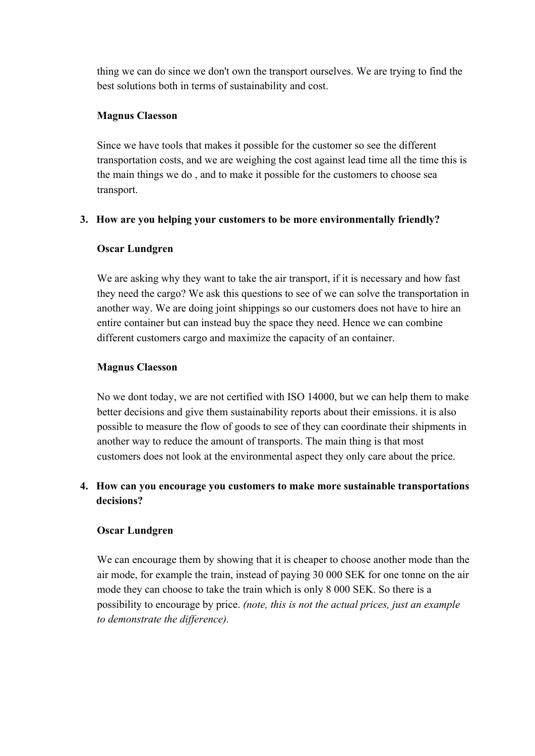thing we can do since we don't own the transport ourselves. We are trying to find the best solutions both in terms of sustainability and cost.

## **Magnus Claesson**

Since we have tools that makes it possible for the customer so see the different transportation costs, and we are weighing the cost against lead time all the time this is the main things we do , and to make it possible for the customers to choose sea transport.

## **3. How are you helping your customers to be more environmentally friendly?**

#### **Oscar Lundgren**

We are asking why they want to take the air transport, if it is necessary and how fast they need the cargo? We ask this questions to see of we can solve the transportation in another way. We are doing joint shippings so our customers does not have to hire an entire container but can instead buy the space they need. Hence we can combine different customers cargo and maximize the capacity of an container.

## **Magnus Claesson**

No we dont today, we are not certified with ISO 14000, but we can help them to make better decisions and give them sustainability reports about their emissions. it is also possible to measure the flow of goods to see of they can coordinate their shipments in another way to reduce the amount of transports. The main thing is that most customers does not look at the environmental aspect they only care about the price.

# **4. How can you encourage you customers to make more sustainable transportations decisions?**

## **Oscar Lundgren**

We can encourage them by showing that it is cheaper to choose another mode than the air mode, for example the train, instead of paying 30 000 SEK for one tonne on the air mode they can choose to take the train which is only 8 000 SEK. So there is a possibility to encourage by price. *(note, this is not the actual prices, just an example to demonstrate the difference).*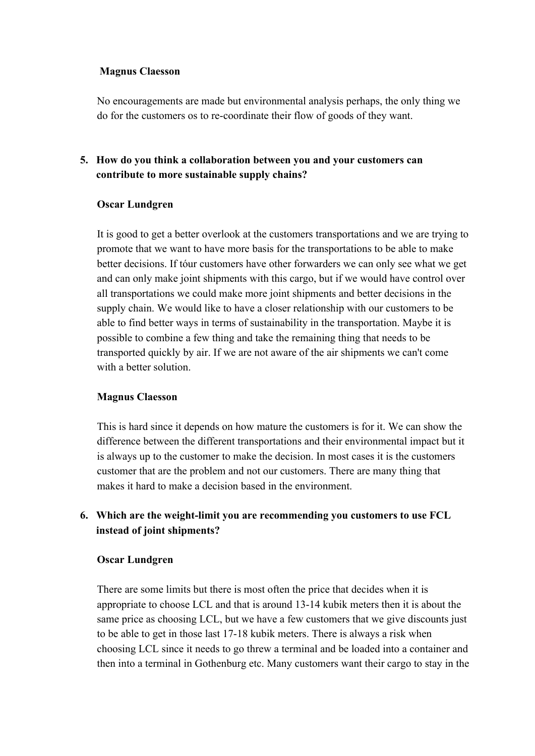## **Magnus Claesson**

No encouragements are made but environmental analysis perhaps, the only thing we do for the customers os to re-coordinate their flow of goods of they want.

# **5. How do you think a collaboration between you and your customers can contribute to more sustainable supply chains?**

#### **Oscar Lundgren**

It is good to get a better overlook at the customers transportations and we are trying to promote that we want to have more basis for the transportations to be able to make better decisions. If tóur customers have other forwarders we can only see what we get and can only make joint shipments with this cargo, but if we would have control over all transportations we could make more joint shipments and better decisions in the supply chain. We would like to have a closer relationship with our customers to be able to find better ways in terms of sustainability in the transportation. Maybe it is possible to combine a few thing and take the remaining thing that needs to be transported quickly by air. If we are not aware of the air shipments we can't come with a better solution.

#### **Magnus Claesson**

This is hard since it depends on how mature the customers is for it. We can show the difference between the different transportations and their environmental impact but it is always up to the customer to make the decision. In most cases it is the customers customer that are the problem and not our customers. There are many thing that makes it hard to make a decision based in the environment.

# **6. Which are the weight-limit you are recommending you customers to use FCL instead of joint shipments?**

## **Oscar Lundgren**

There are some limits but there is most often the price that decides when it is appropriate to choose LCL and that is around 13-14 kubik meters then it is about the same price as choosing LCL, but we have a few customers that we give discounts just to be able to get in those last 17-18 kubik meters. There is always a risk when choosing LCL since it needs to go threw a terminal and be loaded into a container and then into a terminal in Gothenburg etc. Many customers want their cargo to stay in the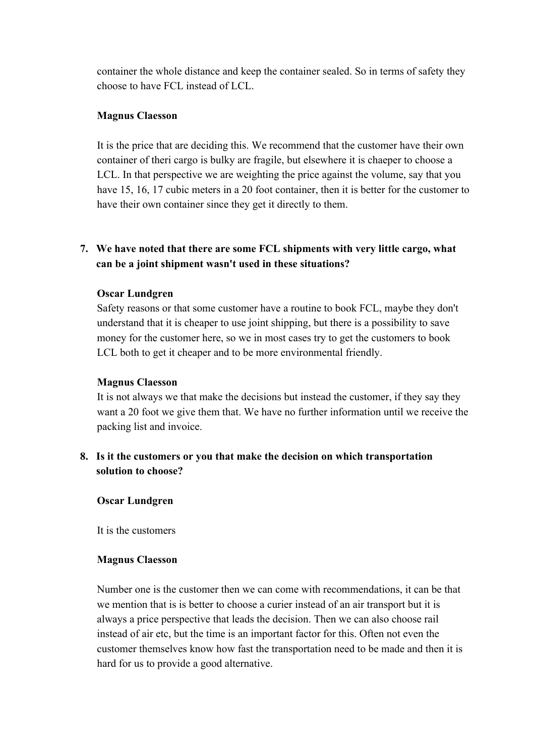container the whole distance and keep the container sealed. So in terms of safety they choose to have FCL instead of LCL.

### **Magnus Claesson**

It is the price that are deciding this. We recommend that the customer have their own container of theri cargo is bulky are fragile, but elsewhere it is chaeper to choose a LCL. In that perspective we are weighting the price against the volume, say that you have 15, 16, 17 cubic meters in a 20 foot container, then it is better for the customer to have their own container since they get it directly to them.

## **7. We have noted that there are some FCL shipments with very little cargo, what can be a joint shipment wasn't used in these situations?**

#### **Oscar Lundgren**

Safety reasons or that some customer have a routine to book FCL, maybe they don't understand that it is cheaper to use joint shipping, but there is a possibility to save money for the customer here, so we in most cases try to get the customers to book LCL both to get it cheaper and to be more environmental friendly.

### **Magnus Claesson**

It is not always we that make the decisions but instead the customer, if they say they want a 20 foot we give them that. We have no further information until we receive the packing list and invoice.

# **8. Is it the customers or you that make the decision on which transportation solution to choose?**

## **Oscar Lundgren**

It is the customers

#### **Magnus Claesson**

Number one is the customer then we can come with recommendations, it can be that we mention that is is better to choose a curier instead of an air transport but it is always a price perspective that leads the decision. Then we can also choose rail instead of air etc, but the time is an important factor for this. Often not even the customer themselves know how fast the transportation need to be made and then it is hard for us to provide a good alternative.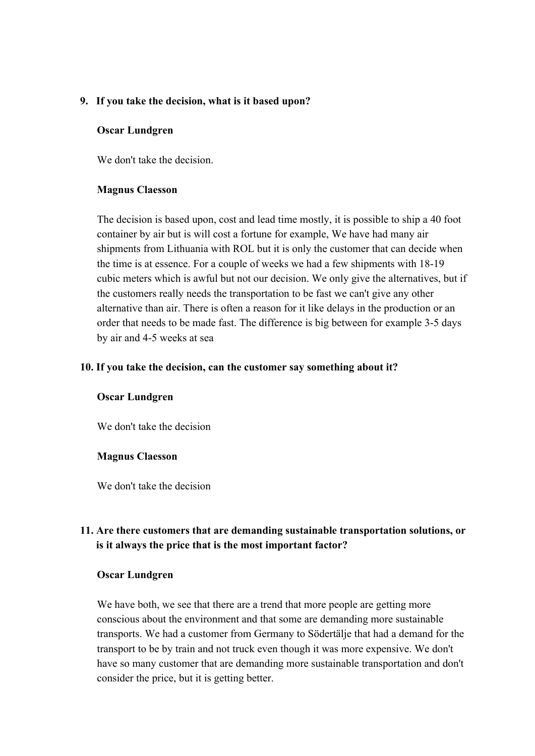### **9. If you take the decision, what is it based upon?**

#### **Oscar Lundgren**

We don't take the decision.

#### **Magnus Claesson**

The decision is based upon, cost and lead time mostly, it is possible to ship a 40 foot container by air but is will cost a fortune for example, We have had many air shipments from Lithuania with ROL but it is only the customer that can decide when the time is at essence. For a couple of weeks we had a few shipments with 18-19 cubic meters which is awful but not our decision. We only give the alternatives, but if the customers really needs the transportation to be fast we can't give any other alternative than air. There is often a reason for it like delays in the production or an order that needs to be made fast. The difference is big between for example 3-5 days by air and 4-5 weeks at sea

#### **10. If you take the decision, can the customer say something about it?**

#### **Oscar Lundgren**

We don't take the decision

#### **Magnus Claesson**

We don't take the decision

# **11. Are there customers that are demanding sustainable transportation solutions, or is it always the price that is the most important factor?**

#### **Oscar Lundgren**

We have both, we see that there are a trend that more people are getting more conscious about the environment and that some are demanding more sustainable transports. We had a customer from Germany to Södertälje that had a demand for the transport to be by train and not truck even though it was more expensive. We don't have so many customer that are demanding more sustainable transportation and don't consider the price, but it is getting better.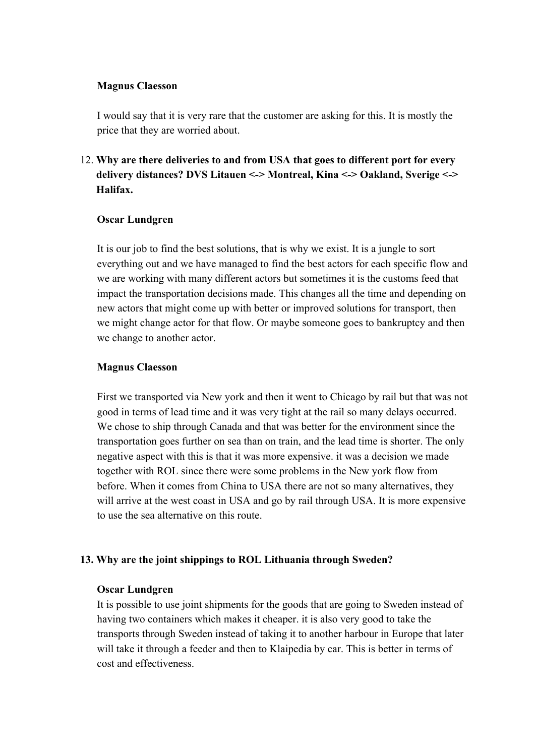#### **Magnus Claesson**

I would say that it is very rare that the customer are asking for this. It is mostly the price that they are worried about.

# 12. **Why are there deliveries to and from USA that goes to different port for every delivery distances? DVS Litauen <-> Montreal, Kina <-> Oakland, Sverige <-> Halifax.**

#### **Oscar Lundgren**

It is our job to find the best solutions, that is why we exist. It is a jungle to sort everything out and we have managed to find the best actors for each specific flow and we are working with many different actors but sometimes it is the customs feed that impact the transportation decisions made. This changes all the time and depending on new actors that might come up with better or improved solutions for transport, then we might change actor for that flow. Or maybe someone goes to bankruptcy and then we change to another actor.

#### **Magnus Claesson**

First we transported via New york and then it went to Chicago by rail but that was not good in terms of lead time and it was very tight at the rail so many delays occurred. We chose to ship through Canada and that was better for the environment since the transportation goes further on sea than on train, and the lead time is shorter. The only negative aspect with this is that it was more expensive. it was a decision we made together with ROL since there were some problems in the New york flow from before. When it comes from China to USA there are not so many alternatives, they will arrive at the west coast in USA and go by rail through USA. It is more expensive to use the sea alternative on this route.

## **13. Why are the joint shippings to ROL Lithuania through Sweden?**

## **Oscar Lundgren**

It is possible to use joint shipments for the goods that are going to Sweden instead of having two containers which makes it cheaper. it is also very good to take the transports through Sweden instead of taking it to another harbour in Europe that later will take it through a feeder and then to Klaipedia by car. This is better in terms of cost and effectiveness.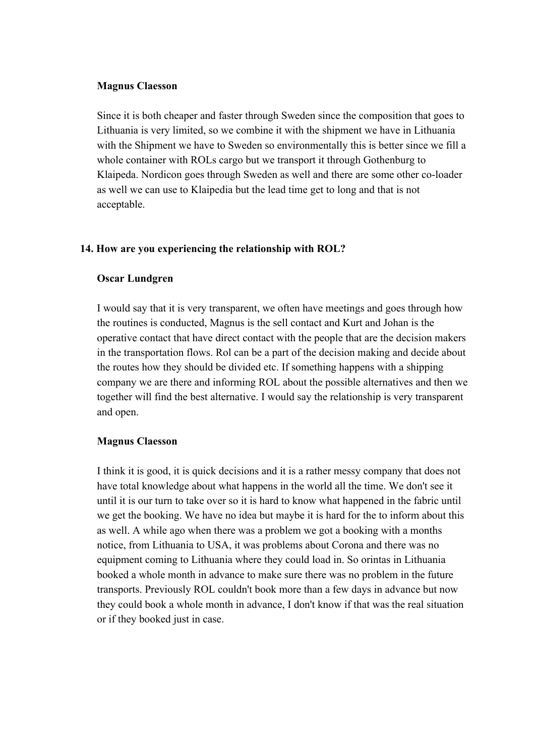#### **Magnus Claesson**

Since it is both cheaper and faster through Sweden since the composition that goes to Lithuania is very limited, so we combine it with the shipment we have in Lithuania with the Shipment we have to Sweden so environmentally this is better since we fill a whole container with ROLs cargo but we transport it through Gothenburg to Klaipeda. Nordicon goes through Sweden as well and there are some other co-loader as well we can use to Klaipedia but the lead time get to long and that is not acceptable.

## **14. How are you experiencing the relationship with ROL?**

#### **Oscar Lundgren**

I would say that it is very transparent, we often have meetings and goes through how the routines is conducted, Magnus is the sell contact and Kurt and Johan is the operative contact that have direct contact with the people that are the decision makers in the transportation flows. Rol can be a part of the decision making and decide about the routes how they should be divided etc. If something happens with a shipping company we are there and informing ROL about the possible alternatives and then we together will find the best alternative. I would say the relationship is very transparent and open.

#### **Magnus Claesson**

I think it is good, it is quick decisions and it is a rather messy company that does not have total knowledge about what happens in the world all the time. We don't see it until it is our turn to take over so it is hard to know what happened in the fabric until we get the booking. We have no idea but maybe it is hard for the to inform about this as well. A while ago when there was a problem we got a booking with a months notice, from Lithuania to USA, it was problems about Corona and there was no equipment coming to Lithuania where they could load in. So orintas in Lithuania booked a whole month in advance to make sure there was no problem in the future transports. Previously ROL couldn't book more than a few days in advance but now they could book a whole month in advance, I don't know if that was the real situation or if they booked just in case.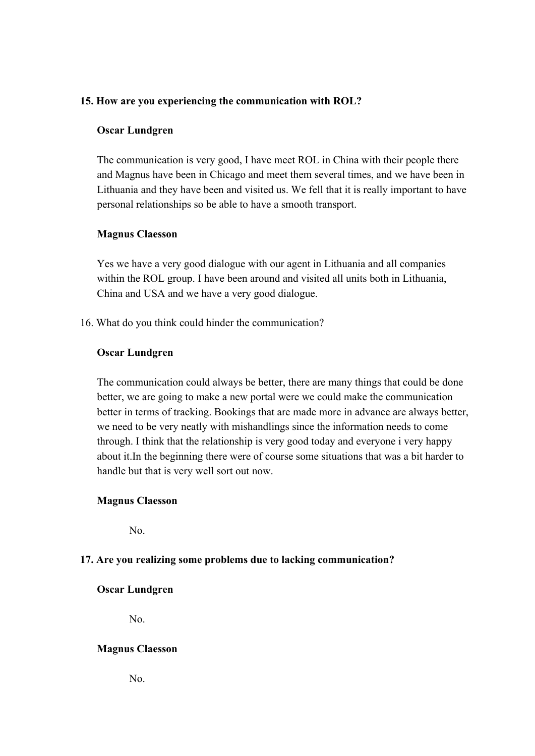## **15. How are you experiencing the communication with ROL?**

#### **Oscar Lundgren**

The communication is very good, I have meet ROL in China with their people there and Magnus have been in Chicago and meet them several times, and we have been in Lithuania and they have been and visited us. We fell that it is really important to have personal relationships so be able to have a smooth transport.

#### **Magnus Claesson**

Yes we have a very good dialogue with our agent in Lithuania and all companies within the ROL group. I have been around and visited all units both in Lithuania, China and USA and we have a very good dialogue.

16. What do you think could hinder the communication?

#### **Oscar Lundgren**

The communication could always be better, there are many things that could be done better, we are going to make a new portal were we could make the communication better in terms of tracking. Bookings that are made more in advance are always better, we need to be very neatly with mishandlings since the information needs to come through. I think that the relationship is very good today and everyone i very happy about it.In the beginning there were of course some situations that was a bit harder to handle but that is very well sort out now.

## **Magnus Claesson**

No.

## **17. Are you realizing some problems due to lacking communication?**

## **Oscar Lundgren**

No.

## **Magnus Claesson**

No.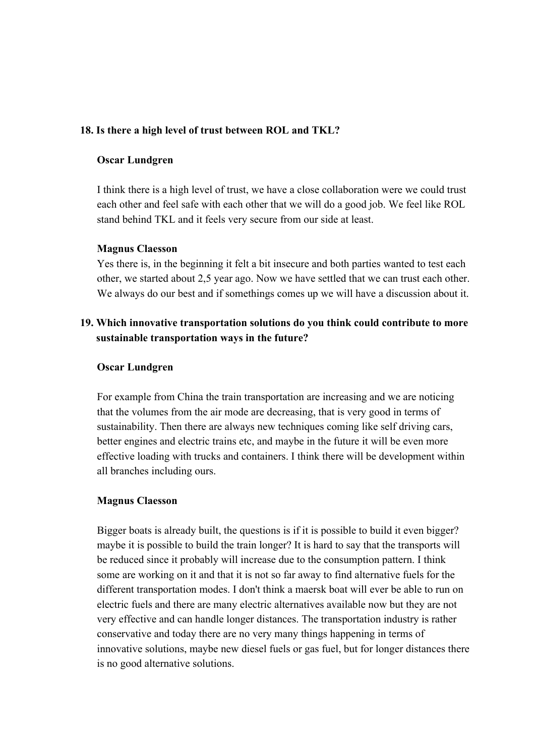### **18. Is there a high level of trust between ROL and TKL?**

#### **Oscar Lundgren**

I think there is a high level of trust, we have a close collaboration were we could trust each other and feel safe with each other that we will do a good job. We feel like ROL stand behind TKL and it feels very secure from our side at least.

#### **Magnus Claesson**

Yes there is, in the beginning it felt a bit insecure and both parties wanted to test each other, we started about 2,5 year ago. Now we have settled that we can trust each other. We always do our best and if somethings comes up we will have a discussion about it.

## **19. Which innovative transportation solutions do you think could contribute to more sustainable transportation ways in the future?**

#### **Oscar Lundgren**

For example from China the train transportation are increasing and we are noticing that the volumes from the air mode are decreasing, that is very good in terms of sustainability. Then there are always new techniques coming like self driving cars, better engines and electric trains etc, and maybe in the future it will be even more effective loading with trucks and containers. I think there will be development within all branches including ours.

#### **Magnus Claesson**

Bigger boats is already built, the questions is if it is possible to build it even bigger? maybe it is possible to build the train longer? It is hard to say that the transports will be reduced since it probably will increase due to the consumption pattern. I think some are working on it and that it is not so far away to find alternative fuels for the different transportation modes. I don't think a maersk boat will ever be able to run on electric fuels and there are many electric alternatives available now but they are not very effective and can handle longer distances. The transportation industry is rather conservative and today there are no very many things happening in terms of innovative solutions, maybe new diesel fuels or gas fuel, but for longer distances there is no good alternative solutions.